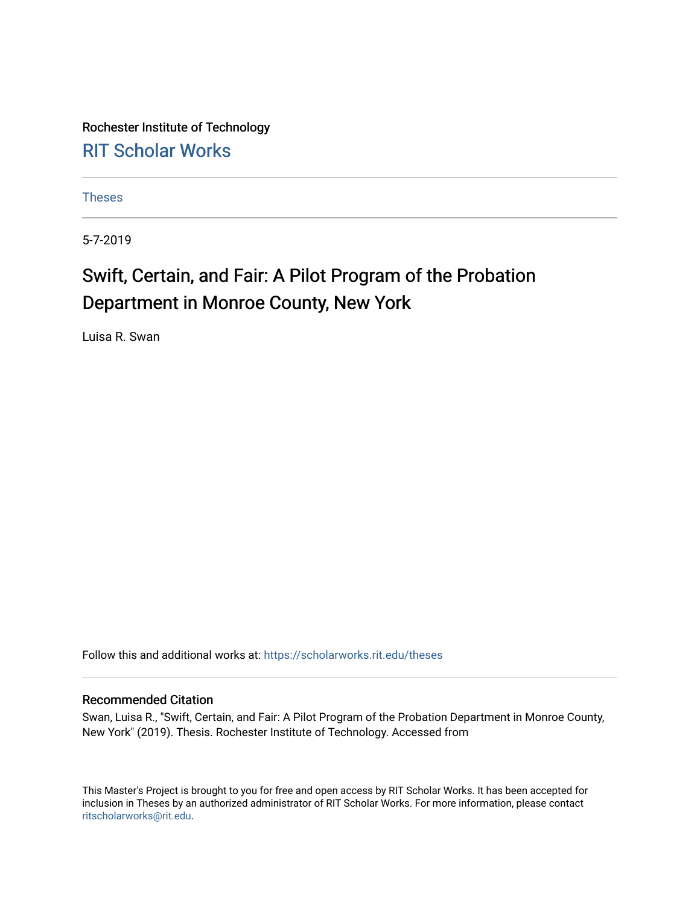Rochester Institute of Technology [RIT Scholar Works](https://scholarworks.rit.edu/)

[Theses](https://scholarworks.rit.edu/theses) 

5-7-2019

### Swift, Certain, and Fair: A Pilot Program of the Probation Department in Monroe County, New York

Luisa R. Swan

Follow this and additional works at: [https://scholarworks.rit.edu/theses](https://scholarworks.rit.edu/theses?utm_source=scholarworks.rit.edu%2Ftheses%2F10841&utm_medium=PDF&utm_campaign=PDFCoverPages) 

#### Recommended Citation

Swan, Luisa R., "Swift, Certain, and Fair: A Pilot Program of the Probation Department in Monroe County, New York" (2019). Thesis. Rochester Institute of Technology. Accessed from

This Master's Project is brought to you for free and open access by RIT Scholar Works. It has been accepted for inclusion in Theses by an authorized administrator of RIT Scholar Works. For more information, please contact [ritscholarworks@rit.edu](mailto:ritscholarworks@rit.edu).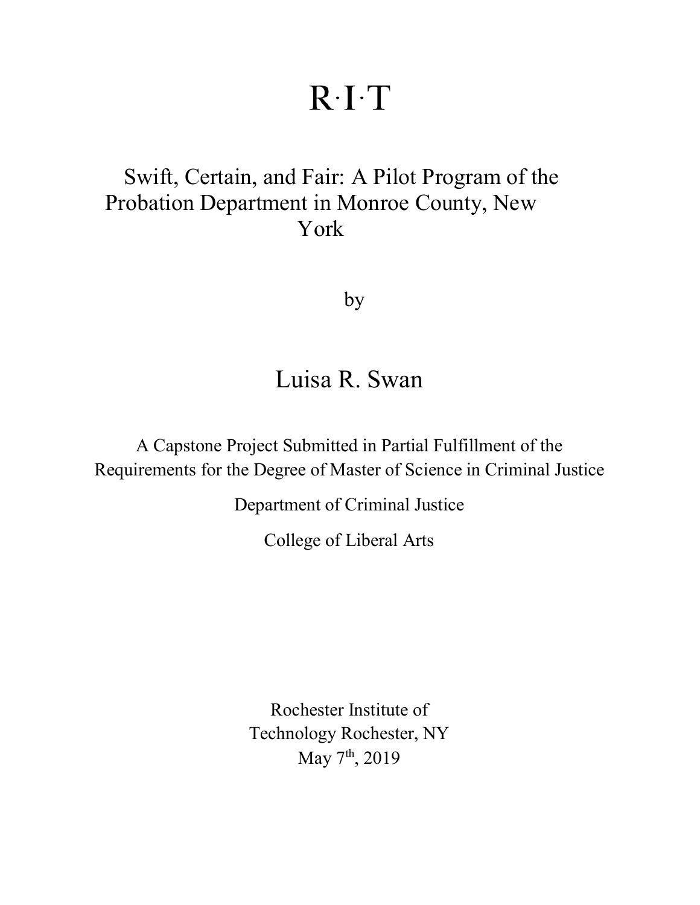# $R \cdot I \cdot T$

## Swift, Certain, and Fair: A Pilot Program of the Probation Department in Monroe County, New York

by

## Luisa R. Swan

A Capstone Project Submitted in Partial Fulfillment of the Requirements for the Degree of Master of Science in Criminal Justice

Department of Criminal Justice

College of Liberal Arts

Rochester Institute of Technology Rochester, NY May 7<sup>th</sup>, 2019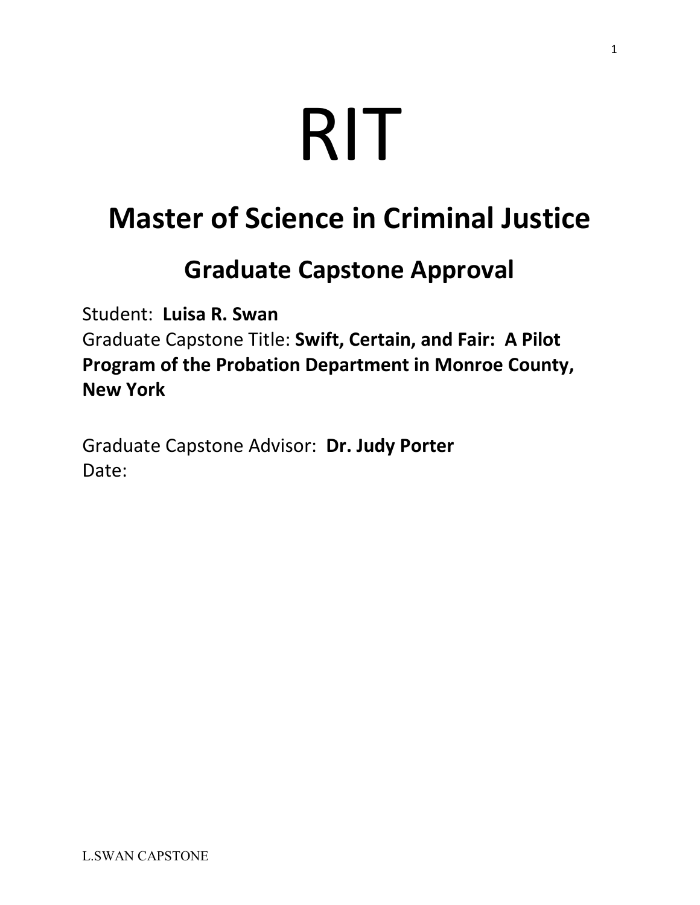# RIT

# **Master of Science in Criminal Justice**

## **Graduate Capstone Approval**

Student: **Luisa R. Swan**

Graduate Capstone Title: **Swift, Certain, and Fair: A Pilot Program of the Probation Department in Monroe County, New York**

Graduate Capstone Advisor: **Dr. Judy Porter** Date: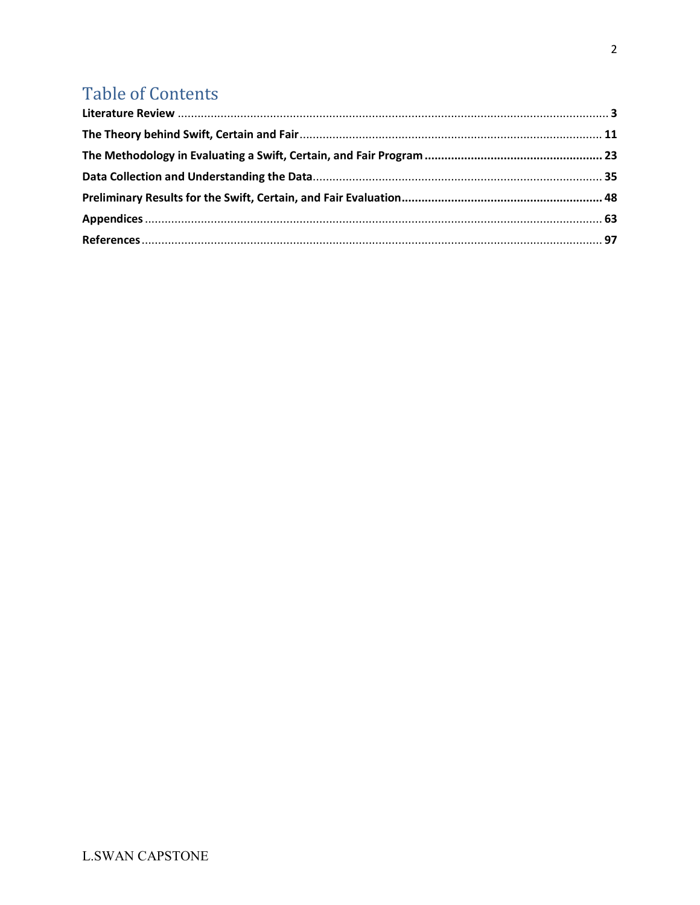## **Table of Contents**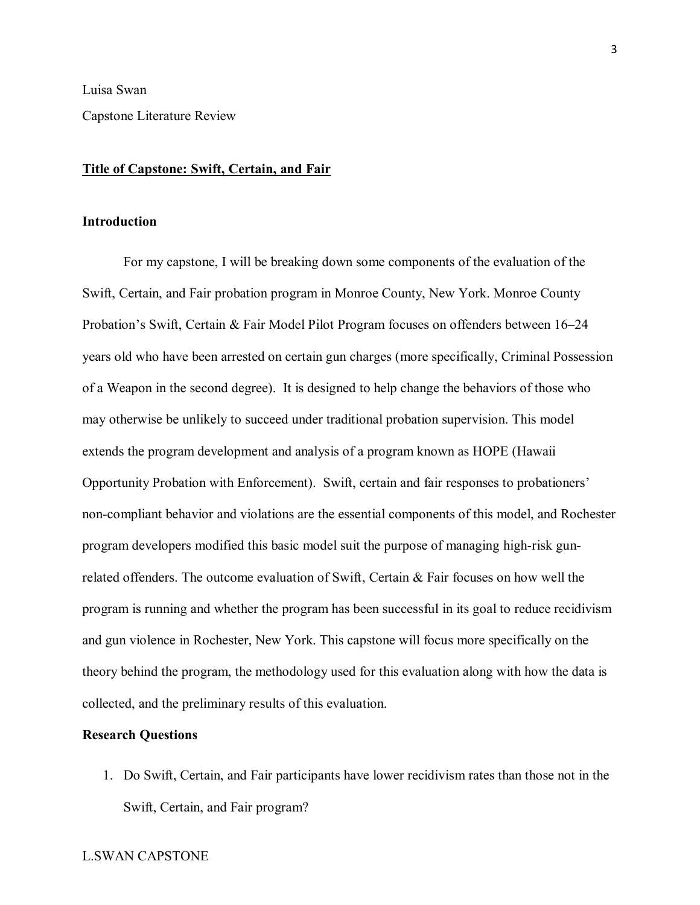Luisa Swan

Capstone Literature Review

#### **Title of Capstone: Swift, Certain, and Fair**

#### **Introduction**

For my capstone, I will be breaking down some components of the evaluation of the Swift, Certain, and Fair probation program in Monroe County, New York. Monroe County Probation's Swift, Certain & Fair Model Pilot Program focuses on offenders between 16–24 years old who have been arrested on certain gun charges (more specifically, Criminal Possession of a Weapon in the second degree). It is designed to help change the behaviors of those who may otherwise be unlikely to succeed under traditional probation supervision. This model extends the program development and analysis of a program known as HOPE (Hawaii Opportunity Probation with Enforcement). Swift, certain and fair responses to probationers' non-compliant behavior and violations are the essential components of this model, and Rochester program developers modified this basic model suit the purpose of managing high-risk gunrelated offenders. The outcome evaluation of Swift, Certain & Fair focuses on how well the program is running and whether the program has been successful in its goal to reduce recidivism and gun violence in Rochester, New York. This capstone will focus more specifically on the theory behind the program, the methodology used for this evaluation along with how the data is collected, and the preliminary results of this evaluation.

#### **Research Questions**

1. Do Swift, Certain, and Fair participants have lower recidivism rates than those not in the Swift, Certain, and Fair program?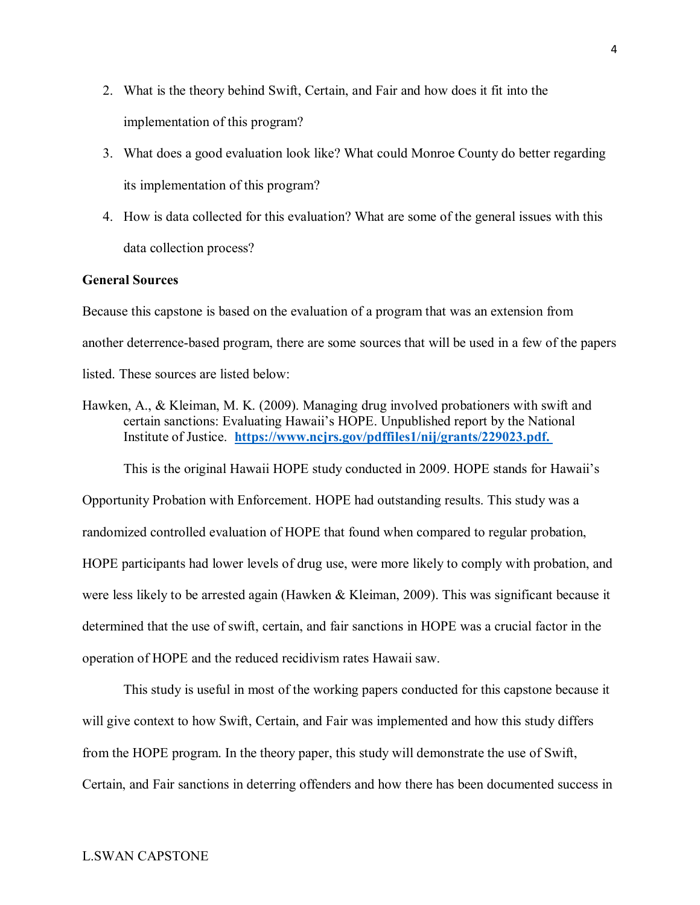- 2. What is the theory behind Swift, Certain, and Fair and how does it fit into the implementation of this program?
- 3. What does a good evaluation look like? What could Monroe County do better regarding its implementation of this program?
- 4. How is data collected for this evaluation? What are some of the general issues with this data collection process?

#### **General Sources**

Because this capstone is based on the evaluation of a program that was an extension from another deterrence-based program, there are some sources that will be used in a few of the papers listed. These sources are listed below:

Hawken, A., & Kleiman, M. K. (2009). Managing drug involved probationers with swift and certain sanctions: Evaluating Hawaii's HOPE. Unpublished report by the National Institute of Justice. **[https://www.ncjrs.gov/pdffiles1/nij/grants/229023.pdf.](https://www.ncjrs.gov/pdffiles1/nij/grants/229023.pdf)** 

This is the original Hawaii HOPE study conducted in 2009. HOPE stands for Hawaii's

Opportunity Probation with Enforcement. HOPE had outstanding results. This study was a randomized controlled evaluation of HOPE that found when compared to regular probation, HOPE participants had lower levels of drug use, were more likely to comply with probation, and were less likely to be arrested again (Hawken & Kleiman, 2009). This was significant because it determined that the use of swift, certain, and fair sanctions in HOPE was a crucial factor in the operation of HOPE and the reduced recidivism rates Hawaii saw.

This study is useful in most of the working papers conducted for this capstone because it will give context to how Swift, Certain, and Fair was implemented and how this study differs from the HOPE program. In the theory paper, this study will demonstrate the use of Swift, Certain, and Fair sanctions in deterring offenders and how there has been documented success in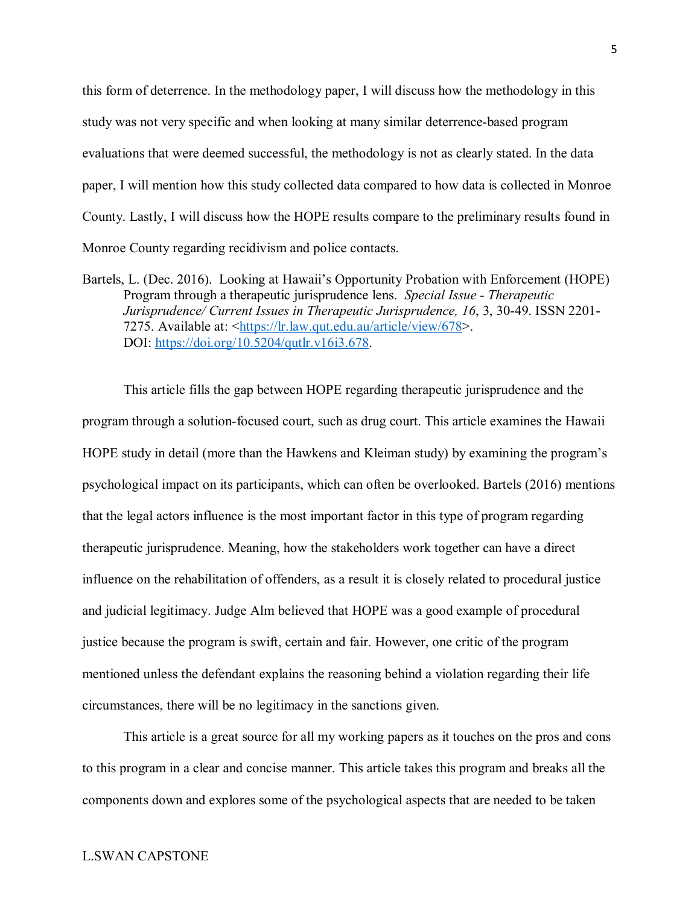this form of deterrence. In the methodology paper, I will discuss how the methodology in this study was not very specific and when looking at many similar deterrence-based program evaluations that were deemed successful, the methodology is not as clearly stated. In the data paper, I will mention how this study collected data compared to how data is collected in Monroe County. Lastly, I will discuss how the HOPE results compare to the preliminary results found in Monroe County regarding recidivism and police contacts.

This article fills the gap between HOPE regarding therapeutic jurisprudence and the program through a solution-focused court, such as drug court. This article examines the Hawaii HOPE study in detail (more than the Hawkens and Kleiman study) by examining the program's psychological impact on its participants, which can often be overlooked. Bartels (2016) mentions that the legal actors influence is the most important factor in this type of program regarding therapeutic jurisprudence. Meaning, how the stakeholders work together can have a direct influence on the rehabilitation of offenders, as a result it is closely related to procedural justice and judicial legitimacy. Judge Alm believed that HOPE was a good example of procedural justice because the program is swift, certain and fair. However, one critic of the program mentioned unless the defendant explains the reasoning behind a violation regarding their life circumstances, there will be no legitimacy in the sanctions given.

This article is a great source for all my working papers as it touches on the pros and cons to this program in a clear and concise manner. This article takes this program and breaks all the components down and explores some of the psychological aspects that are needed to be taken

Bartels, L. (Dec. 2016). Looking at Hawaii's Opportunity Probation with Enforcement (HOPE) Program through a therapeutic jurisprudence lens. *Special Issue - Therapeutic Jurisprudence/ Current Issues in Therapeutic Jurisprudence, 16*, 3, 30-49. ISSN 2201- 7275. Available at: [<https://lr.law.qut.edu.au/article/view/678>](https://lr.law.qut.edu.au/article/view/678). DOI: [https://doi.org/10.5204/qutlr.v16i3.678.](https://doi.org/10.5204/qutlr.v16i3.678)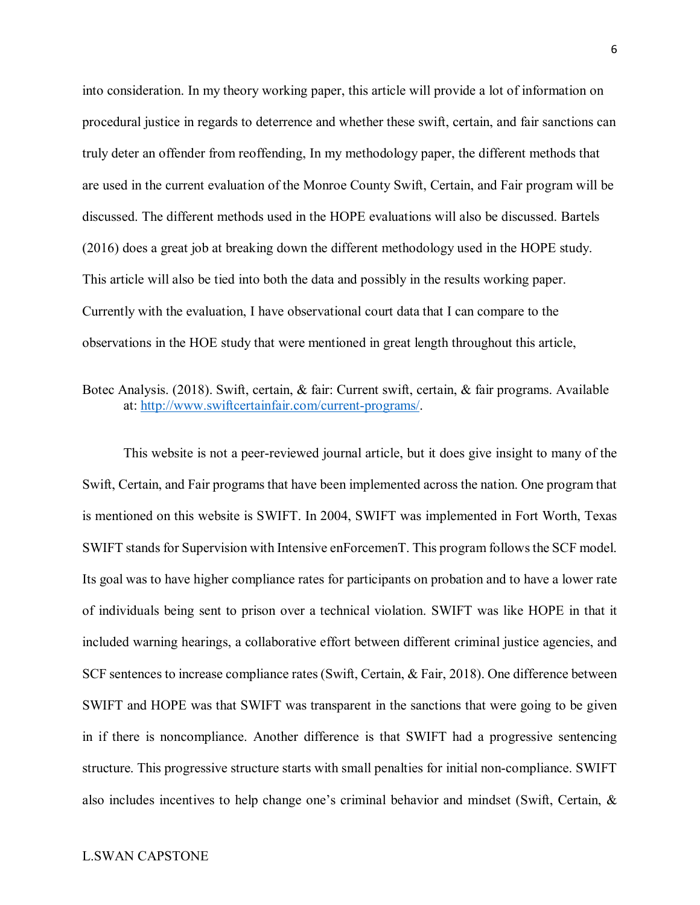into consideration. In my theory working paper, this article will provide a lot of information on procedural justice in regards to deterrence and whether these swift, certain, and fair sanctions can truly deter an offender from reoffending, In my methodology paper, the different methods that are used in the current evaluation of the Monroe County Swift, Certain, and Fair program will be discussed. The different methods used in the HOPE evaluations will also be discussed. Bartels (2016) does a great job at breaking down the different methodology used in the HOPE study. This article will also be tied into both the data and possibly in the results working paper. Currently with the evaluation, I have observational court data that I can compare to the observations in the HOE study that were mentioned in great length throughout this article,

#### Botec Analysis. (2018). Swift, certain, & fair: Current swift, certain, & fair programs. Available at: [http://www.swiftcertainfair.com/current-programs/.](http://www.swiftcertainfair.com/current-programs/)

This website is not a peer-reviewed journal article, but it does give insight to many of the Swift, Certain, and Fair programs that have been implemented across the nation. One program that is mentioned on this website is SWIFT. In 2004, SWIFT was implemented in Fort Worth, Texas SWIFT stands for Supervision with Intensive enForcemenT. This program follows the SCF model. Its goal was to have higher compliance rates for participants on probation and to have a lower rate of individuals being sent to prison over a technical violation. SWIFT was like HOPE in that it included warning hearings, a collaborative effort between different criminal justice agencies, and SCF sentences to increase compliance rates (Swift, Certain, & Fair, 2018). One difference between SWIFT and HOPE was that SWIFT was transparent in the sanctions that were going to be given in if there is noncompliance. Another difference is that SWIFT had a progressive sentencing structure. This progressive structure starts with small penalties for initial non-compliance. SWIFT also includes incentives to help change one's criminal behavior and mindset (Swift, Certain, &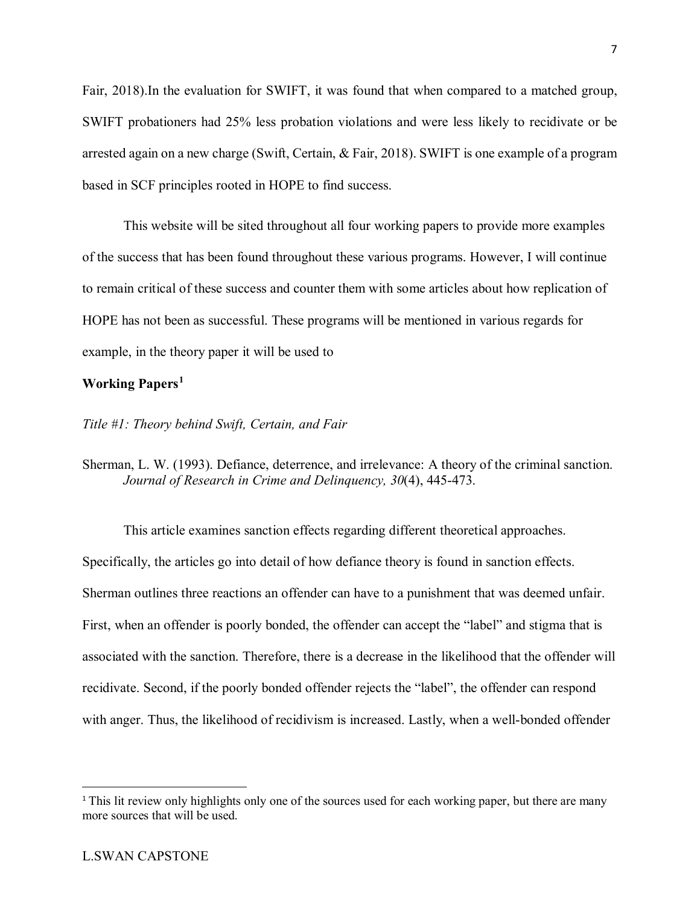Fair, 2018).In the evaluation for SWIFT, it was found that when compared to a matched group, SWIFT probationers had 25% less probation violations and were less likely to recidivate or be arrested again on a new charge (Swift, Certain, & Fair, 2018). SWIFT is one example of a program based in SCF principles rooted in HOPE to find success.

This website will be sited throughout all four working papers to provide more examples of the success that has been found throughout these various programs. However, I will continue to remain critical of these success and counter them with some articles about how replication of HOPE has not been as successful. These programs will be mentioned in various regards for example, in the theory paper it will be used to

#### **Working Papers[1](#page-8-0)**

#### *Title #1: Theory behind Swift, Certain, and Fair*

Sherman, L. W. (1993). Defiance, deterrence, and irrelevance: A theory of the criminal sanction. *Journal of Research in Crime and Delinquency, 30*(4), 445-473.

This article examines sanction effects regarding different theoretical approaches. Specifically, the articles go into detail of how defiance theory is found in sanction effects. Sherman outlines three reactions an offender can have to a punishment that was deemed unfair. First, when an offender is poorly bonded, the offender can accept the "label" and stigma that is associated with the sanction. Therefore, there is a decrease in the likelihood that the offender will recidivate. Second, if the poorly bonded offender rejects the "label", the offender can respond with anger. Thus, the likelihood of recidivism is increased. Lastly, when a well-bonded offender

<span id="page-8-0"></span><sup>&</sup>lt;sup>1</sup> This lit review only highlights only one of the sources used for each working paper, but there are many more sources that will be used.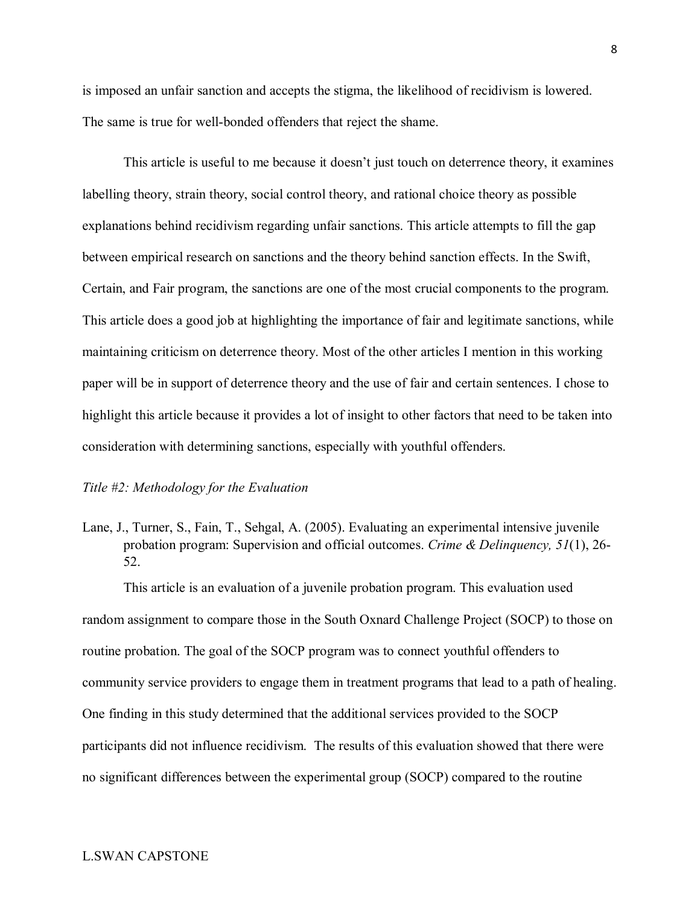is imposed an unfair sanction and accepts the stigma, the likelihood of recidivism is lowered. The same is true for well-bonded offenders that reject the shame.

This article is useful to me because it doesn't just touch on deterrence theory, it examines labelling theory, strain theory, social control theory, and rational choice theory as possible explanations behind recidivism regarding unfair sanctions. This article attempts to fill the gap between empirical research on sanctions and the theory behind sanction effects. In the Swift, Certain, and Fair program, the sanctions are one of the most crucial components to the program. This article does a good job at highlighting the importance of fair and legitimate sanctions, while maintaining criticism on deterrence theory. Most of the other articles I mention in this working paper will be in support of deterrence theory and the use of fair and certain sentences. I chose to highlight this article because it provides a lot of insight to other factors that need to be taken into consideration with determining sanctions, especially with youthful offenders.

#### *Title #2: Methodology for the Evaluation*

Lane, J., Turner, S., Fain, T., Sehgal, A. (2005). Evaluating an experimental intensive juvenile probation program: Supervision and official outcomes. *Crime & Delinquency, 51*(1), 26- 52.

This article is an evaluation of a juvenile probation program. This evaluation used random assignment to compare those in the South Oxnard Challenge Project (SOCP) to those on routine probation. The goal of the SOCP program was to connect youthful offenders to community service providers to engage them in treatment programs that lead to a path of healing. One finding in this study determined that the additional services provided to the SOCP participants did not influence recidivism. The results of this evaluation showed that there were no significant differences between the experimental group (SOCP) compared to the routine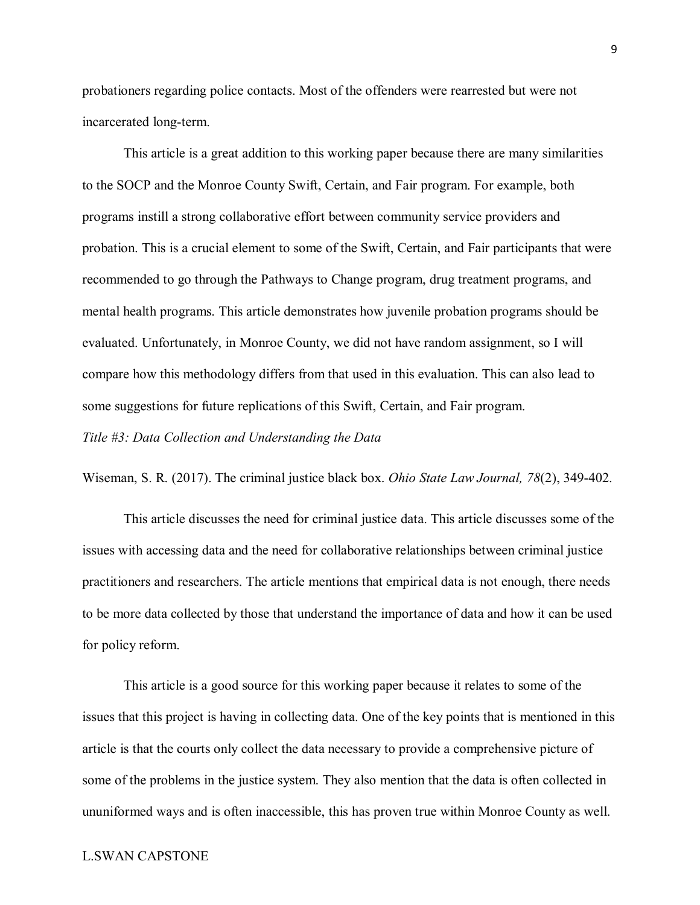probationers regarding police contacts. Most of the offenders were rearrested but were not incarcerated long-term.

This article is a great addition to this working paper because there are many similarities to the SOCP and the Monroe County Swift, Certain, and Fair program. For example, both programs instill a strong collaborative effort between community service providers and probation. This is a crucial element to some of the Swift, Certain, and Fair participants that were recommended to go through the Pathways to Change program, drug treatment programs, and mental health programs. This article demonstrates how juvenile probation programs should be evaluated. Unfortunately, in Monroe County, we did not have random assignment, so I will compare how this methodology differs from that used in this evaluation. This can also lead to some suggestions for future replications of this Swift, Certain, and Fair program. *Title #3: Data Collection and Understanding the Data*

Wiseman, S. R. (2017). The criminal justice black box. *Ohio State Law Journal, 78*(2), 349-402.

This article discusses the need for criminal justice data. This article discusses some of the issues with accessing data and the need for collaborative relationships between criminal justice practitioners and researchers. The article mentions that empirical data is not enough, there needs to be more data collected by those that understand the importance of data and how it can be used for policy reform.

This article is a good source for this working paper because it relates to some of the issues that this project is having in collecting data. One of the key points that is mentioned in this article is that the courts only collect the data necessary to provide a comprehensive picture of some of the problems in the justice system. They also mention that the data is often collected in ununiformed ways and is often inaccessible, this has proven true within Monroe County as well.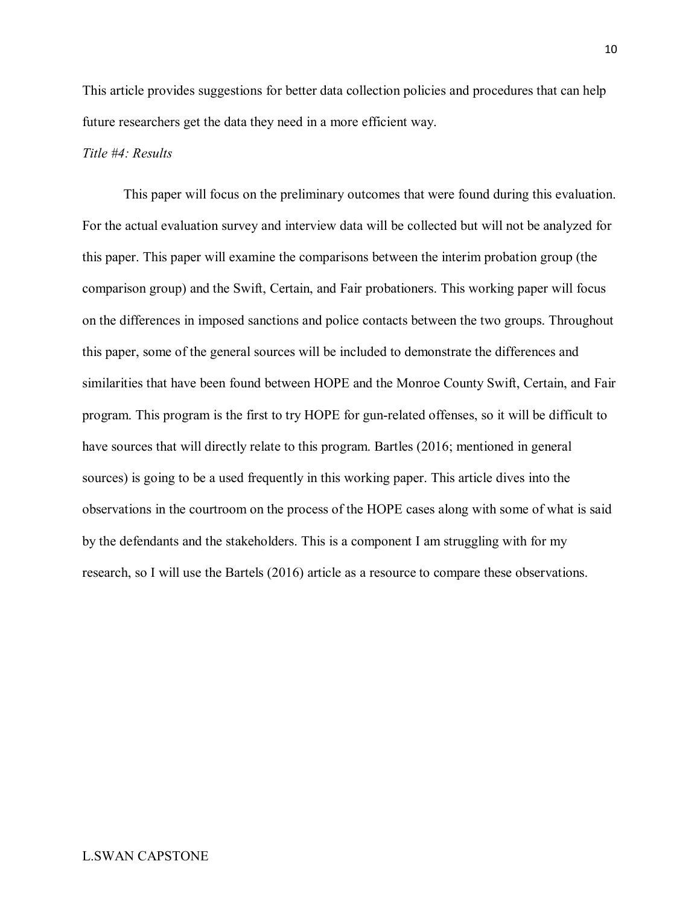This article provides suggestions for better data collection policies and procedures that can help future researchers get the data they need in a more efficient way.

#### *Title #4: Results*

This paper will focus on the preliminary outcomes that were found during this evaluation. For the actual evaluation survey and interview data will be collected but will not be analyzed for this paper. This paper will examine the comparisons between the interim probation group (the comparison group) and the Swift, Certain, and Fair probationers. This working paper will focus on the differences in imposed sanctions and police contacts between the two groups. Throughout this paper, some of the general sources will be included to demonstrate the differences and similarities that have been found between HOPE and the Monroe County Swift, Certain, and Fair program. This program is the first to try HOPE for gun-related offenses, so it will be difficult to have sources that will directly relate to this program. Bartles (2016; mentioned in general sources) is going to be a used frequently in this working paper. This article dives into the observations in the courtroom on the process of the HOPE cases along with some of what is said by the defendants and the stakeholders. This is a component I am struggling with for my research, so I will use the Bartels (2016) article as a resource to compare these observations.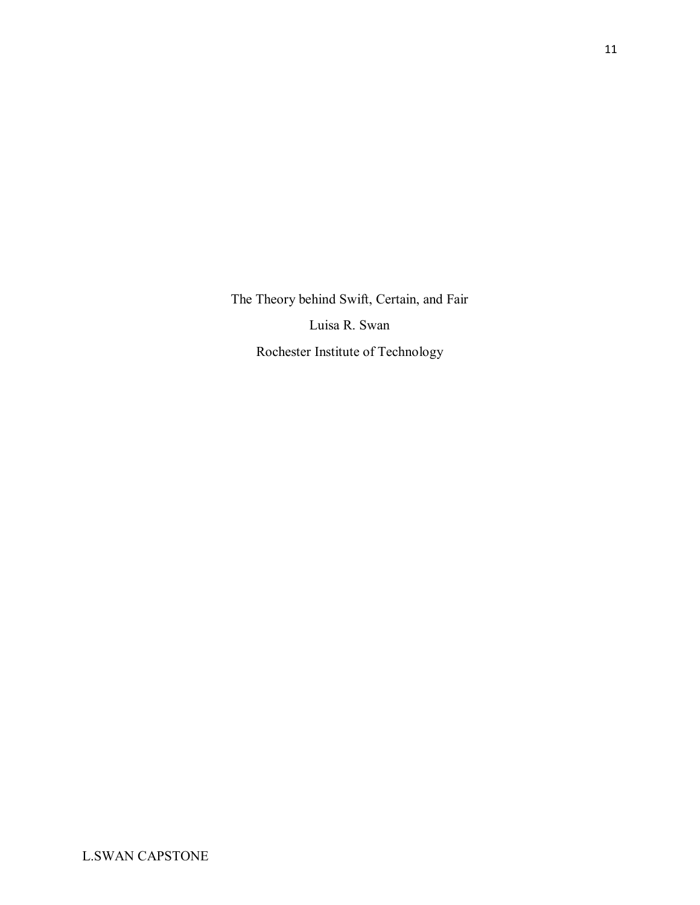The Theory behind Swift, Certain, and Fair Luisa R. Swan Rochester Institute of Technology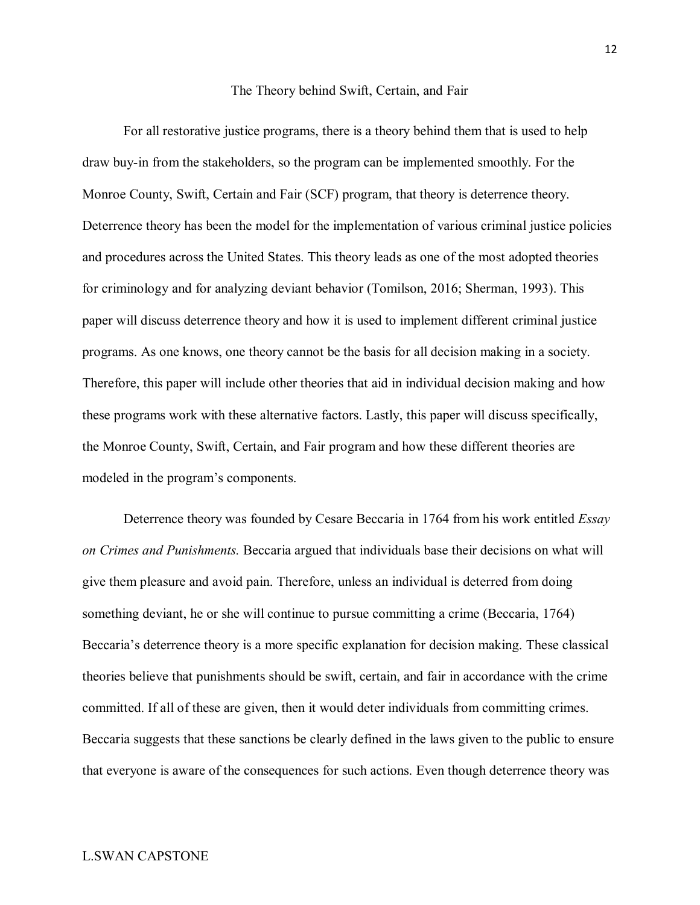#### The Theory behind Swift, Certain, and Fair

For all restorative justice programs, there is a theory behind them that is used to help draw buy-in from the stakeholders, so the program can be implemented smoothly. For the Monroe County, Swift, Certain and Fair (SCF) program, that theory is deterrence theory. Deterrence theory has been the model for the implementation of various criminal justice policies and procedures across the United States. This theory leads as one of the most adopted theories for criminology and for analyzing deviant behavior (Tomilson, 2016; Sherman, 1993). This paper will discuss deterrence theory and how it is used to implement different criminal justice programs. As one knows, one theory cannot be the basis for all decision making in a society. Therefore, this paper will include other theories that aid in individual decision making and how these programs work with these alternative factors. Lastly, this paper will discuss specifically, the Monroe County, Swift, Certain, and Fair program and how these different theories are modeled in the program's components.

Deterrence theory was founded by Cesare Beccaria in 1764 from his work entitled *Essay on Crimes and Punishments.* Beccaria argued that individuals base their decisions on what will give them pleasure and avoid pain. Therefore, unless an individual is deterred from doing something deviant, he or she will continue to pursue committing a crime (Beccaria, 1764) Beccaria's deterrence theory is a more specific explanation for decision making. These classical theories believe that punishments should be swift, certain, and fair in accordance with the crime committed. If all of these are given, then it would deter individuals from committing crimes. Beccaria suggests that these sanctions be clearly defined in the laws given to the public to ensure that everyone is aware of the consequences for such actions. Even though deterrence theory was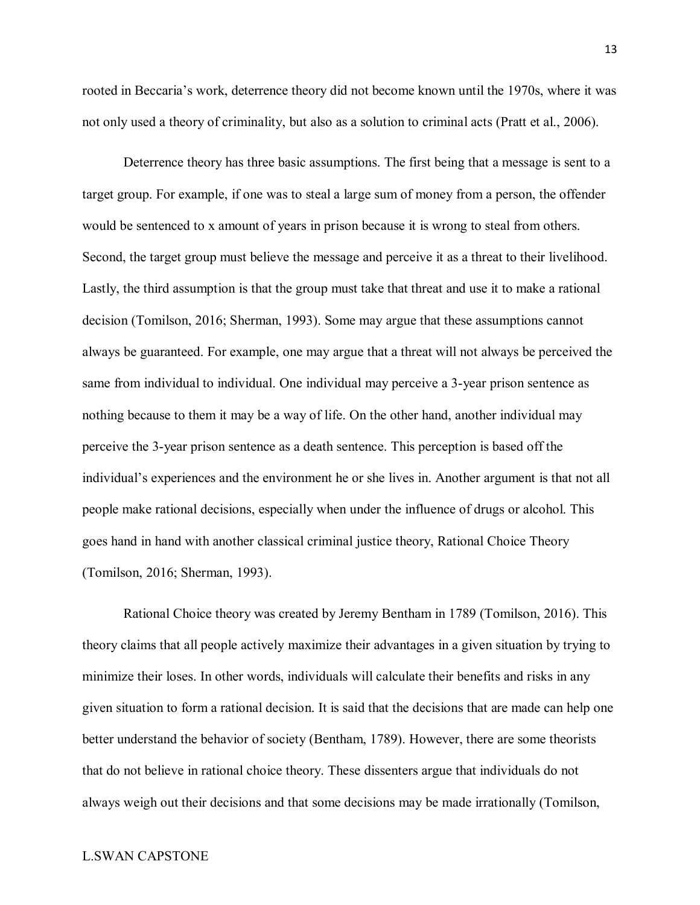rooted in Beccaria's work, deterrence theory did not become known until the 1970s, where it was not only used a theory of criminality, but also as a solution to criminal acts (Pratt et al., 2006).

Deterrence theory has three basic assumptions. The first being that a message is sent to a target group. For example, if one was to steal a large sum of money from a person, the offender would be sentenced to x amount of years in prison because it is wrong to steal from others. Second, the target group must believe the message and perceive it as a threat to their livelihood. Lastly, the third assumption is that the group must take that threat and use it to make a rational decision (Tomilson, 2016; Sherman, 1993). Some may argue that these assumptions cannot always be guaranteed. For example, one may argue that a threat will not always be perceived the same from individual to individual. One individual may perceive a 3-year prison sentence as nothing because to them it may be a way of life. On the other hand, another individual may perceive the 3-year prison sentence as a death sentence. This perception is based off the individual's experiences and the environment he or she lives in. Another argument is that not all people make rational decisions, especially when under the influence of drugs or alcohol. This goes hand in hand with another classical criminal justice theory, Rational Choice Theory (Tomilson, 2016; Sherman, 1993).

Rational Choice theory was created by Jeremy Bentham in 1789 (Tomilson, 2016). This theory claims that all people actively maximize their advantages in a given situation by trying to minimize their loses. In other words, individuals will calculate their benefits and risks in any given situation to form a rational decision. It is said that the decisions that are made can help one better understand the behavior of society (Bentham, 1789). However, there are some theorists that do not believe in rational choice theory. These dissenters argue that individuals do not always weigh out their decisions and that some decisions may be made irrationally (Tomilson,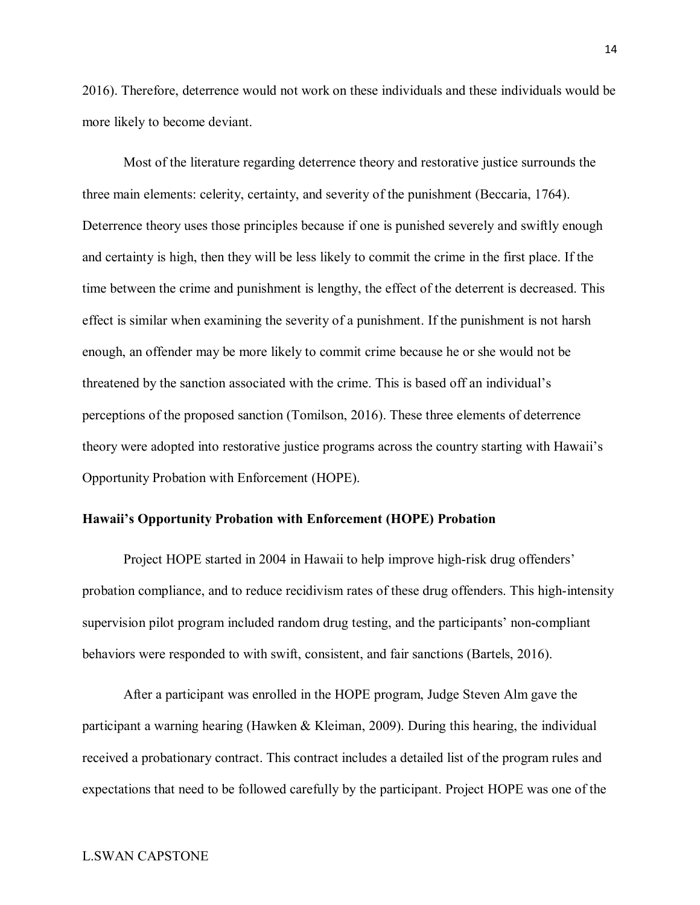2016). Therefore, deterrence would not work on these individuals and these individuals would be more likely to become deviant.

Most of the literature regarding deterrence theory and restorative justice surrounds the three main elements: celerity, certainty, and severity of the punishment (Beccaria, 1764). Deterrence theory uses those principles because if one is punished severely and swiftly enough and certainty is high, then they will be less likely to commit the crime in the first place. If the time between the crime and punishment is lengthy, the effect of the deterrent is decreased. This effect is similar when examining the severity of a punishment. If the punishment is not harsh enough, an offender may be more likely to commit crime because he or she would not be threatened by the sanction associated with the crime. This is based off an individual's perceptions of the proposed sanction (Tomilson, 2016). These three elements of deterrence theory were adopted into restorative justice programs across the country starting with Hawaii's Opportunity Probation with Enforcement (HOPE).

#### **Hawaii's Opportunity Probation with Enforcement (HOPE) Probation**

Project HOPE started in 2004 in Hawaii to help improve high-risk drug offenders' probation compliance, and to reduce recidivism rates of these drug offenders. This high-intensity supervision pilot program included random drug testing, and the participants' non-compliant behaviors were responded to with swift, consistent, and fair sanctions (Bartels, 2016).

After a participant was enrolled in the HOPE program, Judge Steven Alm gave the participant a warning hearing (Hawken & Kleiman, 2009). During this hearing, the individual received a probationary contract. This contract includes a detailed list of the program rules and expectations that need to be followed carefully by the participant. Project HOPE was one of the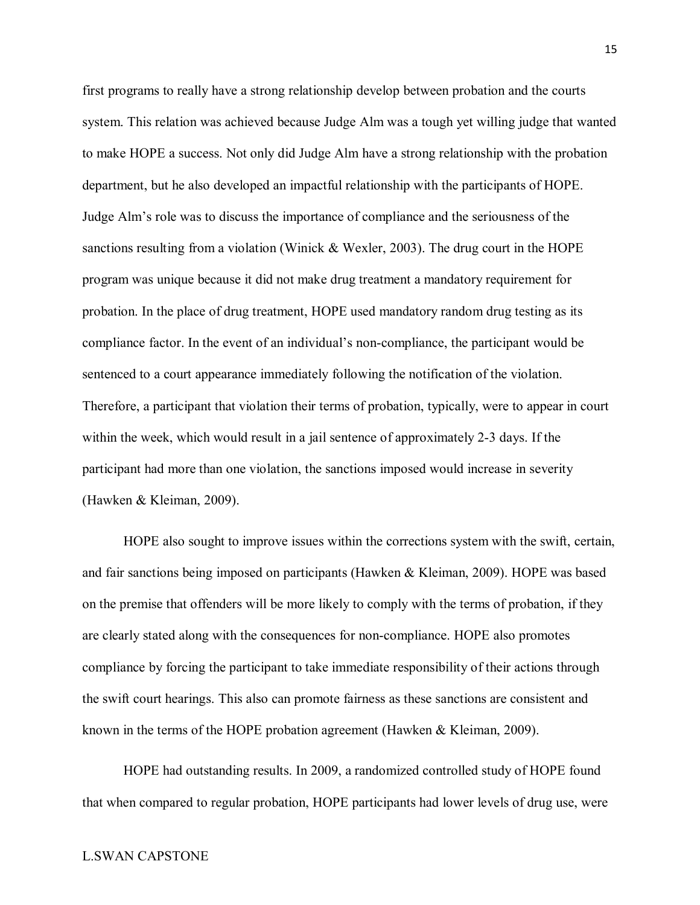first programs to really have a strong relationship develop between probation and the courts system. This relation was achieved because Judge Alm was a tough yet willing judge that wanted to make HOPE a success. Not only did Judge Alm have a strong relationship with the probation department, but he also developed an impactful relationship with the participants of HOPE. Judge Alm's role was to discuss the importance of compliance and the seriousness of the sanctions resulting from a violation (Winick & Wexler, 2003). The drug court in the HOPE program was unique because it did not make drug treatment a mandatory requirement for probation. In the place of drug treatment, HOPE used mandatory random drug testing as its compliance factor. In the event of an individual's non-compliance, the participant would be sentenced to a court appearance immediately following the notification of the violation. Therefore, a participant that violation their terms of probation, typically, were to appear in court within the week, which would result in a jail sentence of approximately 2-3 days. If the participant had more than one violation, the sanctions imposed would increase in severity (Hawken & Kleiman, 2009).

HOPE also sought to improve issues within the corrections system with the swift, certain, and fair sanctions being imposed on participants (Hawken & Kleiman, 2009). HOPE was based on the premise that offenders will be more likely to comply with the terms of probation, if they are clearly stated along with the consequences for non-compliance. HOPE also promotes compliance by forcing the participant to take immediate responsibility of their actions through the swift court hearings. This also can promote fairness as these sanctions are consistent and known in the terms of the HOPE probation agreement (Hawken & Kleiman, 2009).

HOPE had outstanding results. In 2009, a randomized controlled study of HOPE found that when compared to regular probation, HOPE participants had lower levels of drug use, were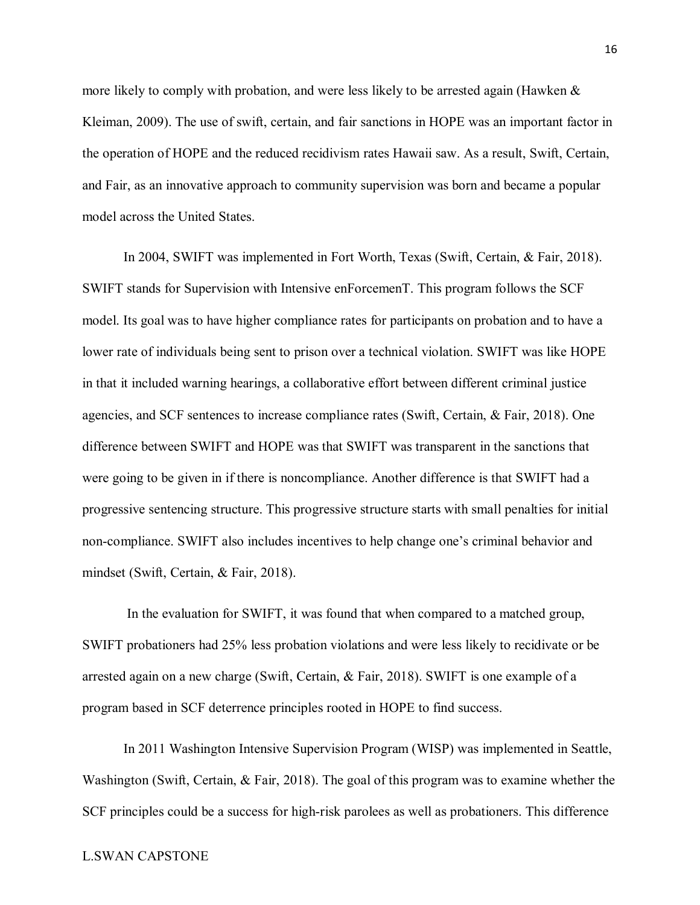more likely to comply with probation, and were less likely to be arrested again (Hawken & Kleiman, 2009). The use of swift, certain, and fair sanctions in HOPE was an important factor in the operation of HOPE and the reduced recidivism rates Hawaii saw. As a result, Swift, Certain, and Fair, as an innovative approach to community supervision was born and became a popular model across the United States.

In 2004, SWIFT was implemented in Fort Worth, Texas (Swift, Certain, & Fair, 2018). SWIFT stands for Supervision with Intensive enForcemenT. This program follows the SCF model. Its goal was to have higher compliance rates for participants on probation and to have a lower rate of individuals being sent to prison over a technical violation. SWIFT was like HOPE in that it included warning hearings, a collaborative effort between different criminal justice agencies, and SCF sentences to increase compliance rates (Swift, Certain, & Fair, 2018). One difference between SWIFT and HOPE was that SWIFT was transparent in the sanctions that were going to be given in if there is noncompliance. Another difference is that SWIFT had a progressive sentencing structure. This progressive structure starts with small penalties for initial non-compliance. SWIFT also includes incentives to help change one's criminal behavior and mindset (Swift, Certain, & Fair, 2018).

In the evaluation for SWIFT, it was found that when compared to a matched group, SWIFT probationers had 25% less probation violations and were less likely to recidivate or be arrested again on a new charge (Swift, Certain, & Fair, 2018). SWIFT is one example of a program based in SCF deterrence principles rooted in HOPE to find success.

In 2011 Washington Intensive Supervision Program (WISP) was implemented in Seattle, Washington (Swift, Certain, & Fair, 2018). The goal of this program was to examine whether the SCF principles could be a success for high-risk parolees as well as probationers. This difference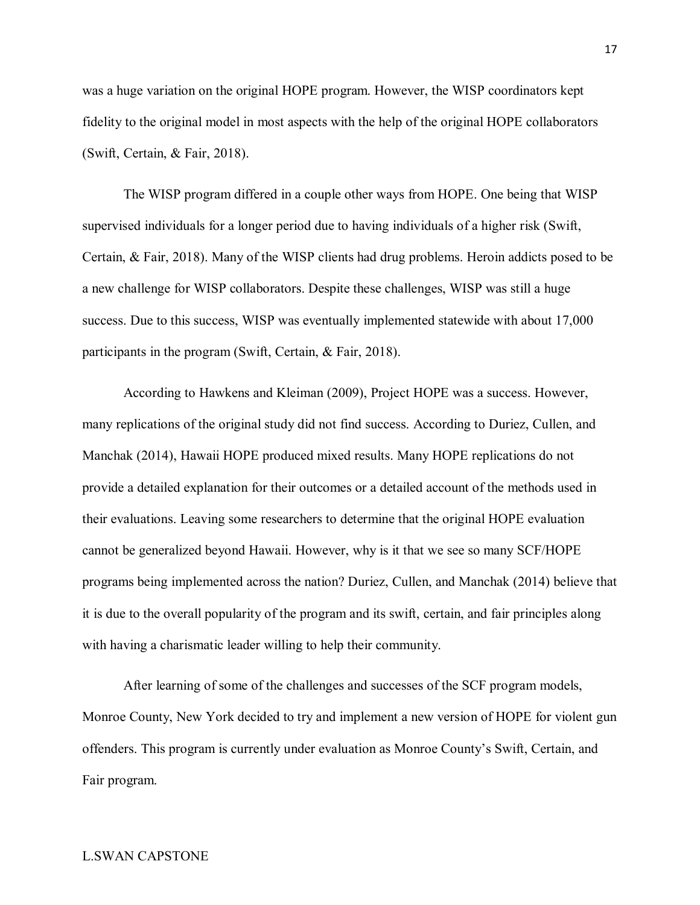was a huge variation on the original HOPE program. However, the WISP coordinators kept fidelity to the original model in most aspects with the help of the original HOPE collaborators (Swift, Certain, & Fair, 2018).

The WISP program differed in a couple other ways from HOPE. One being that WISP supervised individuals for a longer period due to having individuals of a higher risk (Swift, Certain, & Fair, 2018). Many of the WISP clients had drug problems. Heroin addicts posed to be a new challenge for WISP collaborators. Despite these challenges, WISP was still a huge success. Due to this success, WISP was eventually implemented statewide with about 17,000 participants in the program (Swift, Certain, & Fair, 2018).

According to Hawkens and Kleiman (2009), Project HOPE was a success. However, many replications of the original study did not find success. According to Duriez, Cullen, and Manchak (2014), Hawaii HOPE produced mixed results. Many HOPE replications do not provide a detailed explanation for their outcomes or a detailed account of the methods used in their evaluations. Leaving some researchers to determine that the original HOPE evaluation cannot be generalized beyond Hawaii. However, why is it that we see so many SCF/HOPE programs being implemented across the nation? Duriez, Cullen, and Manchak (2014) believe that it is due to the overall popularity of the program and its swift, certain, and fair principles along with having a charismatic leader willing to help their community.

After learning of some of the challenges and successes of the SCF program models, Monroe County, New York decided to try and implement a new version of HOPE for violent gun offenders. This program is currently under evaluation as Monroe County's Swift, Certain, and Fair program.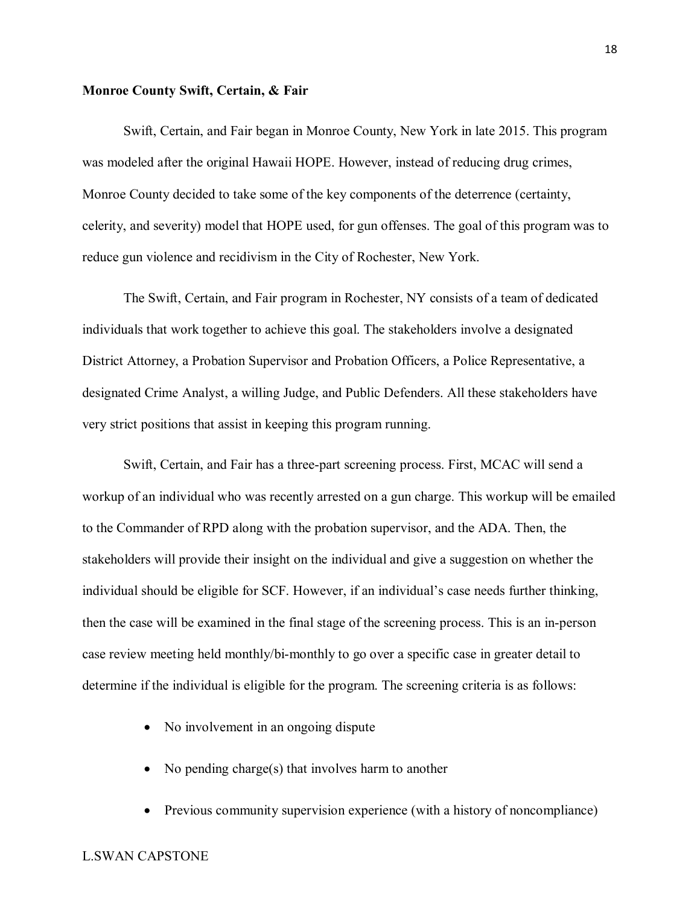#### **Monroe County Swift, Certain, & Fair**

Swift, Certain, and Fair began in Monroe County, New York in late 2015. This program was modeled after the original Hawaii HOPE. However, instead of reducing drug crimes, Monroe County decided to take some of the key components of the deterrence (certainty, celerity, and severity) model that HOPE used, for gun offenses. The goal of this program was to reduce gun violence and recidivism in the City of Rochester, New York.

The Swift, Certain, and Fair program in Rochester, NY consists of a team of dedicated individuals that work together to achieve this goal. The stakeholders involve a designated District Attorney, a Probation Supervisor and Probation Officers, a Police Representative, a designated Crime Analyst, a willing Judge, and Public Defenders. All these stakeholders have very strict positions that assist in keeping this program running.

Swift, Certain, and Fair has a three-part screening process. First, MCAC will send a workup of an individual who was recently arrested on a gun charge. This workup will be emailed to the Commander of RPD along with the probation supervisor, and the ADA. Then, the stakeholders will provide their insight on the individual and give a suggestion on whether the individual should be eligible for SCF. However, if an individual's case needs further thinking, then the case will be examined in the final stage of the screening process. This is an in-person case review meeting held monthly/bi-monthly to go over a specific case in greater detail to determine if the individual is eligible for the program. The screening criteria is as follows:

- No involvement in an ongoing dispute
- No pending charge(s) that involves harm to another
- Previous community supervision experience (with a history of noncompliance)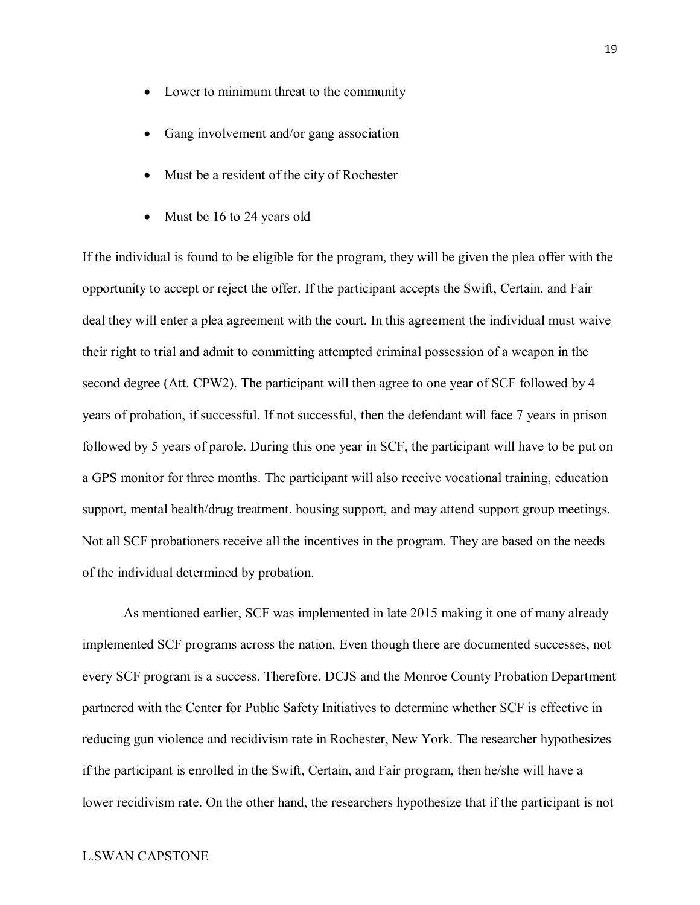- Lower to minimum threat to the community
- Gang involvement and/or gang association
- Must be a resident of the city of Rochester
- Must be 16 to 24 years old

If the individual is found to be eligible for the program, they will be given the plea offer with the opportunity to accept or reject the offer. If the participant accepts the Swift, Certain, and Fair deal they will enter a plea agreement with the court. In this agreement the individual must waive their right to trial and admit to committing attempted criminal possession of a weapon in the second degree (Att. CPW2). The participant will then agree to one year of SCF followed by 4 years of probation, if successful. If not successful, then the defendant will face 7 years in prison followed by 5 years of parole. During this one year in SCF, the participant will have to be put on a GPS monitor for three months. The participant will also receive vocational training, education support, mental health/drug treatment, housing support, and may attend support group meetings. Not all SCF probationers receive all the incentives in the program. They are based on the needs of the individual determined by probation.

As mentioned earlier, SCF was implemented in late 2015 making it one of many already implemented SCF programs across the nation. Even though there are documented successes, not every SCF program is a success. Therefore, DCJS and the Monroe County Probation Department partnered with the Center for Public Safety Initiatives to determine whether SCF is effective in reducing gun violence and recidivism rate in Rochester, New York. The researcher hypothesizes if the participant is enrolled in the Swift, Certain, and Fair program, then he/she will have a lower recidivism rate. On the other hand, the researchers hypothesize that if the participant is not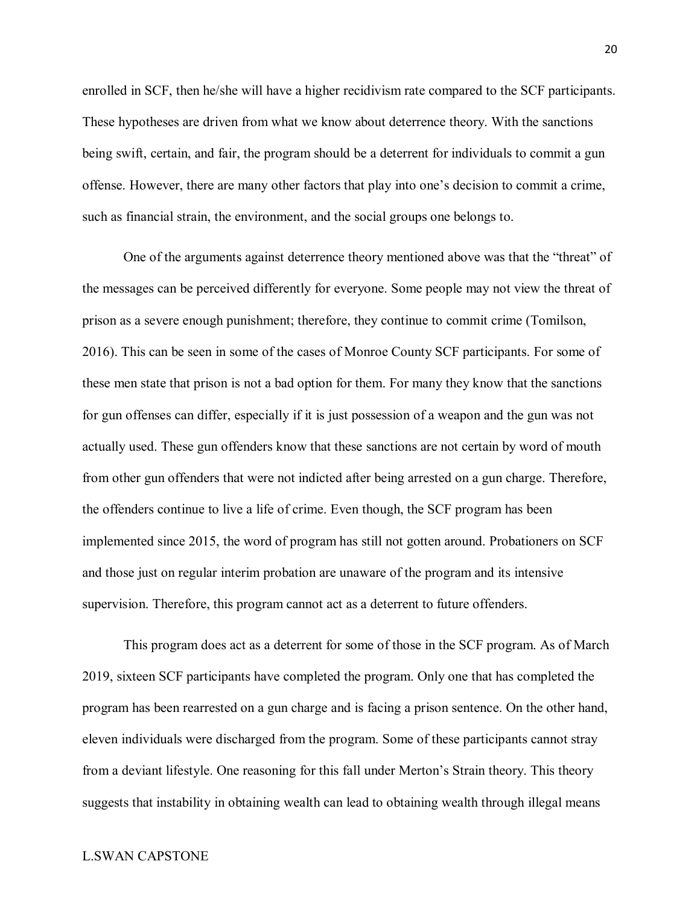enrolled in SCF, then he/she will have a higher recidivism rate compared to the SCF participants. These hypotheses are driven from what we know about deterrence theory. With the sanctions being swift, certain, and fair, the program should be a deterrent for individuals to commit a gun offense. However, there are many other factors that play into one's decision to commit a crime, such as financial strain, the environment, and the social groups one belongs to.

One of the arguments against deterrence theory mentioned above was that the "threat" of the messages can be perceived differently for everyone. Some people may not view the threat of prison as a severe enough punishment; therefore, they continue to commit crime (Tomilson, 2016). This can be seen in some of the cases of Monroe County SCF participants. For some of these men state that prison is not a bad option for them. For many they know that the sanctions for gun offenses can differ, especially if it is just possession of a weapon and the gun was not actually used. These gun offenders know that these sanctions are not certain by word of mouth from other gun offenders that were not indicted after being arrested on a gun charge. Therefore, the offenders continue to live a life of crime. Even though, the SCF program has been implemented since 2015, the word of program has still not gotten around. Probationers on SCF and those just on regular interim probation are unaware of the program and its intensive supervision. Therefore, this program cannot act as a deterrent to future offenders.

This program does act as a deterrent for some of those in the SCF program. As of March 2019, sixteen SCF participants have completed the program. Only one that has completed the program has been rearrested on a gun charge and is facing a prison sentence. On the other hand, eleven individuals were discharged from the program. Some of these participants cannot stray from a deviant lifestyle. One reasoning for this fall under Merton's Strain theory. This theory suggests that instability in obtaining wealth can lead to obtaining wealth through illegal means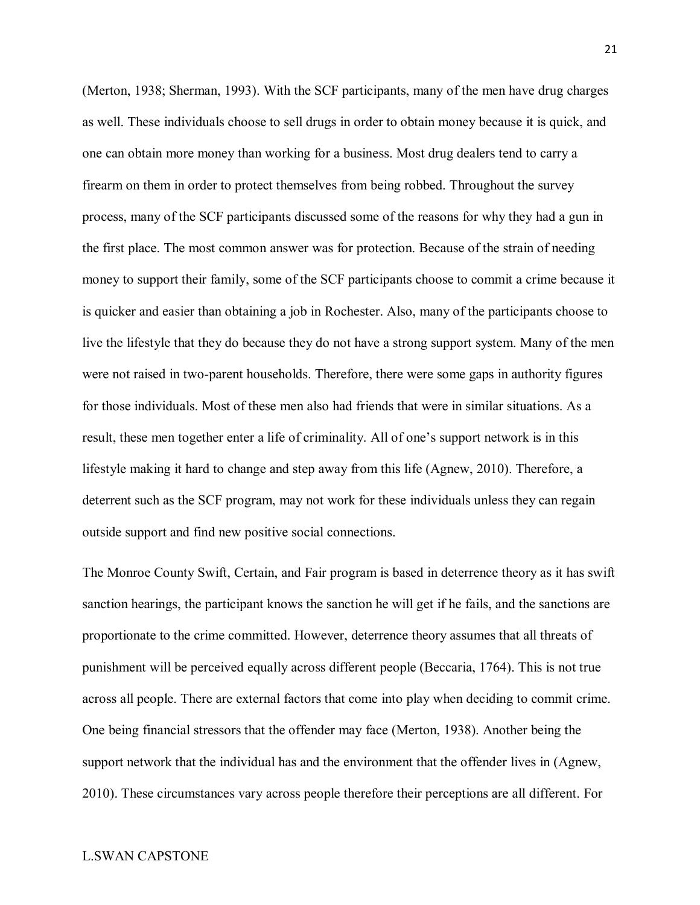(Merton, 1938; Sherman, 1993). With the SCF participants, many of the men have drug charges as well. These individuals choose to sell drugs in order to obtain money because it is quick, and one can obtain more money than working for a business. Most drug dealers tend to carry a firearm on them in order to protect themselves from being robbed. Throughout the survey process, many of the SCF participants discussed some of the reasons for why they had a gun in the first place. The most common answer was for protection. Because of the strain of needing money to support their family, some of the SCF participants choose to commit a crime because it is quicker and easier than obtaining a job in Rochester. Also, many of the participants choose to live the lifestyle that they do because they do not have a strong support system. Many of the men were not raised in two-parent households. Therefore, there were some gaps in authority figures for those individuals. Most of these men also had friends that were in similar situations. As a result, these men together enter a life of criminality. All of one's support network is in this lifestyle making it hard to change and step away from this life (Agnew, 2010). Therefore, a deterrent such as the SCF program, may not work for these individuals unless they can regain outside support and find new positive social connections.

The Monroe County Swift, Certain, and Fair program is based in deterrence theory as it has swift sanction hearings, the participant knows the sanction he will get if he fails, and the sanctions are proportionate to the crime committed. However, deterrence theory assumes that all threats of punishment will be perceived equally across different people (Beccaria, 1764). This is not true across all people. There are external factors that come into play when deciding to commit crime. One being financial stressors that the offender may face (Merton, 1938). Another being the support network that the individual has and the environment that the offender lives in (Agnew, 2010). These circumstances vary across people therefore their perceptions are all different. For

21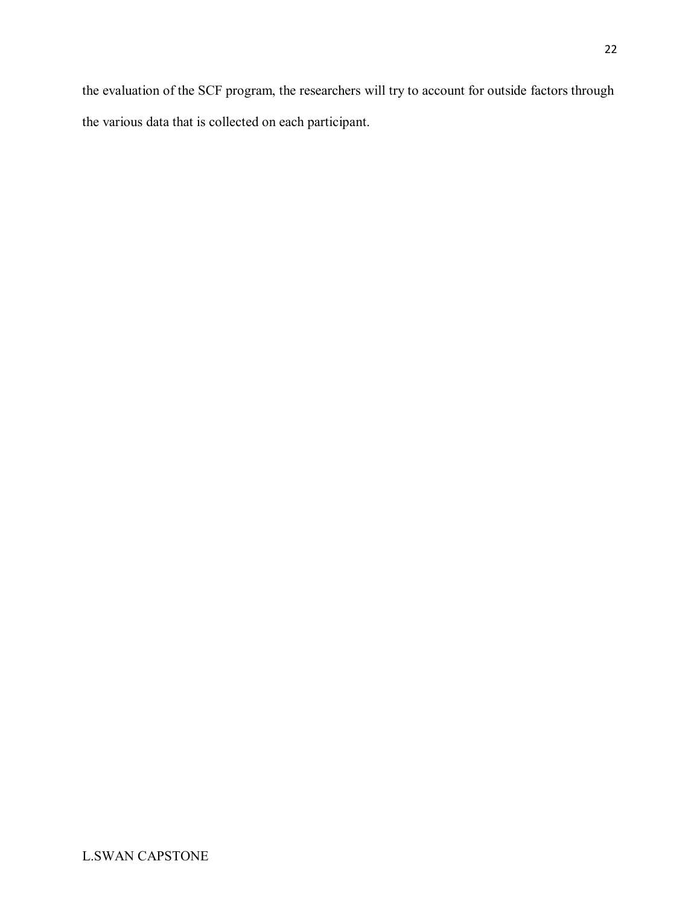the evaluation of the SCF program, the researchers will try to account for outside factors through the various data that is collected on each participant.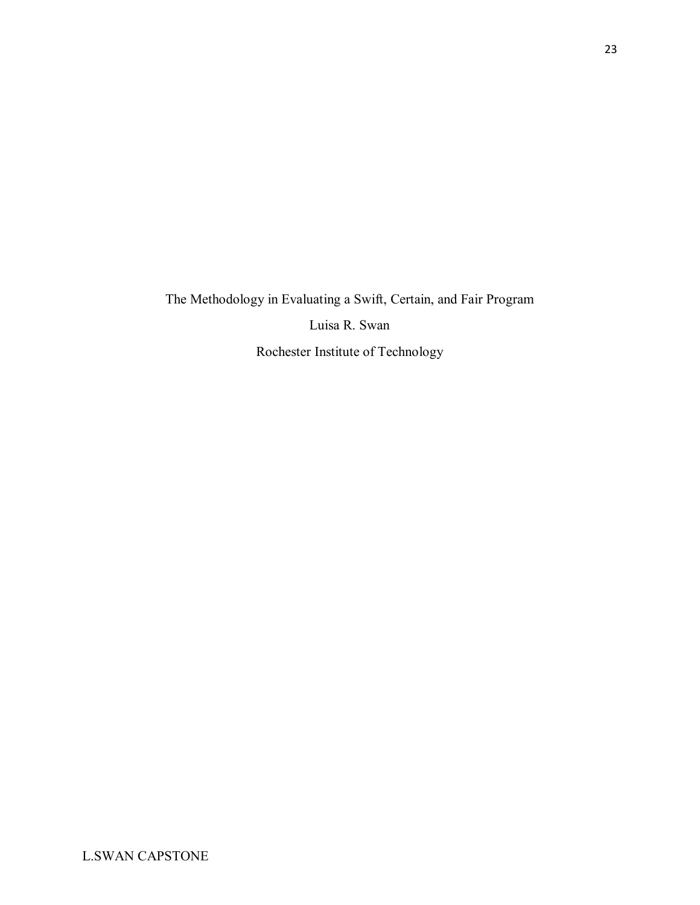The Methodology in Evaluating a Swift, Certain, and Fair Program

Luisa R. Swan

Rochester Institute of Technology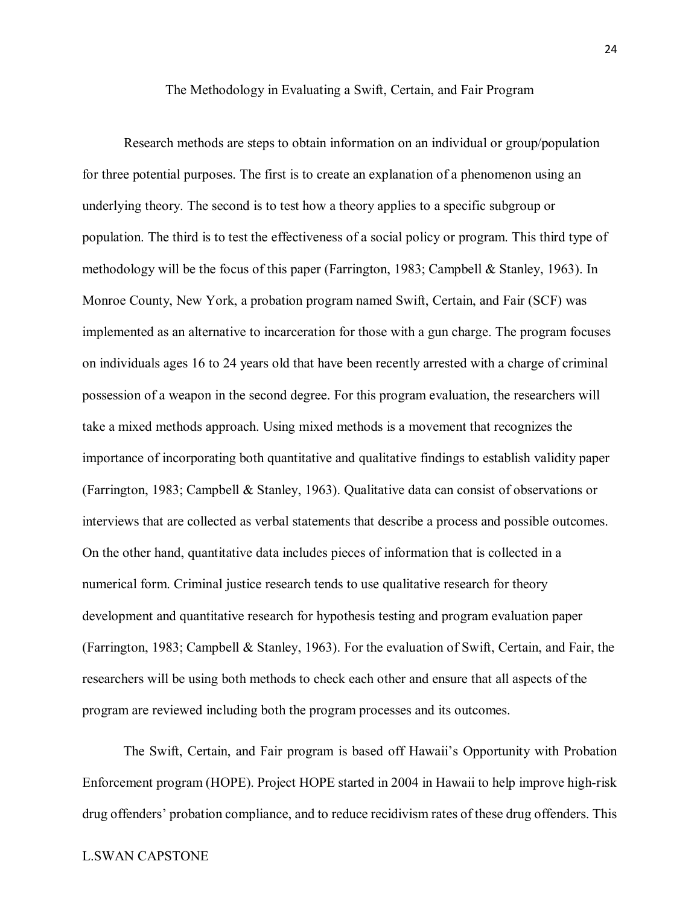The Methodology in Evaluating a Swift, Certain, and Fair Program

 Research methods are steps to obtain information on an individual or group/population for three potential purposes. The first is to create an explanation of a phenomenon using an underlying theory. The second is to test how a theory applies to a specific subgroup or population. The third is to test the effectiveness of a social policy or program. This third type of methodology will be the focus of this paper (Farrington, 1983; Campbell & Stanley, 1963). In Monroe County, New York, a probation program named Swift, Certain, and Fair (SCF) was implemented as an alternative to incarceration for those with a gun charge. The program focuses on individuals ages 16 to 24 years old that have been recently arrested with a charge of criminal possession of a weapon in the second degree. For this program evaluation, the researchers will take a mixed methods approach. Using mixed methods is a movement that recognizes the importance of incorporating both quantitative and qualitative findings to establish validity paper (Farrington, 1983; Campbell & Stanley, 1963). Qualitative data can consist of observations or interviews that are collected as verbal statements that describe a process and possible outcomes. On the other hand, quantitative data includes pieces of information that is collected in a numerical form. Criminal justice research tends to use qualitative research for theory development and quantitative research for hypothesis testing and program evaluation paper (Farrington, 1983; Campbell & Stanley, 1963). For the evaluation of Swift, Certain, and Fair, the researchers will be using both methods to check each other and ensure that all aspects of the program are reviewed including both the program processes and its outcomes.

The Swift, Certain, and Fair program is based off Hawaii's Opportunity with Probation Enforcement program (HOPE). Project HOPE started in 2004 in Hawaii to help improve high-risk drug offenders' probation compliance, and to reduce recidivism rates of these drug offenders. This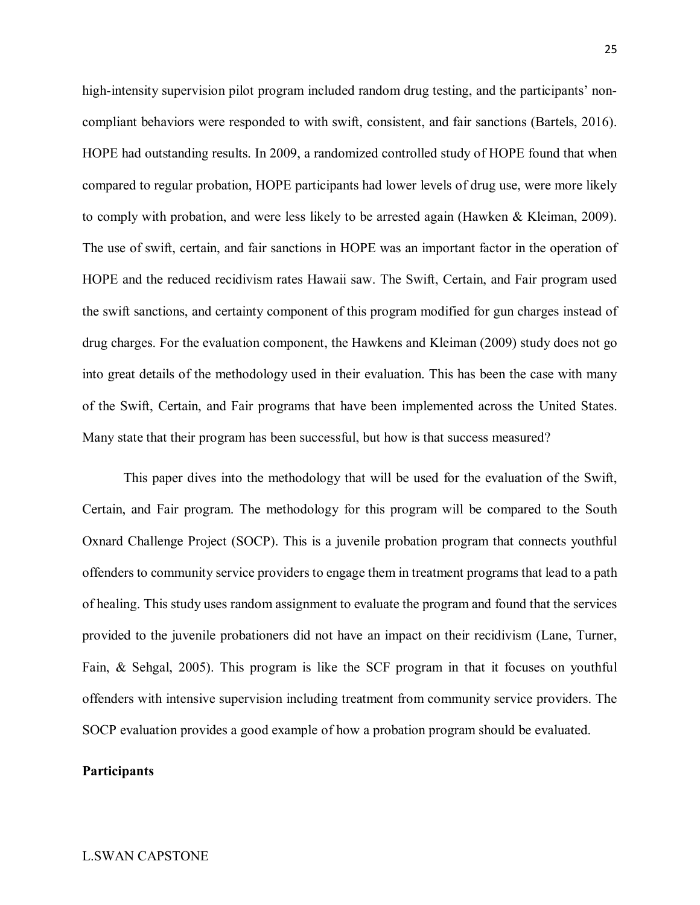high-intensity supervision pilot program included random drug testing, and the participants' noncompliant behaviors were responded to with swift, consistent, and fair sanctions (Bartels, 2016). HOPE had outstanding results. In 2009, a randomized controlled study of HOPE found that when compared to regular probation, HOPE participants had lower levels of drug use, were more likely to comply with probation, and were less likely to be arrested again (Hawken & Kleiman, 2009). The use of swift, certain, and fair sanctions in HOPE was an important factor in the operation of HOPE and the reduced recidivism rates Hawaii saw. The Swift, Certain, and Fair program used the swift sanctions, and certainty component of this program modified for gun charges instead of drug charges. For the evaluation component, the Hawkens and Kleiman (2009) study does not go into great details of the methodology used in their evaluation. This has been the case with many of the Swift, Certain, and Fair programs that have been implemented across the United States. Many state that their program has been successful, but how is that success measured?

This paper dives into the methodology that will be used for the evaluation of the Swift, Certain, and Fair program. The methodology for this program will be compared to the South Oxnard Challenge Project (SOCP). This is a juvenile probation program that connects youthful offenders to community service providers to engage them in treatment programs that lead to a path of healing. This study uses random assignment to evaluate the program and found that the services provided to the juvenile probationers did not have an impact on their recidivism (Lane, Turner, Fain, & Sehgal, 2005). This program is like the SCF program in that it focuses on youthful offenders with intensive supervision including treatment from community service providers. The SOCP evaluation provides a good example of how a probation program should be evaluated.

#### **Participants**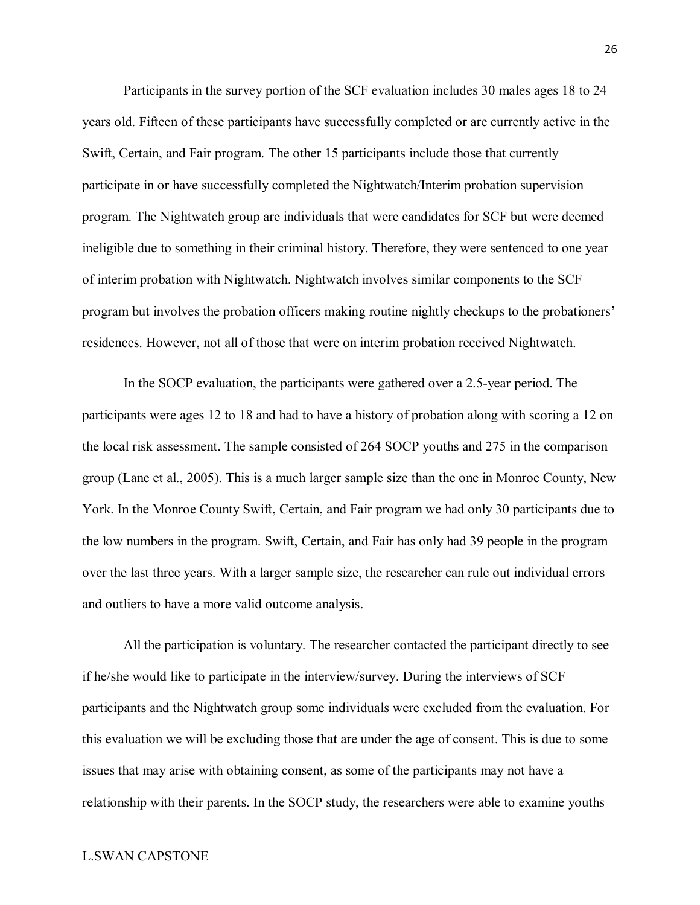Participants in the survey portion of the SCF evaluation includes 30 males ages 18 to 24 years old. Fifteen of these participants have successfully completed or are currently active in the Swift, Certain, and Fair program. The other 15 participants include those that currently participate in or have successfully completed the Nightwatch/Interim probation supervision program. The Nightwatch group are individuals that were candidates for SCF but were deemed ineligible due to something in their criminal history. Therefore, they were sentenced to one year of interim probation with Nightwatch. Nightwatch involves similar components to the SCF program but involves the probation officers making routine nightly checkups to the probationers' residences. However, not all of those that were on interim probation received Nightwatch.

In the SOCP evaluation, the participants were gathered over a 2.5-year period. The participants were ages 12 to 18 and had to have a history of probation along with scoring a 12 on the local risk assessment. The sample consisted of 264 SOCP youths and 275 in the comparison group (Lane et al., 2005). This is a much larger sample size than the one in Monroe County, New York. In the Monroe County Swift, Certain, and Fair program we had only 30 participants due to the low numbers in the program. Swift, Certain, and Fair has only had 39 people in the program over the last three years. With a larger sample size, the researcher can rule out individual errors and outliers to have a more valid outcome analysis.

All the participation is voluntary. The researcher contacted the participant directly to see if he/she would like to participate in the interview/survey. During the interviews of SCF participants and the Nightwatch group some individuals were excluded from the evaluation. For this evaluation we will be excluding those that are under the age of consent. This is due to some issues that may arise with obtaining consent, as some of the participants may not have a relationship with their parents. In the SOCP study, the researchers were able to examine youths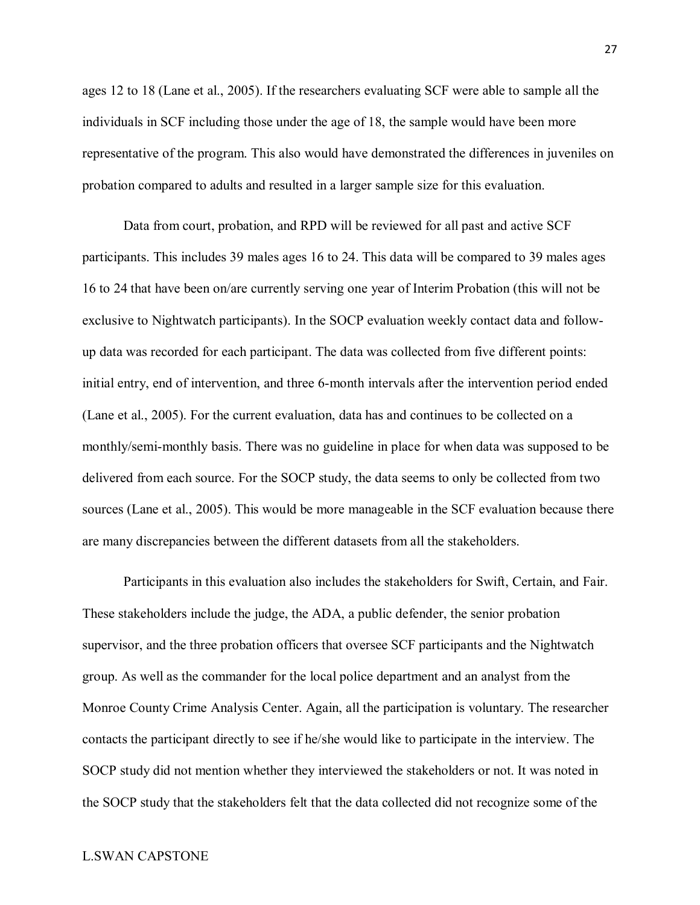ages 12 to 18 (Lane et al., 2005). If the researchers evaluating SCF were able to sample all the individuals in SCF including those under the age of 18, the sample would have been more representative of the program. This also would have demonstrated the differences in juveniles on probation compared to adults and resulted in a larger sample size for this evaluation.

Data from court, probation, and RPD will be reviewed for all past and active SCF participants. This includes 39 males ages 16 to 24. This data will be compared to 39 males ages 16 to 24 that have been on/are currently serving one year of Interim Probation (this will not be exclusive to Nightwatch participants). In the SOCP evaluation weekly contact data and followup data was recorded for each participant. The data was collected from five different points: initial entry, end of intervention, and three 6-month intervals after the intervention period ended (Lane et al., 2005). For the current evaluation, data has and continues to be collected on a monthly/semi-monthly basis. There was no guideline in place for when data was supposed to be delivered from each source. For the SOCP study, the data seems to only be collected from two sources (Lane et al., 2005). This would be more manageable in the SCF evaluation because there are many discrepancies between the different datasets from all the stakeholders.

Participants in this evaluation also includes the stakeholders for Swift, Certain, and Fair. These stakeholders include the judge, the ADA, a public defender, the senior probation supervisor, and the three probation officers that oversee SCF participants and the Nightwatch group. As well as the commander for the local police department and an analyst from the Monroe County Crime Analysis Center. Again, all the participation is voluntary. The researcher contacts the participant directly to see if he/she would like to participate in the interview. The SOCP study did not mention whether they interviewed the stakeholders or not. It was noted in the SOCP study that the stakeholders felt that the data collected did not recognize some of the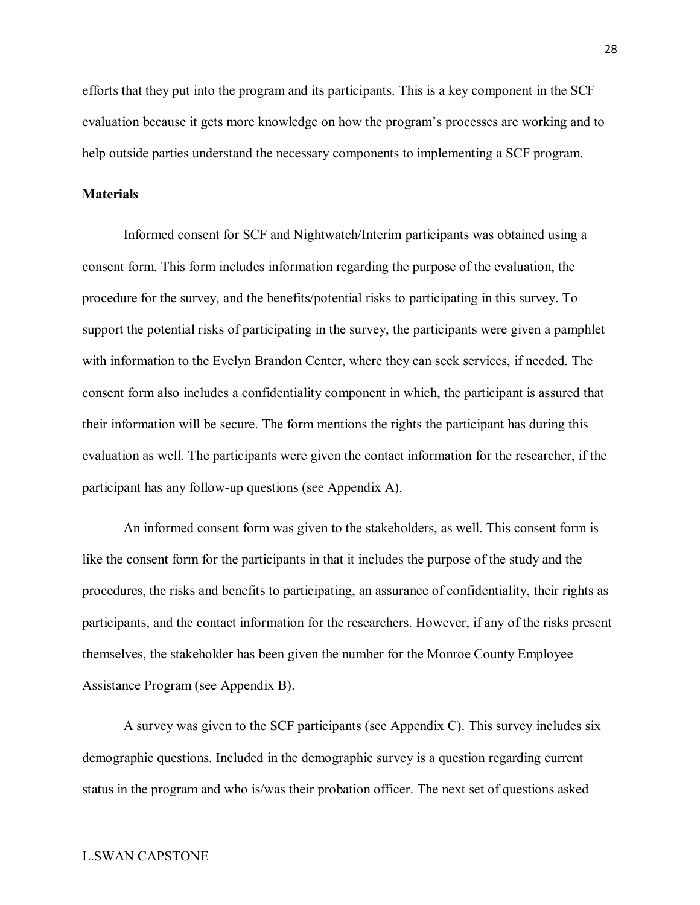efforts that they put into the program and its participants. This is a key component in the SCF evaluation because it gets more knowledge on how the program's processes are working and to help outside parties understand the necessary components to implementing a SCF program.

#### **Materials**

Informed consent for SCF and Nightwatch/Interim participants was obtained using a consent form. This form includes information regarding the purpose of the evaluation, the procedure for the survey, and the benefits/potential risks to participating in this survey. To support the potential risks of participating in the survey, the participants were given a pamphlet with information to the Evelyn Brandon Center, where they can seek services, if needed. The consent form also includes a confidentiality component in which, the participant is assured that their information will be secure. The form mentions the rights the participant has during this evaluation as well. The participants were given the contact information for the researcher, if the participant has any follow-up questions (see Appendix A).

An informed consent form was given to the stakeholders, as well. This consent form is like the consent form for the participants in that it includes the purpose of the study and the procedures, the risks and benefits to participating, an assurance of confidentiality, their rights as participants, and the contact information for the researchers. However, if any of the risks present themselves, the stakeholder has been given the number for the Monroe County Employee Assistance Program (see Appendix B).

A survey was given to the SCF participants (see Appendix C). This survey includes six demographic questions. Included in the demographic survey is a question regarding current status in the program and who is/was their probation officer. The next set of questions asked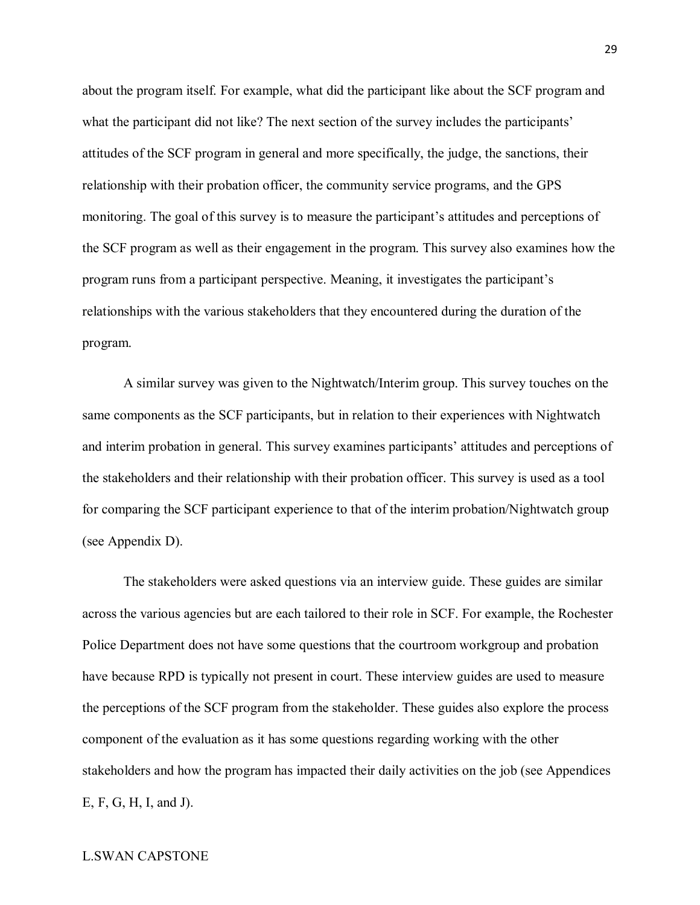about the program itself. For example, what did the participant like about the SCF program and what the participant did not like? The next section of the survey includes the participants' attitudes of the SCF program in general and more specifically, the judge, the sanctions, their relationship with their probation officer, the community service programs, and the GPS monitoring. The goal of this survey is to measure the participant's attitudes and perceptions of the SCF program as well as their engagement in the program. This survey also examines how the program runs from a participant perspective. Meaning, it investigates the participant's relationships with the various stakeholders that they encountered during the duration of the program.

A similar survey was given to the Nightwatch/Interim group. This survey touches on the same components as the SCF participants, but in relation to their experiences with Nightwatch and interim probation in general. This survey examines participants' attitudes and perceptions of the stakeholders and their relationship with their probation officer. This survey is used as a tool for comparing the SCF participant experience to that of the interim probation/Nightwatch group (see Appendix D).

The stakeholders were asked questions via an interview guide. These guides are similar across the various agencies but are each tailored to their role in SCF. For example, the Rochester Police Department does not have some questions that the courtroom workgroup and probation have because RPD is typically not present in court. These interview guides are used to measure the perceptions of the SCF program from the stakeholder. These guides also explore the process component of the evaluation as it has some questions regarding working with the other stakeholders and how the program has impacted their daily activities on the job (see Appendices E, F, G, H, I, and J).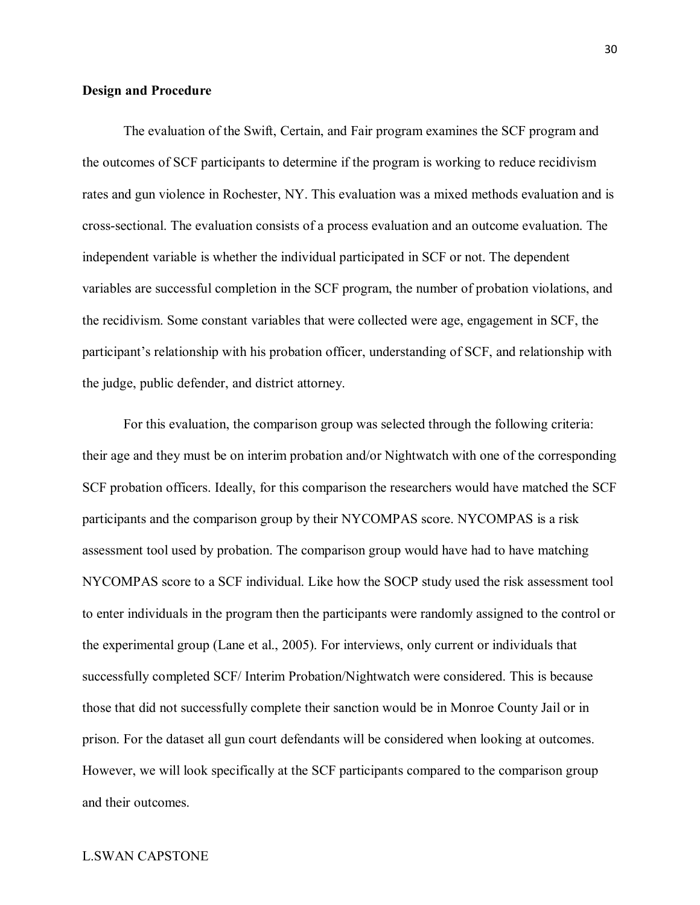#### **Design and Procedure**

The evaluation of the Swift, Certain, and Fair program examines the SCF program and the outcomes of SCF participants to determine if the program is working to reduce recidivism rates and gun violence in Rochester, NY. This evaluation was a mixed methods evaluation and is cross-sectional. The evaluation consists of a process evaluation and an outcome evaluation. The independent variable is whether the individual participated in SCF or not. The dependent variables are successful completion in the SCF program, the number of probation violations, and the recidivism. Some constant variables that were collected were age, engagement in SCF, the participant's relationship with his probation officer, understanding of SCF, and relationship with the judge, public defender, and district attorney.

For this evaluation, the comparison group was selected through the following criteria: their age and they must be on interim probation and/or Nightwatch with one of the corresponding SCF probation officers. Ideally, for this comparison the researchers would have matched the SCF participants and the comparison group by their NYCOMPAS score. NYCOMPAS is a risk assessment tool used by probation. The comparison group would have had to have matching NYCOMPAS score to a SCF individual. Like how the SOCP study used the risk assessment tool to enter individuals in the program then the participants were randomly assigned to the control or the experimental group (Lane et al., 2005). For interviews, only current or individuals that successfully completed SCF/ Interim Probation/Nightwatch were considered. This is because those that did not successfully complete their sanction would be in Monroe County Jail or in prison. For the dataset all gun court defendants will be considered when looking at outcomes. However, we will look specifically at the SCF participants compared to the comparison group and their outcomes.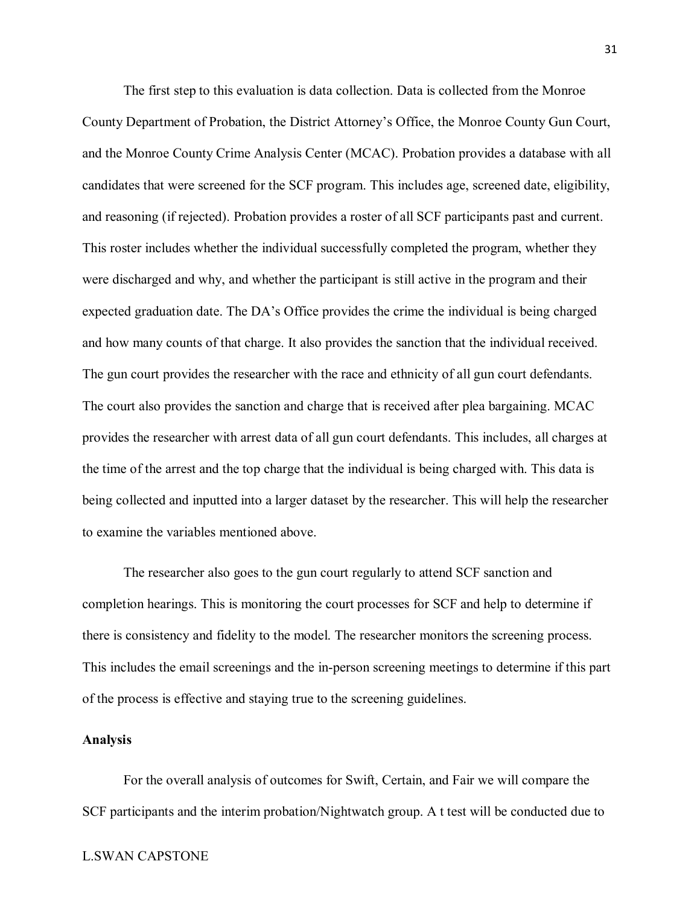The first step to this evaluation is data collection. Data is collected from the Monroe County Department of Probation, the District Attorney's Office, the Monroe County Gun Court, and the Monroe County Crime Analysis Center (MCAC). Probation provides a database with all candidates that were screened for the SCF program. This includes age, screened date, eligibility, and reasoning (if rejected). Probation provides a roster of all SCF participants past and current. This roster includes whether the individual successfully completed the program, whether they were discharged and why, and whether the participant is still active in the program and their expected graduation date. The DA's Office provides the crime the individual is being charged and how many counts of that charge. It also provides the sanction that the individual received. The gun court provides the researcher with the race and ethnicity of all gun court defendants. The court also provides the sanction and charge that is received after plea bargaining. MCAC provides the researcher with arrest data of all gun court defendants. This includes, all charges at the time of the arrest and the top charge that the individual is being charged with. This data is being collected and inputted into a larger dataset by the researcher. This will help the researcher to examine the variables mentioned above.

The researcher also goes to the gun court regularly to attend SCF sanction and completion hearings. This is monitoring the court processes for SCF and help to determine if there is consistency and fidelity to the model. The researcher monitors the screening process. This includes the email screenings and the in-person screening meetings to determine if this part of the process is effective and staying true to the screening guidelines.

#### **Analysis**

For the overall analysis of outcomes for Swift, Certain, and Fair we will compare the SCF participants and the interim probation/Nightwatch group. A t test will be conducted due to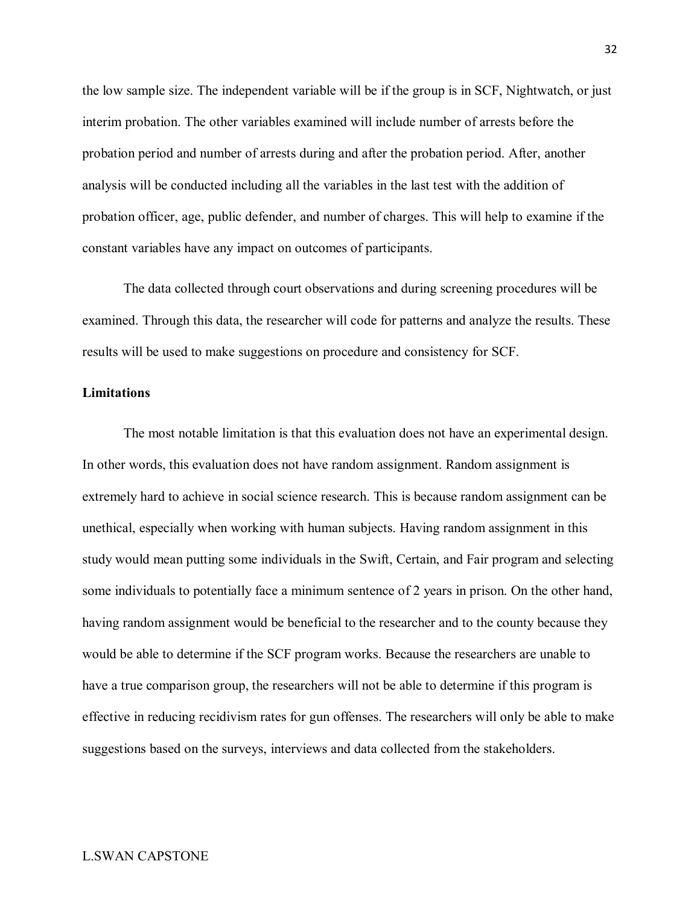the low sample size. The independent variable will be if the group is in SCF, Nightwatch, or just interim probation. The other variables examined will include number of arrests before the probation period and number of arrests during and after the probation period. After, another analysis will be conducted including all the variables in the last test with the addition of probation officer, age, public defender, and number of charges. This will help to examine if the constant variables have any impact on outcomes of participants.

The data collected through court observations and during screening procedures will be examined. Through this data, the researcher will code for patterns and analyze the results. These results will be used to make suggestions on procedure and consistency for SCF.

#### **Limitations**

The most notable limitation is that this evaluation does not have an experimental design. In other words, this evaluation does not have random assignment. Random assignment is extremely hard to achieve in social science research. This is because random assignment can be unethical, especially when working with human subjects. Having random assignment in this study would mean putting some individuals in the Swift, Certain, and Fair program and selecting some individuals to potentially face a minimum sentence of 2 years in prison. On the other hand, having random assignment would be beneficial to the researcher and to the county because they would be able to determine if the SCF program works. Because the researchers are unable to have a true comparison group, the researchers will not be able to determine if this program is effective in reducing recidivism rates for gun offenses. The researchers will only be able to make suggestions based on the surveys, interviews and data collected from the stakeholders.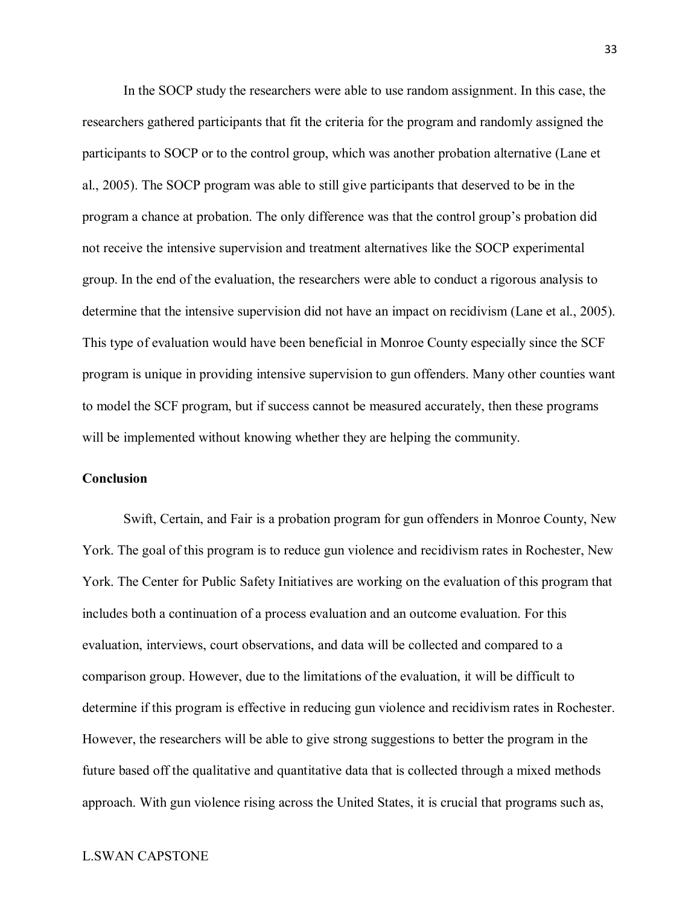In the SOCP study the researchers were able to use random assignment. In this case, the researchers gathered participants that fit the criteria for the program and randomly assigned the participants to SOCP or to the control group, which was another probation alternative (Lane et al., 2005). The SOCP program was able to still give participants that deserved to be in the program a chance at probation. The only difference was that the control group's probation did not receive the intensive supervision and treatment alternatives like the SOCP experimental group. In the end of the evaluation, the researchers were able to conduct a rigorous analysis to determine that the intensive supervision did not have an impact on recidivism (Lane et al., 2005). This type of evaluation would have been beneficial in Monroe County especially since the SCF program is unique in providing intensive supervision to gun offenders. Many other counties want to model the SCF program, but if success cannot be measured accurately, then these programs will be implemented without knowing whether they are helping the community.

#### **Conclusion**

Swift, Certain, and Fair is a probation program for gun offenders in Monroe County, New York. The goal of this program is to reduce gun violence and recidivism rates in Rochester, New York. The Center for Public Safety Initiatives are working on the evaluation of this program that includes both a continuation of a process evaluation and an outcome evaluation. For this evaluation, interviews, court observations, and data will be collected and compared to a comparison group. However, due to the limitations of the evaluation, it will be difficult to determine if this program is effective in reducing gun violence and recidivism rates in Rochester. However, the researchers will be able to give strong suggestions to better the program in the future based off the qualitative and quantitative data that is collected through a mixed methods approach. With gun violence rising across the United States, it is crucial that programs such as,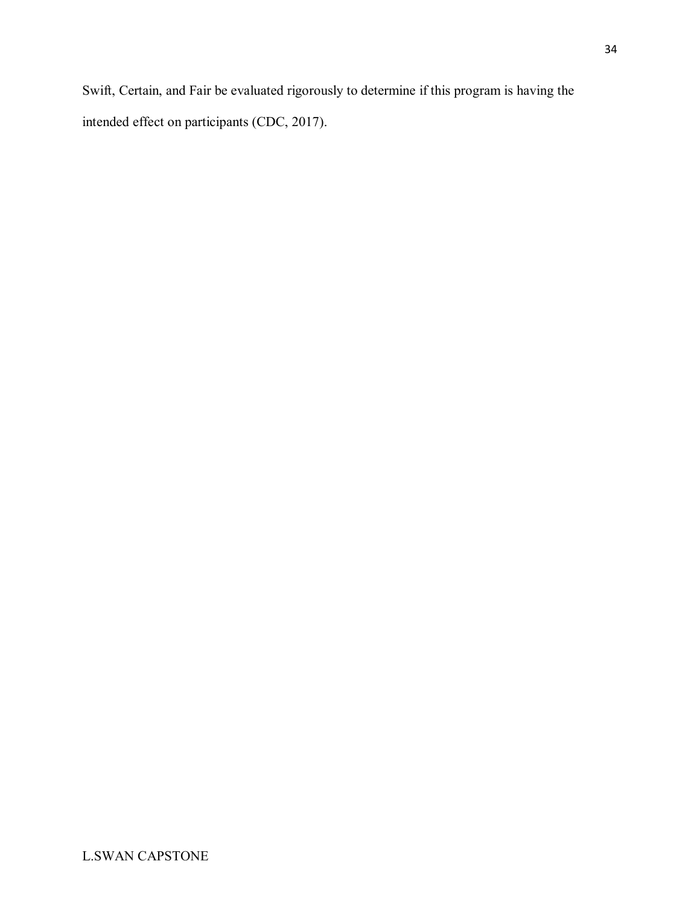Swift, Certain, and Fair be evaluated rigorously to determine if this program is having the intended effect on participants (CDC, 2017).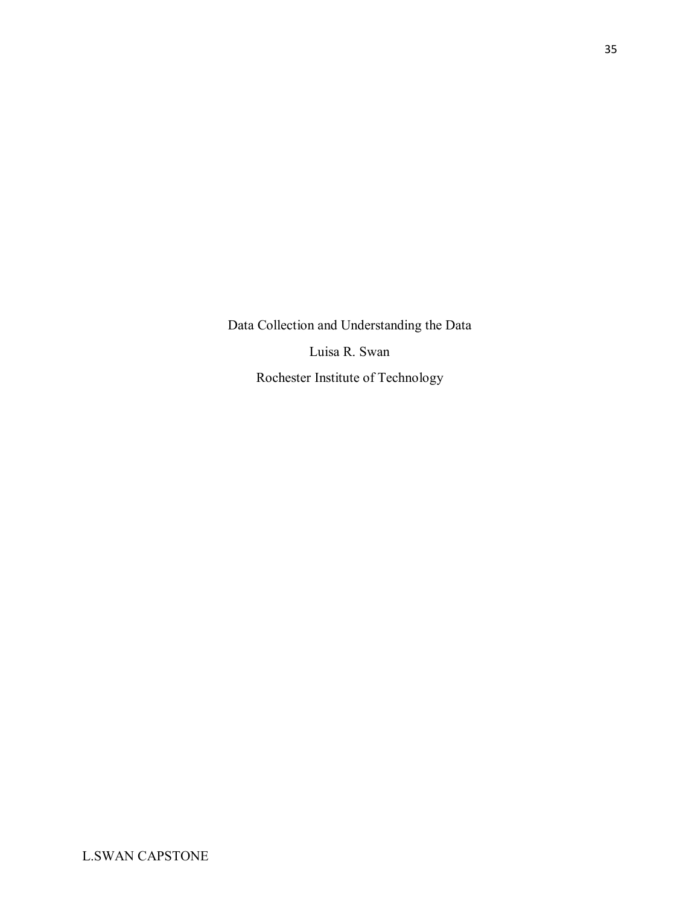Data Collection and Understanding the Data Luisa R. Swan Rochester Institute of Technology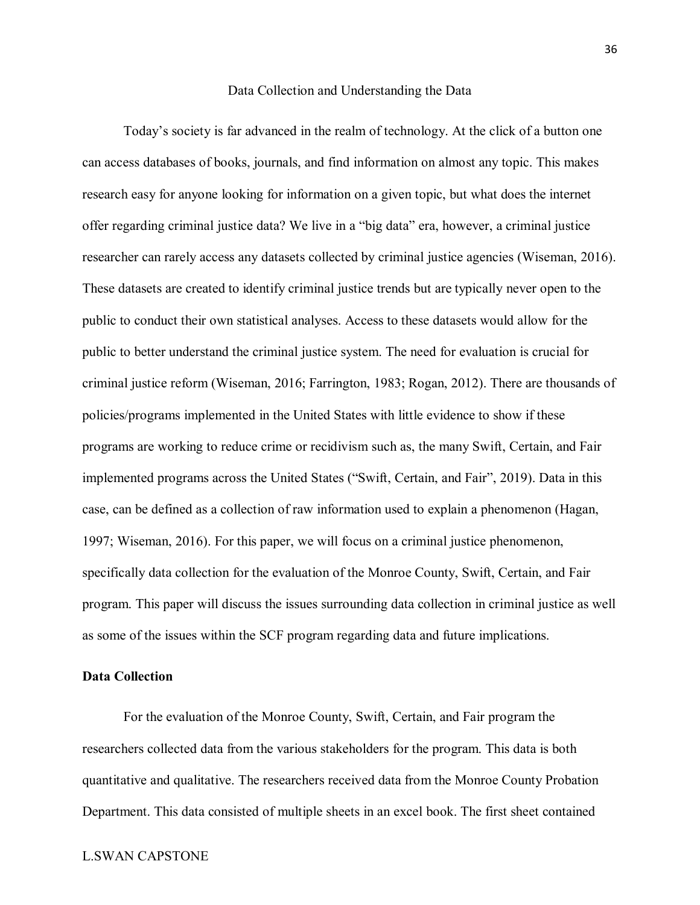#### Data Collection and Understanding the Data

Today's society is far advanced in the realm of technology. At the click of a button one can access databases of books, journals, and find information on almost any topic. This makes research easy for anyone looking for information on a given topic, but what does the internet offer regarding criminal justice data? We live in a "big data" era, however, a criminal justice researcher can rarely access any datasets collected by criminal justice agencies (Wiseman, 2016). These datasets are created to identify criminal justice trends but are typically never open to the public to conduct their own statistical analyses. Access to these datasets would allow for the public to better understand the criminal justice system. The need for evaluation is crucial for criminal justice reform (Wiseman, 2016; Farrington, 1983; Rogan, 2012). There are thousands of policies/programs implemented in the United States with little evidence to show if these programs are working to reduce crime or recidivism such as, the many Swift, Certain, and Fair implemented programs across the United States ("Swift, Certain, and Fair", 2019). Data in this case, can be defined as a collection of raw information used to explain a phenomenon (Hagan, 1997; Wiseman, 2016). For this paper, we will focus on a criminal justice phenomenon, specifically data collection for the evaluation of the Monroe County, Swift, Certain, and Fair program. This paper will discuss the issues surrounding data collection in criminal justice as well as some of the issues within the SCF program regarding data and future implications.

#### **Data Collection**

For the evaluation of the Monroe County, Swift, Certain, and Fair program the researchers collected data from the various stakeholders for the program. This data is both quantitative and qualitative. The researchers received data from the Monroe County Probation Department. This data consisted of multiple sheets in an excel book. The first sheet contained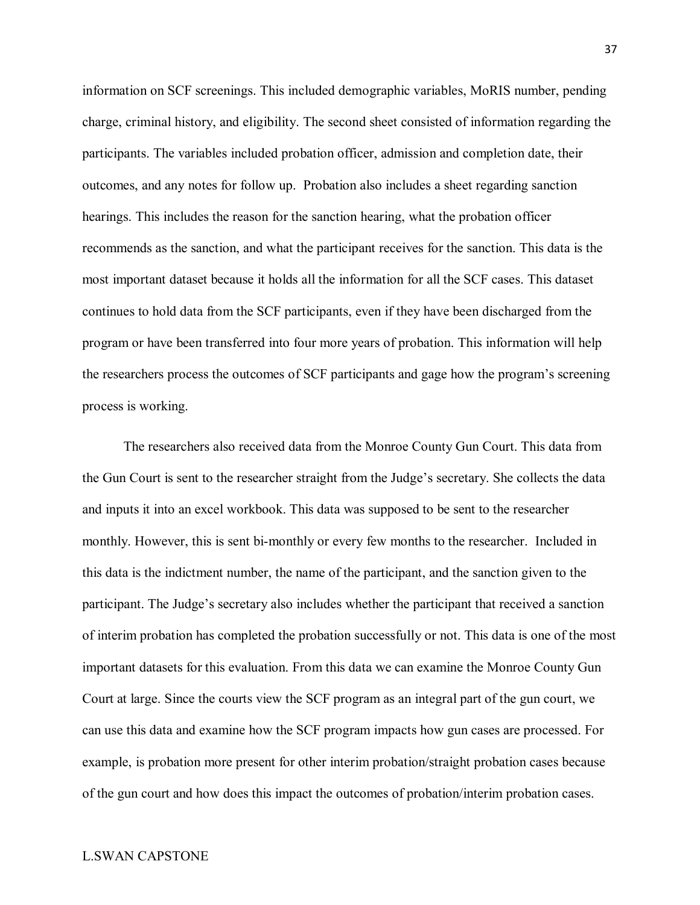information on SCF screenings. This included demographic variables, MoRIS number, pending charge, criminal history, and eligibility. The second sheet consisted of information regarding the participants. The variables included probation officer, admission and completion date, their outcomes, and any notes for follow up. Probation also includes a sheet regarding sanction hearings. This includes the reason for the sanction hearing, what the probation officer recommends as the sanction, and what the participant receives for the sanction. This data is the most important dataset because it holds all the information for all the SCF cases. This dataset continues to hold data from the SCF participants, even if they have been discharged from the program or have been transferred into four more years of probation. This information will help the researchers process the outcomes of SCF participants and gage how the program's screening process is working.

The researchers also received data from the Monroe County Gun Court. This data from the Gun Court is sent to the researcher straight from the Judge's secretary. She collects the data and inputs it into an excel workbook. This data was supposed to be sent to the researcher monthly. However, this is sent bi-monthly or every few months to the researcher. Included in this data is the indictment number, the name of the participant, and the sanction given to the participant. The Judge's secretary also includes whether the participant that received a sanction of interim probation has completed the probation successfully or not. This data is one of the most important datasets for this evaluation. From this data we can examine the Monroe County Gun Court at large. Since the courts view the SCF program as an integral part of the gun court, we can use this data and examine how the SCF program impacts how gun cases are processed. For example, is probation more present for other interim probation/straight probation cases because of the gun court and how does this impact the outcomes of probation/interim probation cases.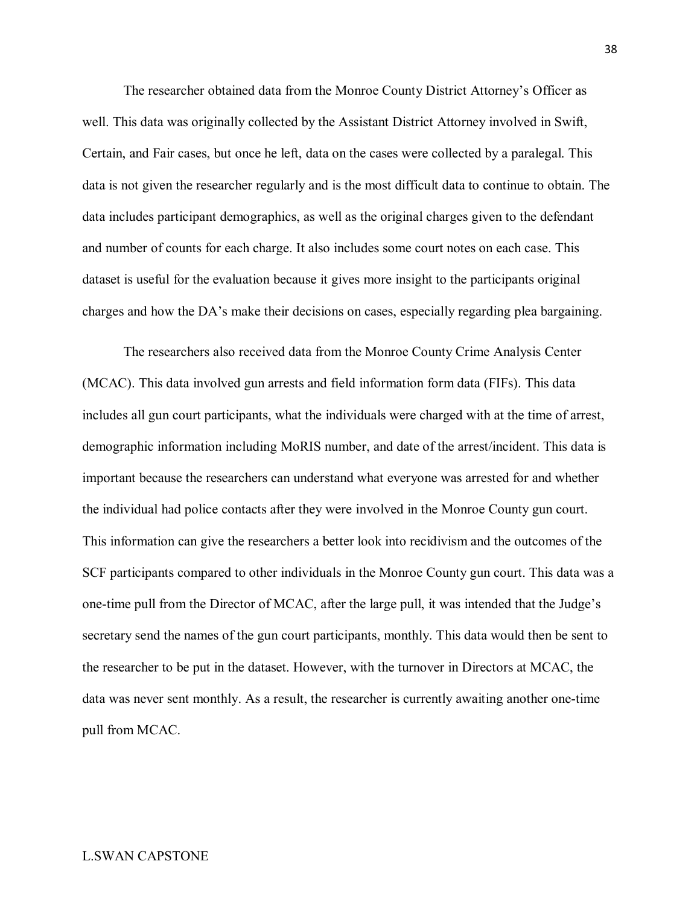The researcher obtained data from the Monroe County District Attorney's Officer as well. This data was originally collected by the Assistant District Attorney involved in Swift, Certain, and Fair cases, but once he left, data on the cases were collected by a paralegal. This data is not given the researcher regularly and is the most difficult data to continue to obtain. The data includes participant demographics, as well as the original charges given to the defendant and number of counts for each charge. It also includes some court notes on each case. This dataset is useful for the evaluation because it gives more insight to the participants original charges and how the DA's make their decisions on cases, especially regarding plea bargaining.

The researchers also received data from the Monroe County Crime Analysis Center (MCAC). This data involved gun arrests and field information form data (FIFs). This data includes all gun court participants, what the individuals were charged with at the time of arrest, demographic information including MoRIS number, and date of the arrest/incident. This data is important because the researchers can understand what everyone was arrested for and whether the individual had police contacts after they were involved in the Monroe County gun court. This information can give the researchers a better look into recidivism and the outcomes of the SCF participants compared to other individuals in the Monroe County gun court. This data was a one-time pull from the Director of MCAC, after the large pull, it was intended that the Judge's secretary send the names of the gun court participants, monthly. This data would then be sent to the researcher to be put in the dataset. However, with the turnover in Directors at MCAC, the data was never sent monthly. As a result, the researcher is currently awaiting another one-time pull from MCAC.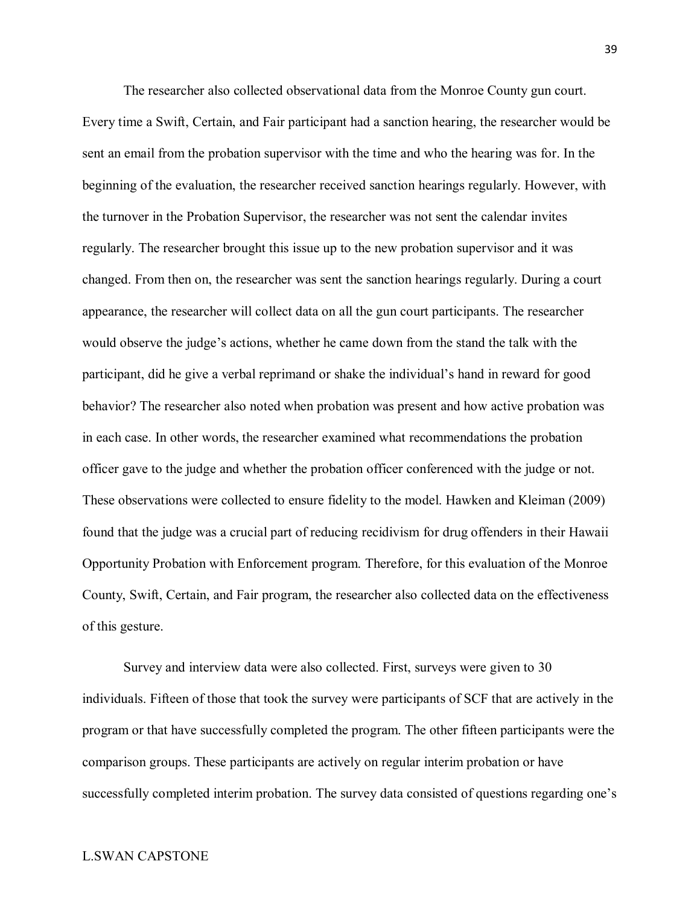The researcher also collected observational data from the Monroe County gun court. Every time a Swift, Certain, and Fair participant had a sanction hearing, the researcher would be sent an email from the probation supervisor with the time and who the hearing was for. In the beginning of the evaluation, the researcher received sanction hearings regularly. However, with the turnover in the Probation Supervisor, the researcher was not sent the calendar invites regularly. The researcher brought this issue up to the new probation supervisor and it was changed. From then on, the researcher was sent the sanction hearings regularly. During a court appearance, the researcher will collect data on all the gun court participants. The researcher would observe the judge's actions, whether he came down from the stand the talk with the participant, did he give a verbal reprimand or shake the individual's hand in reward for good behavior? The researcher also noted when probation was present and how active probation was in each case. In other words, the researcher examined what recommendations the probation officer gave to the judge and whether the probation officer conferenced with the judge or not. These observations were collected to ensure fidelity to the model. Hawken and Kleiman (2009) found that the judge was a crucial part of reducing recidivism for drug offenders in their Hawaii Opportunity Probation with Enforcement program. Therefore, for this evaluation of the Monroe County, Swift, Certain, and Fair program, the researcher also collected data on the effectiveness of this gesture.

Survey and interview data were also collected. First, surveys were given to 30 individuals. Fifteen of those that took the survey were participants of SCF that are actively in the program or that have successfully completed the program. The other fifteen participants were the comparison groups. These participants are actively on regular interim probation or have successfully completed interim probation. The survey data consisted of questions regarding one's

39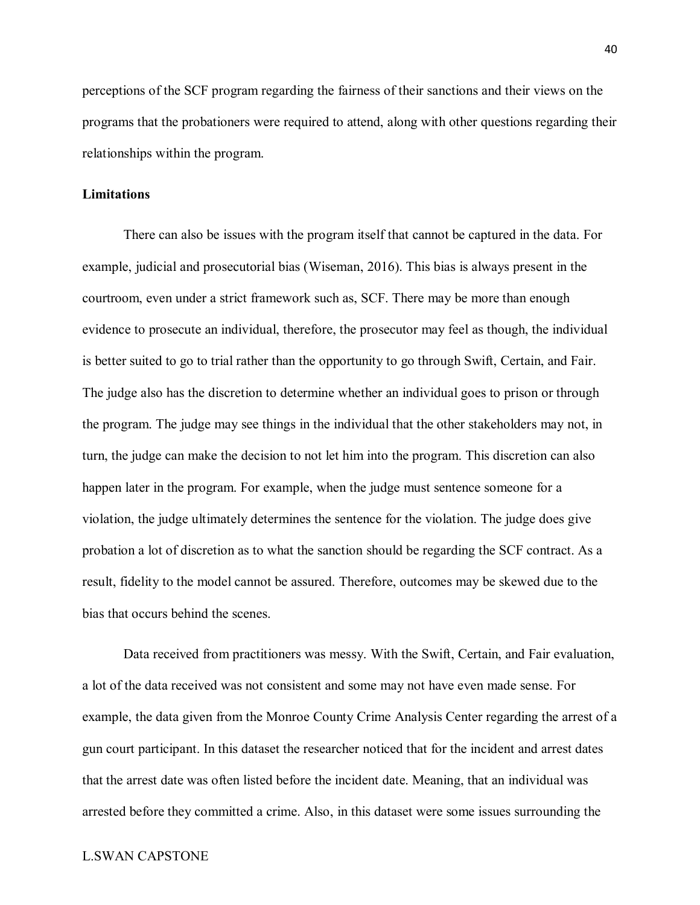perceptions of the SCF program regarding the fairness of their sanctions and their views on the programs that the probationers were required to attend, along with other questions regarding their relationships within the program.

#### **Limitations**

There can also be issues with the program itself that cannot be captured in the data. For example, judicial and prosecutorial bias (Wiseman, 2016). This bias is always present in the courtroom, even under a strict framework such as, SCF. There may be more than enough evidence to prosecute an individual, therefore, the prosecutor may feel as though, the individual is better suited to go to trial rather than the opportunity to go through Swift, Certain, and Fair. The judge also has the discretion to determine whether an individual goes to prison or through the program. The judge may see things in the individual that the other stakeholders may not, in turn, the judge can make the decision to not let him into the program. This discretion can also happen later in the program. For example, when the judge must sentence someone for a violation, the judge ultimately determines the sentence for the violation. The judge does give probation a lot of discretion as to what the sanction should be regarding the SCF contract. As a result, fidelity to the model cannot be assured. Therefore, outcomes may be skewed due to the bias that occurs behind the scenes.

Data received from practitioners was messy. With the Swift, Certain, and Fair evaluation, a lot of the data received was not consistent and some may not have even made sense. For example, the data given from the Monroe County Crime Analysis Center regarding the arrest of a gun court participant. In this dataset the researcher noticed that for the incident and arrest dates that the arrest date was often listed before the incident date. Meaning, that an individual was arrested before they committed a crime. Also, in this dataset were some issues surrounding the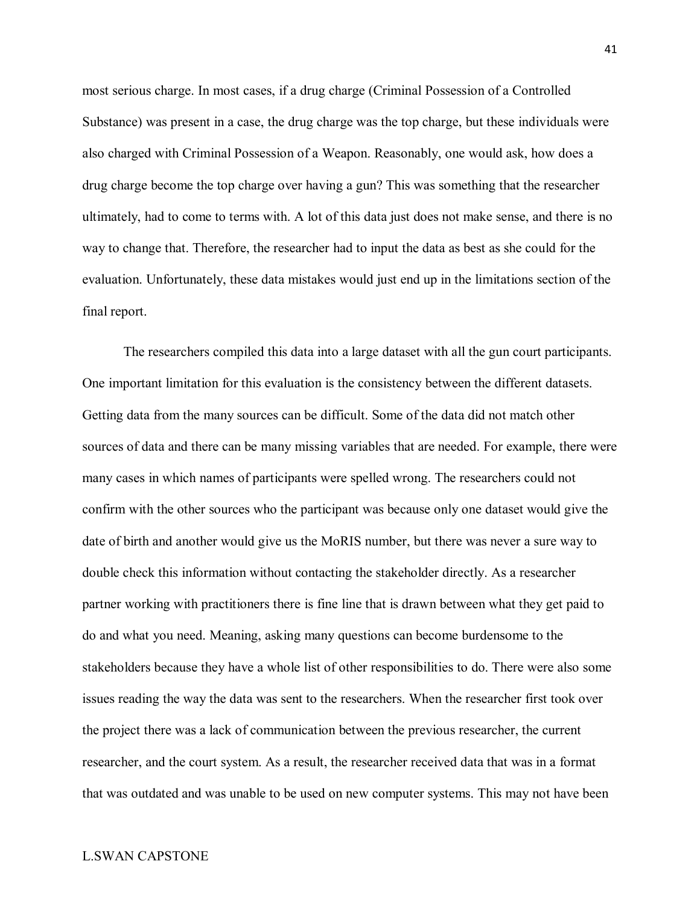most serious charge. In most cases, if a drug charge (Criminal Possession of a Controlled Substance) was present in a case, the drug charge was the top charge, but these individuals were also charged with Criminal Possession of a Weapon. Reasonably, one would ask, how does a drug charge become the top charge over having a gun? This was something that the researcher ultimately, had to come to terms with. A lot of this data just does not make sense, and there is no way to change that. Therefore, the researcher had to input the data as best as she could for the evaluation. Unfortunately, these data mistakes would just end up in the limitations section of the final report.

The researchers compiled this data into a large dataset with all the gun court participants. One important limitation for this evaluation is the consistency between the different datasets. Getting data from the many sources can be difficult. Some of the data did not match other sources of data and there can be many missing variables that are needed. For example, there were many cases in which names of participants were spelled wrong. The researchers could not confirm with the other sources who the participant was because only one dataset would give the date of birth and another would give us the MoRIS number, but there was never a sure way to double check this information without contacting the stakeholder directly. As a researcher partner working with practitioners there is fine line that is drawn between what they get paid to do and what you need. Meaning, asking many questions can become burdensome to the stakeholders because they have a whole list of other responsibilities to do. There were also some issues reading the way the data was sent to the researchers. When the researcher first took over the project there was a lack of communication between the previous researcher, the current researcher, and the court system. As a result, the researcher received data that was in a format that was outdated and was unable to be used on new computer systems. This may not have been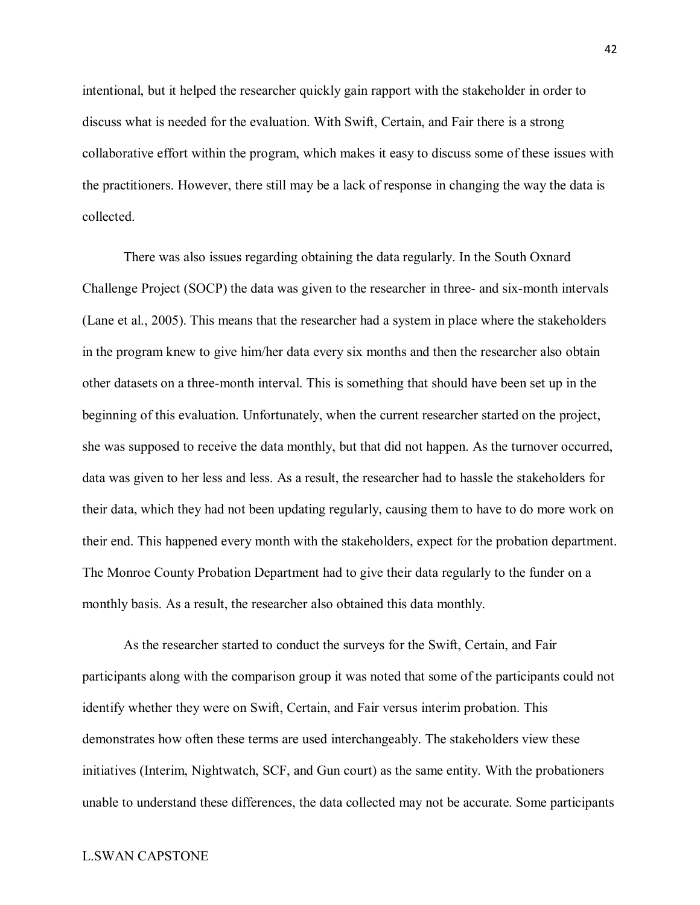intentional, but it helped the researcher quickly gain rapport with the stakeholder in order to discuss what is needed for the evaluation. With Swift, Certain, and Fair there is a strong collaborative effort within the program, which makes it easy to discuss some of these issues with the practitioners. However, there still may be a lack of response in changing the way the data is collected.

There was also issues regarding obtaining the data regularly. In the South Oxnard Challenge Project (SOCP) the data was given to the researcher in three- and six-month intervals (Lane et al., 2005). This means that the researcher had a system in place where the stakeholders in the program knew to give him/her data every six months and then the researcher also obtain other datasets on a three-month interval. This is something that should have been set up in the beginning of this evaluation. Unfortunately, when the current researcher started on the project, she was supposed to receive the data monthly, but that did not happen. As the turnover occurred, data was given to her less and less. As a result, the researcher had to hassle the stakeholders for their data, which they had not been updating regularly, causing them to have to do more work on their end. This happened every month with the stakeholders, expect for the probation department. The Monroe County Probation Department had to give their data regularly to the funder on a monthly basis. As a result, the researcher also obtained this data monthly.

As the researcher started to conduct the surveys for the Swift, Certain, and Fair participants along with the comparison group it was noted that some of the participants could not identify whether they were on Swift, Certain, and Fair versus interim probation. This demonstrates how often these terms are used interchangeably. The stakeholders view these initiatives (Interim, Nightwatch, SCF, and Gun court) as the same entity. With the probationers unable to understand these differences, the data collected may not be accurate. Some participants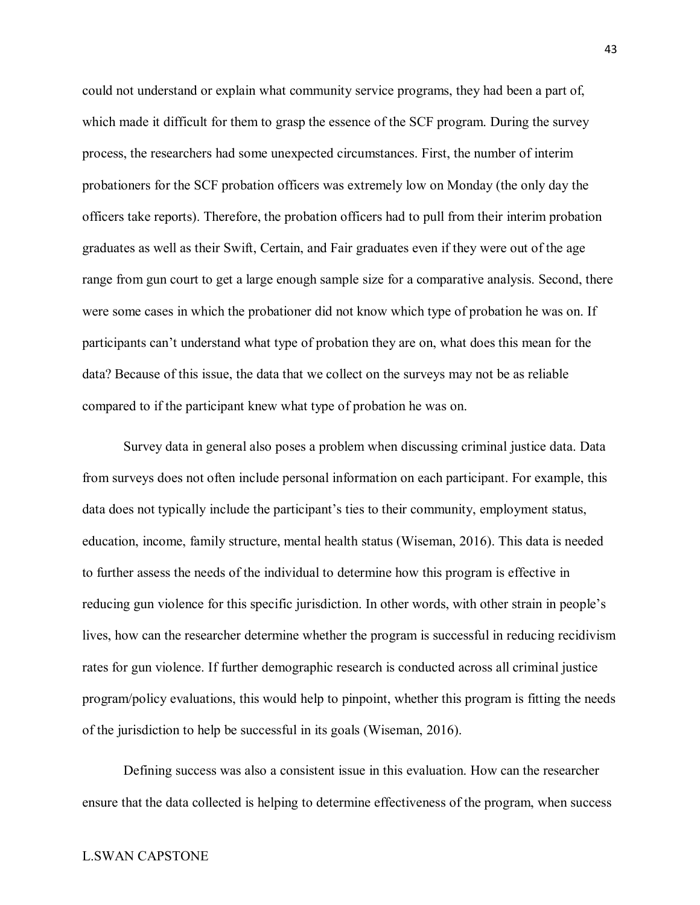could not understand or explain what community service programs, they had been a part of, which made it difficult for them to grasp the essence of the SCF program. During the survey process, the researchers had some unexpected circumstances. First, the number of interim probationers for the SCF probation officers was extremely low on Monday (the only day the officers take reports). Therefore, the probation officers had to pull from their interim probation graduates as well as their Swift, Certain, and Fair graduates even if they were out of the age range from gun court to get a large enough sample size for a comparative analysis. Second, there were some cases in which the probationer did not know which type of probation he was on. If participants can't understand what type of probation they are on, what does this mean for the data? Because of this issue, the data that we collect on the surveys may not be as reliable compared to if the participant knew what type of probation he was on.

Survey data in general also poses a problem when discussing criminal justice data. Data from surveys does not often include personal information on each participant. For example, this data does not typically include the participant's ties to their community, employment status, education, income, family structure, mental health status (Wiseman, 2016). This data is needed to further assess the needs of the individual to determine how this program is effective in reducing gun violence for this specific jurisdiction. In other words, with other strain in people's lives, how can the researcher determine whether the program is successful in reducing recidivism rates for gun violence. If further demographic research is conducted across all criminal justice program/policy evaluations, this would help to pinpoint, whether this program is fitting the needs of the jurisdiction to help be successful in its goals (Wiseman, 2016).

Defining success was also a consistent issue in this evaluation. How can the researcher ensure that the data collected is helping to determine effectiveness of the program, when success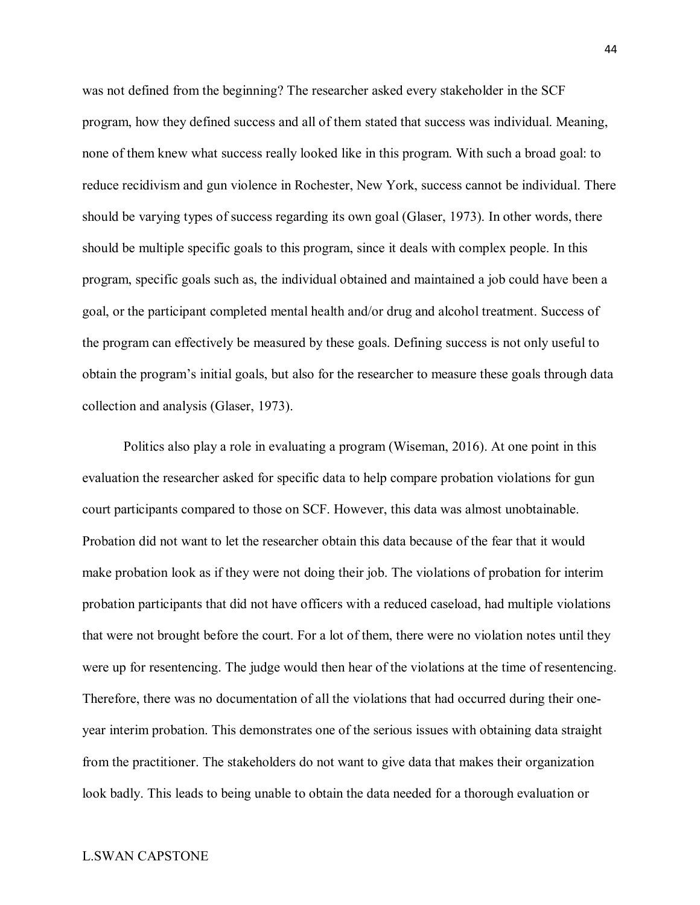was not defined from the beginning? The researcher asked every stakeholder in the SCF program, how they defined success and all of them stated that success was individual. Meaning, none of them knew what success really looked like in this program. With such a broad goal: to reduce recidivism and gun violence in Rochester, New York, success cannot be individual. There should be varying types of success regarding its own goal (Glaser, 1973). In other words, there should be multiple specific goals to this program, since it deals with complex people. In this program, specific goals such as, the individual obtained and maintained a job could have been a goal, or the participant completed mental health and/or drug and alcohol treatment. Success of the program can effectively be measured by these goals. Defining success is not only useful to obtain the program's initial goals, but also for the researcher to measure these goals through data collection and analysis (Glaser, 1973).

Politics also play a role in evaluating a program (Wiseman, 2016). At one point in this evaluation the researcher asked for specific data to help compare probation violations for gun court participants compared to those on SCF. However, this data was almost unobtainable. Probation did not want to let the researcher obtain this data because of the fear that it would make probation look as if they were not doing their job. The violations of probation for interim probation participants that did not have officers with a reduced caseload, had multiple violations that were not brought before the court. For a lot of them, there were no violation notes until they were up for resentencing. The judge would then hear of the violations at the time of resentencing. Therefore, there was no documentation of all the violations that had occurred during their oneyear interim probation. This demonstrates one of the serious issues with obtaining data straight from the practitioner. The stakeholders do not want to give data that makes their organization look badly. This leads to being unable to obtain the data needed for a thorough evaluation or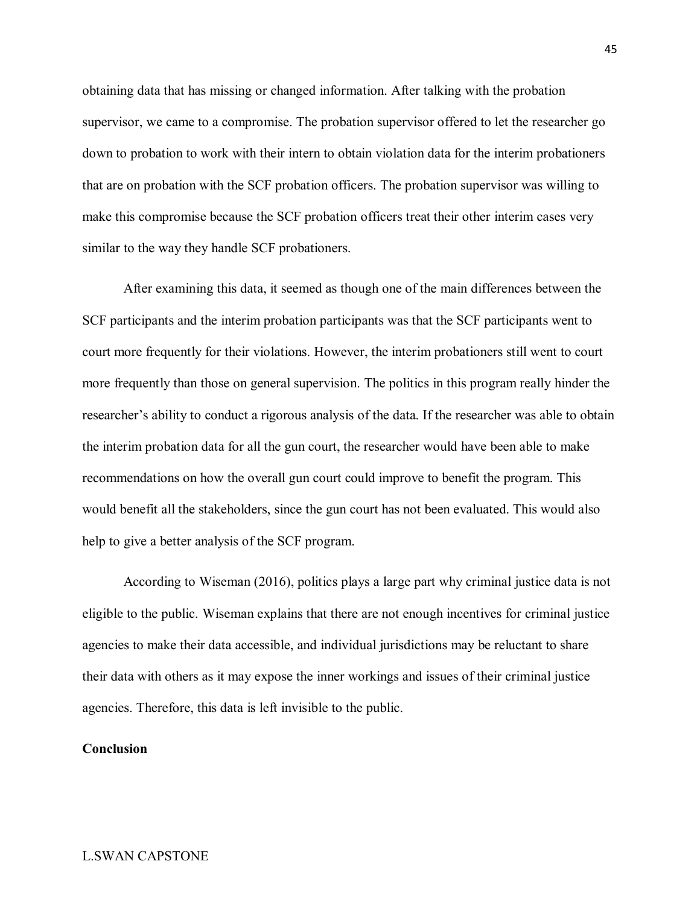obtaining data that has missing or changed information. After talking with the probation supervisor, we came to a compromise. The probation supervisor offered to let the researcher go down to probation to work with their intern to obtain violation data for the interim probationers that are on probation with the SCF probation officers. The probation supervisor was willing to make this compromise because the SCF probation officers treat their other interim cases very similar to the way they handle SCF probationers.

After examining this data, it seemed as though one of the main differences between the SCF participants and the interim probation participants was that the SCF participants went to court more frequently for their violations. However, the interim probationers still went to court more frequently than those on general supervision. The politics in this program really hinder the researcher's ability to conduct a rigorous analysis of the data. If the researcher was able to obtain the interim probation data for all the gun court, the researcher would have been able to make recommendations on how the overall gun court could improve to benefit the program. This would benefit all the stakeholders, since the gun court has not been evaluated. This would also help to give a better analysis of the SCF program.

According to Wiseman (2016), politics plays a large part why criminal justice data is not eligible to the public. Wiseman explains that there are not enough incentives for criminal justice agencies to make their data accessible, and individual jurisdictions may be reluctant to share their data with others as it may expose the inner workings and issues of their criminal justice agencies. Therefore, this data is left invisible to the public.

## **Conclusion**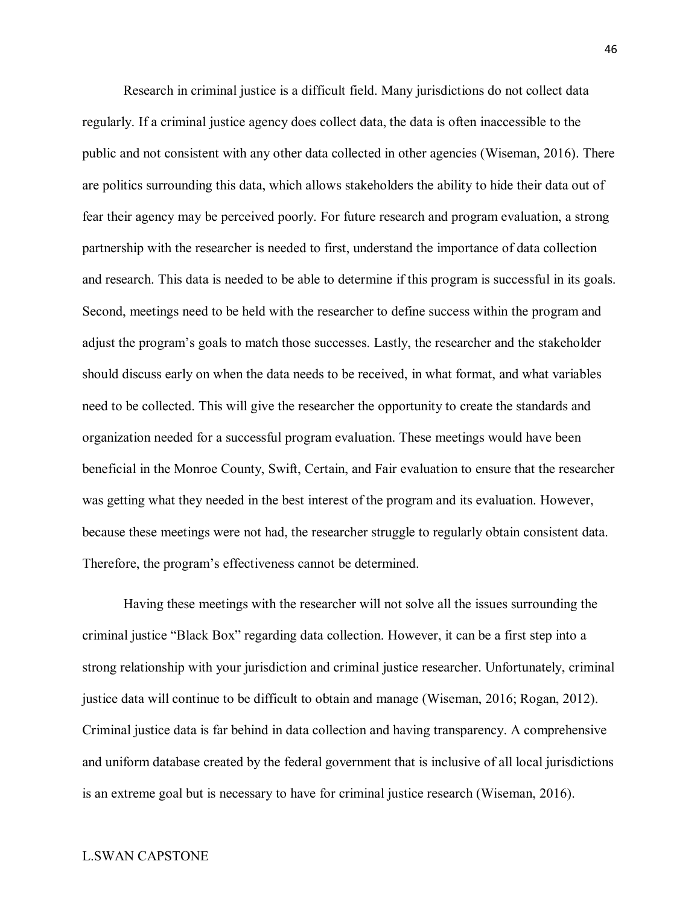Research in criminal justice is a difficult field. Many jurisdictions do not collect data regularly. If a criminal justice agency does collect data, the data is often inaccessible to the public and not consistent with any other data collected in other agencies (Wiseman, 2016). There are politics surrounding this data, which allows stakeholders the ability to hide their data out of fear their agency may be perceived poorly. For future research and program evaluation, a strong partnership with the researcher is needed to first, understand the importance of data collection and research. This data is needed to be able to determine if this program is successful in its goals. Second, meetings need to be held with the researcher to define success within the program and adjust the program's goals to match those successes. Lastly, the researcher and the stakeholder should discuss early on when the data needs to be received, in what format, and what variables need to be collected. This will give the researcher the opportunity to create the standards and organization needed for a successful program evaluation. These meetings would have been beneficial in the Monroe County, Swift, Certain, and Fair evaluation to ensure that the researcher was getting what they needed in the best interest of the program and its evaluation. However, because these meetings were not had, the researcher struggle to regularly obtain consistent data. Therefore, the program's effectiveness cannot be determined.

Having these meetings with the researcher will not solve all the issues surrounding the criminal justice "Black Box" regarding data collection. However, it can be a first step into a strong relationship with your jurisdiction and criminal justice researcher. Unfortunately, criminal justice data will continue to be difficult to obtain and manage (Wiseman, 2016; Rogan, 2012). Criminal justice data is far behind in data collection and having transparency. A comprehensive and uniform database created by the federal government that is inclusive of all local jurisdictions is an extreme goal but is necessary to have for criminal justice research (Wiseman, 2016).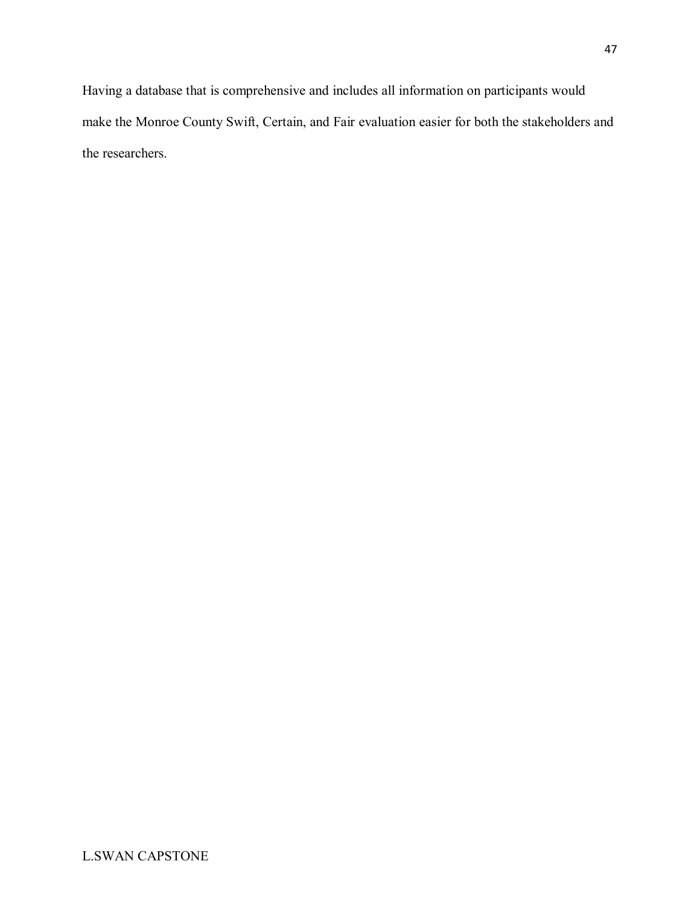Having a database that is comprehensive and includes all information on participants would make the Monroe County Swift, Certain, and Fair evaluation easier for both the stakeholders and the researchers.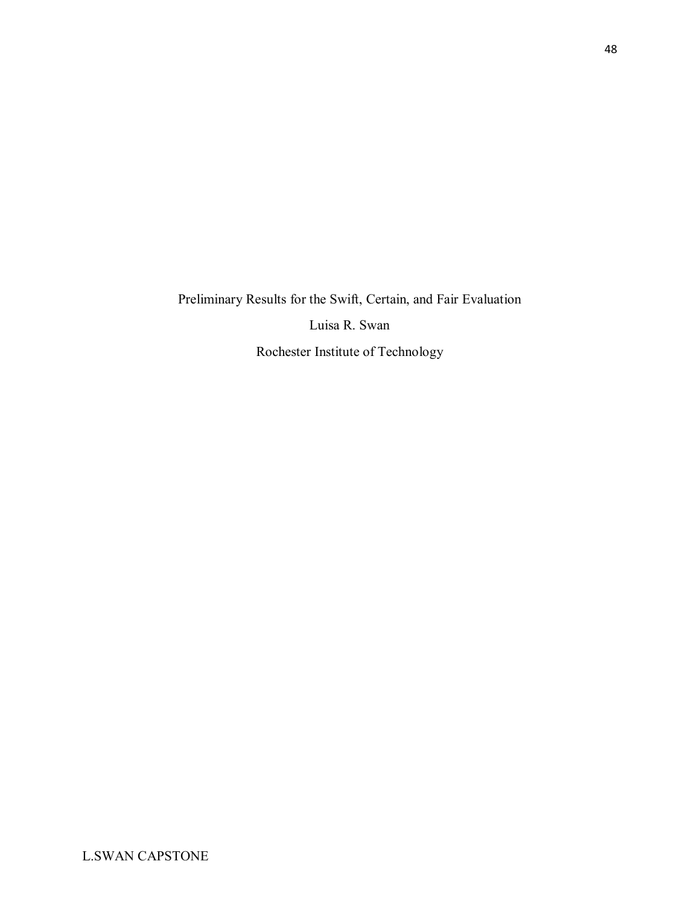Preliminary Results for the Swift, Certain, and Fair Evaluation Luisa R. Swan Rochester Institute of Technology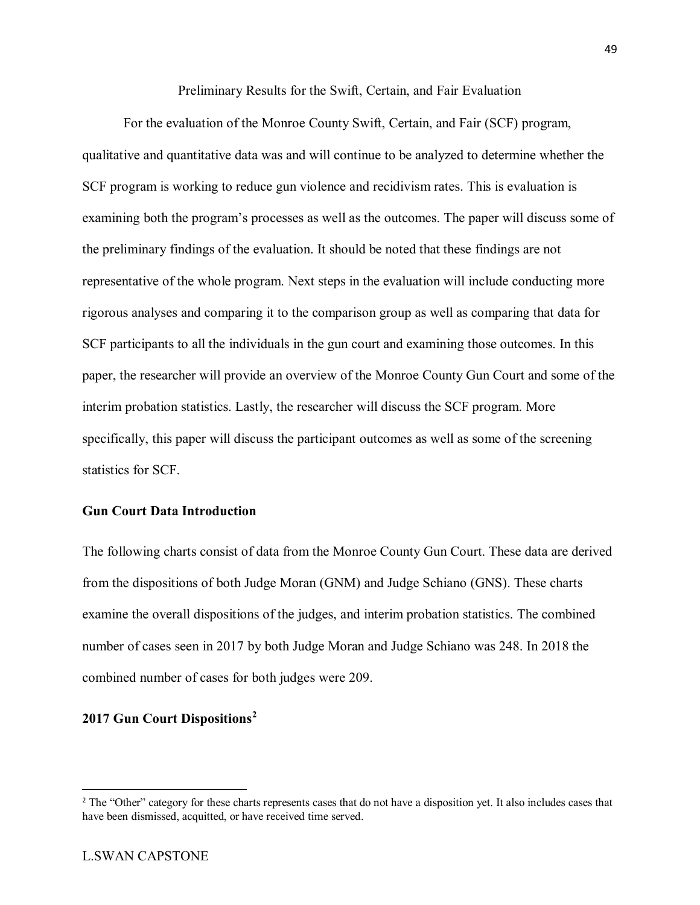Preliminary Results for the Swift, Certain, and Fair Evaluation

For the evaluation of the Monroe County Swift, Certain, and Fair (SCF) program, qualitative and quantitative data was and will continue to be analyzed to determine whether the SCF program is working to reduce gun violence and recidivism rates. This is evaluation is examining both the program's processes as well as the outcomes. The paper will discuss some of the preliminary findings of the evaluation. It should be noted that these findings are not representative of the whole program. Next steps in the evaluation will include conducting more rigorous analyses and comparing it to the comparison group as well as comparing that data for SCF participants to all the individuals in the gun court and examining those outcomes. In this paper, the researcher will provide an overview of the Monroe County Gun Court and some of the interim probation statistics. Lastly, the researcher will discuss the SCF program. More specifically, this paper will discuss the participant outcomes as well as some of the screening statistics for SCF.

## **Gun Court Data Introduction**

The following charts consist of data from the Monroe County Gun Court. These data are derived from the dispositions of both Judge Moran (GNM) and Judge Schiano (GNS). These charts examine the overall dispositions of the judges, and interim probation statistics. The combined number of cases seen in 2017 by both Judge Moran and Judge Schiano was 248. In 2018 the combined number of cases for both judges were 209.

## **2017 Gun Court Dispositions[2](#page-50-0)**

<span id="page-50-0"></span><sup>&</sup>lt;sup>2</sup> The "Other" category for these charts represents cases that do not have a disposition yet. It also includes cases that have been dismissed, acquitted, or have received time served.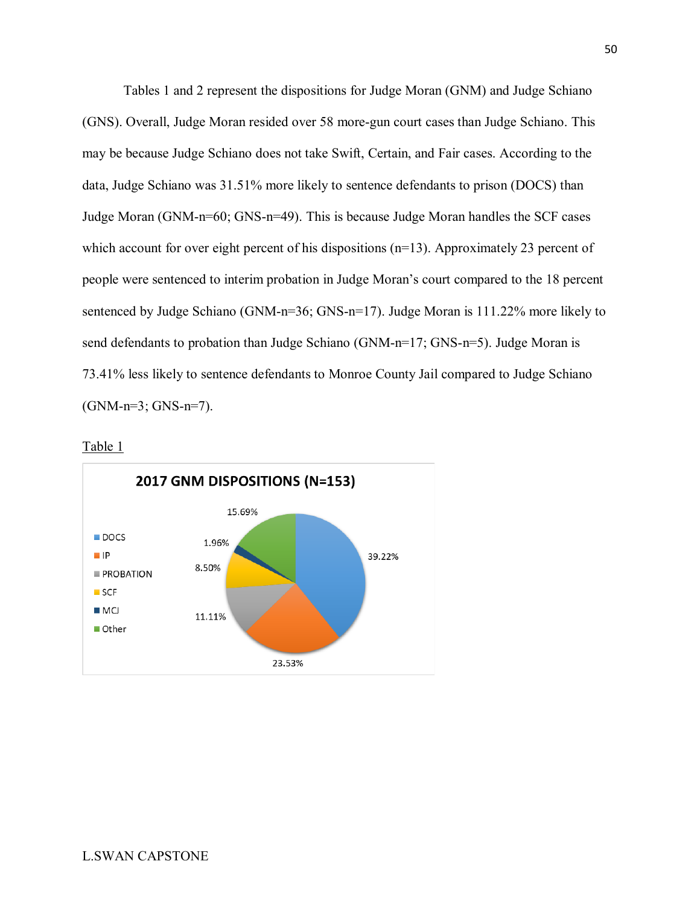Tables 1 and 2 represent the dispositions for Judge Moran (GNM) and Judge Schiano (GNS). Overall, Judge Moran resided over 58 more-gun court cases than Judge Schiano. This may be because Judge Schiano does not take Swift, Certain, and Fair cases. According to the data, Judge Schiano was 31.51% more likely to sentence defendants to prison (DOCS) than Judge Moran (GNM-n=60; GNS-n=49). This is because Judge Moran handles the SCF cases which account for over eight percent of his dispositions (n=13). Approximately 23 percent of people were sentenced to interim probation in Judge Moran's court compared to the 18 percent sentenced by Judge Schiano (GNM-n=36; GNS-n=17). Judge Moran is 111.22% more likely to send defendants to probation than Judge Schiano (GNM-n=17; GNS-n=5). Judge Moran is 73.41% less likely to sentence defendants to Monroe County Jail compared to Judge Schiano (GNM-n=3; GNS-n=7).



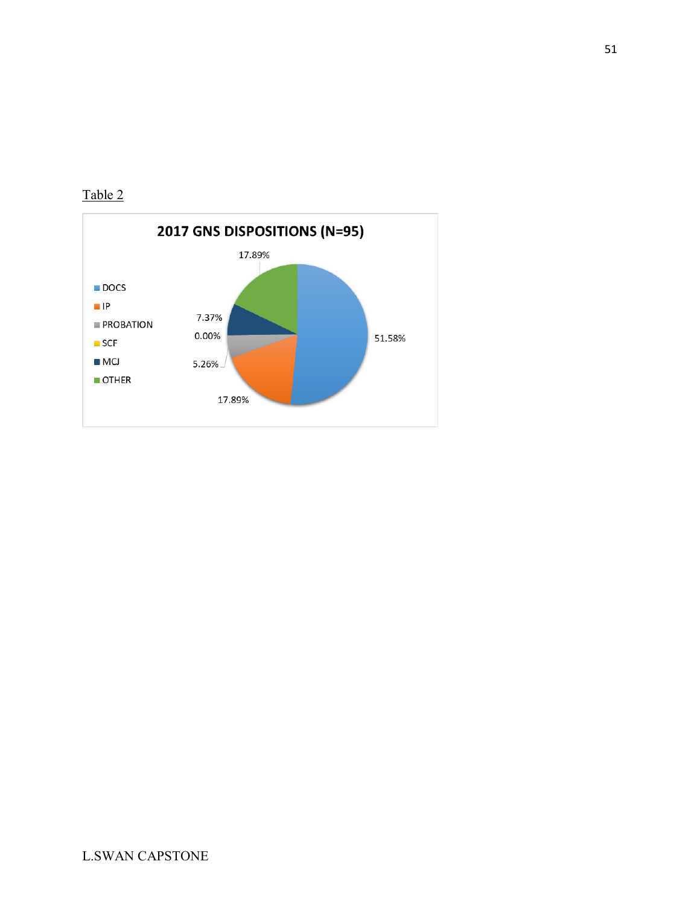

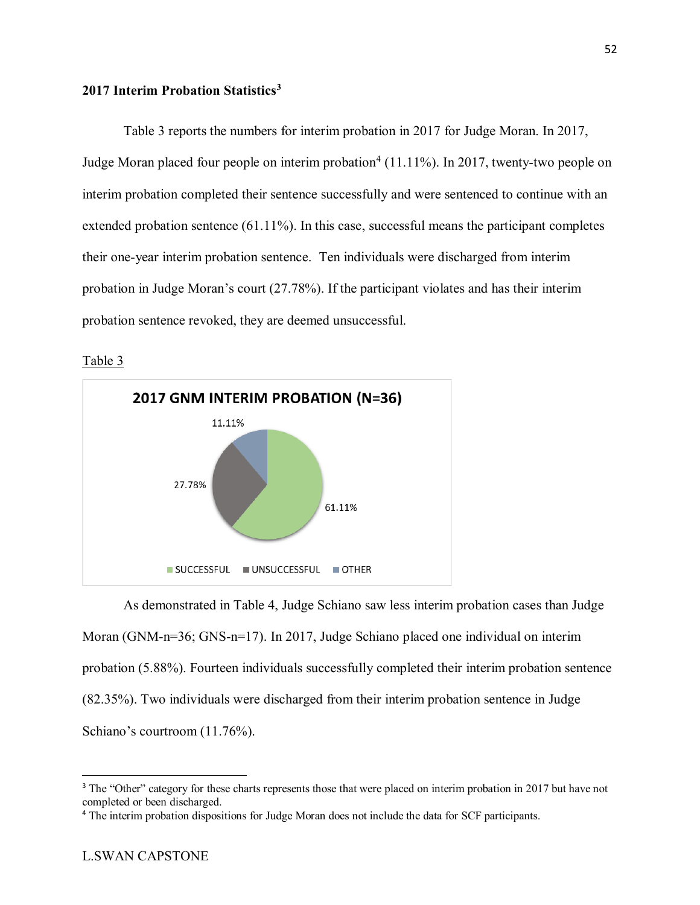## **2017 Interim Probation Statistics[3](#page-53-0)**

Table 3 reports the numbers for interim probation in 2017 for Judge Moran. In 2017, Judge Moran placed four people on interim probation<sup>[4](#page-53-1)</sup> (11.11%). In 2017, twenty-two people on interim probation completed their sentence successfully and were sentenced to continue with an extended probation sentence (61.11%). In this case, successful means the participant completes their one-year interim probation sentence. Ten individuals were discharged from interim probation in Judge Moran's court (27.78%). If the participant violates and has their interim probation sentence revoked, they are deemed unsuccessful.

Table 3



As demonstrated in Table 4, Judge Schiano saw less interim probation cases than Judge Moran (GNM-n=36; GNS-n=17). In 2017, Judge Schiano placed one individual on interim probation (5.88%). Fourteen individuals successfully completed their interim probation sentence (82.35%). Two individuals were discharged from their interim probation sentence in Judge Schiano's courtroom (11.76%).

<span id="page-53-0"></span><sup>&</sup>lt;sup>3</sup> The "Other" category for these charts represents those that were placed on interim probation in 2017 but have not completed or been discharged.

<span id="page-53-1"></span><sup>4</sup> The interim probation dispositions for Judge Moran does not include the data for SCF participants.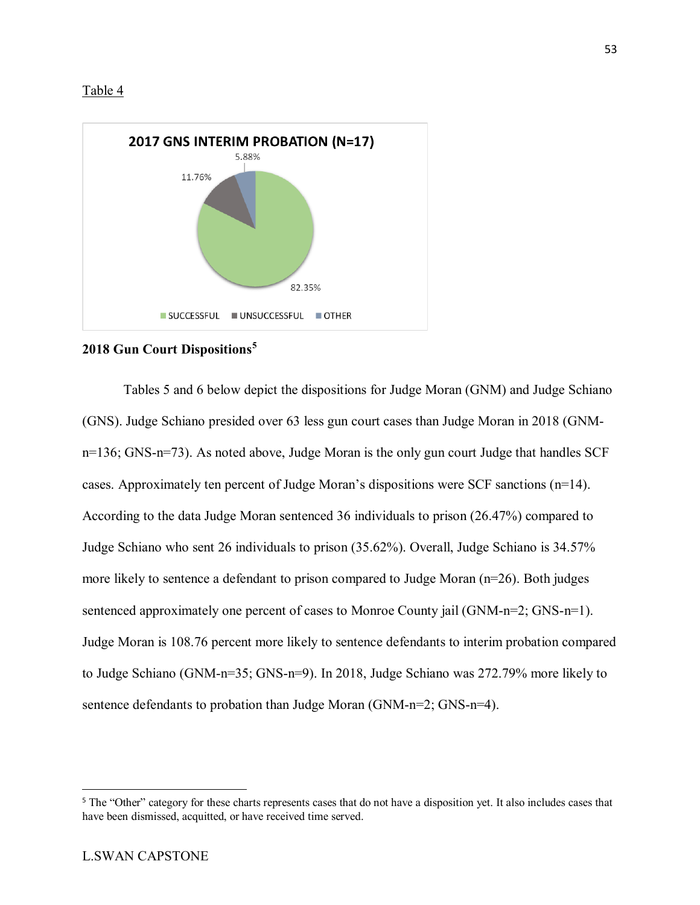



## **2018 Gun Court Dispositions[5](#page-54-0)**

Tables 5 and 6 below depict the dispositions for Judge Moran (GNM) and Judge Schiano (GNS). Judge Schiano presided over 63 less gun court cases than Judge Moran in 2018 (GNMn=136; GNS-n=73). As noted above, Judge Moran is the only gun court Judge that handles SCF cases. Approximately ten percent of Judge Moran's dispositions were SCF sanctions (n=14). According to the data Judge Moran sentenced 36 individuals to prison (26.47%) compared to Judge Schiano who sent 26 individuals to prison (35.62%). Overall, Judge Schiano is 34.57% more likely to sentence a defendant to prison compared to Judge Moran  $(n=26)$ . Both judges sentenced approximately one percent of cases to Monroe County jail (GNM-n=2; GNS-n=1). Judge Moran is 108.76 percent more likely to sentence defendants to interim probation compared to Judge Schiano (GNM-n=35; GNS-n=9). In 2018, Judge Schiano was 272.79% more likely to sentence defendants to probation than Judge Moran (GNM-n=2; GNS-n=4).

<span id="page-54-0"></span><sup>&</sup>lt;sup>5</sup> The "Other" category for these charts represents cases that do not have a disposition yet. It also includes cases that have been dismissed, acquitted, or have received time served.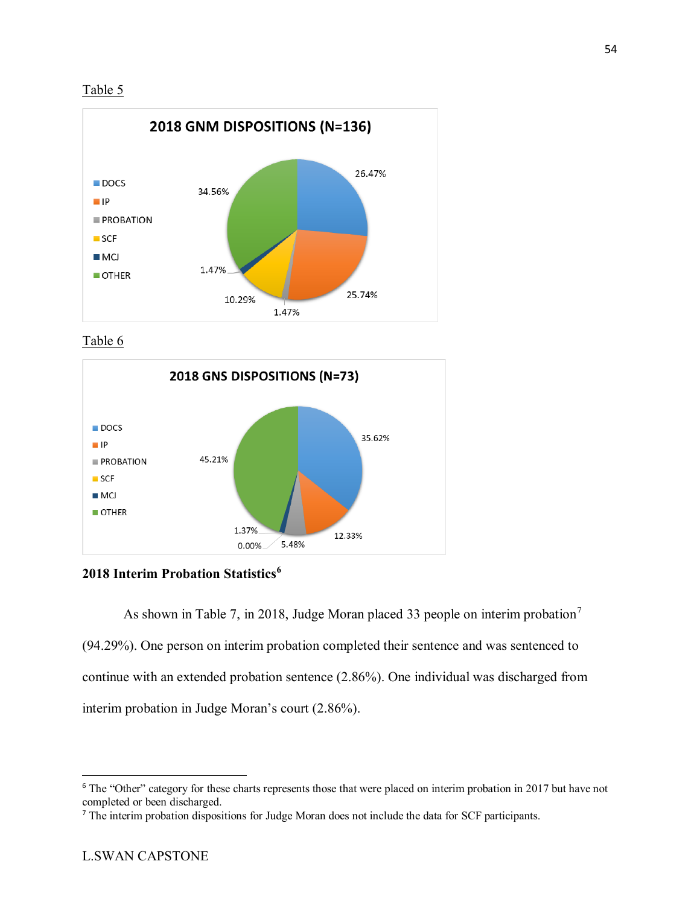



Table 6



**2018 Interim Probation Statistics[6](#page-55-0)**

As shown in Table [7](#page-55-1), in 2018, Judge Moran placed 33 people on interim probation<sup>7</sup> (94.29%). One person on interim probation completed their sentence and was sentenced to continue with an extended probation sentence (2.86%). One individual was discharged from interim probation in Judge Moran's court (2.86%).

<span id="page-55-0"></span><sup>&</sup>lt;sup>6</sup> The "Other" category for these charts represents those that were placed on interim probation in 2017 but have not completed or been discharged.

<span id="page-55-1"></span><sup>7</sup> The interim probation dispositions for Judge Moran does not include the data for SCF participants.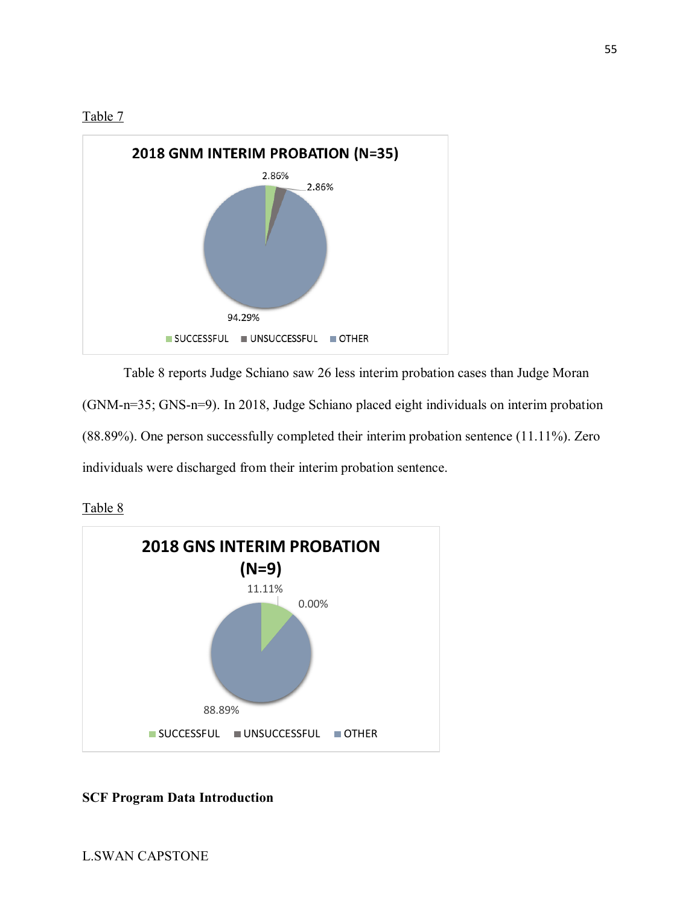



Table 8 reports Judge Schiano saw 26 less interim probation cases than Judge Moran (GNM-n=35; GNS-n=9). In 2018, Judge Schiano placed eight individuals on interim probation (88.89%). One person successfully completed their interim probation sentence (11.11%). Zero individuals were discharged from their interim probation sentence.

Table 8



## **SCF Program Data Introduction**

55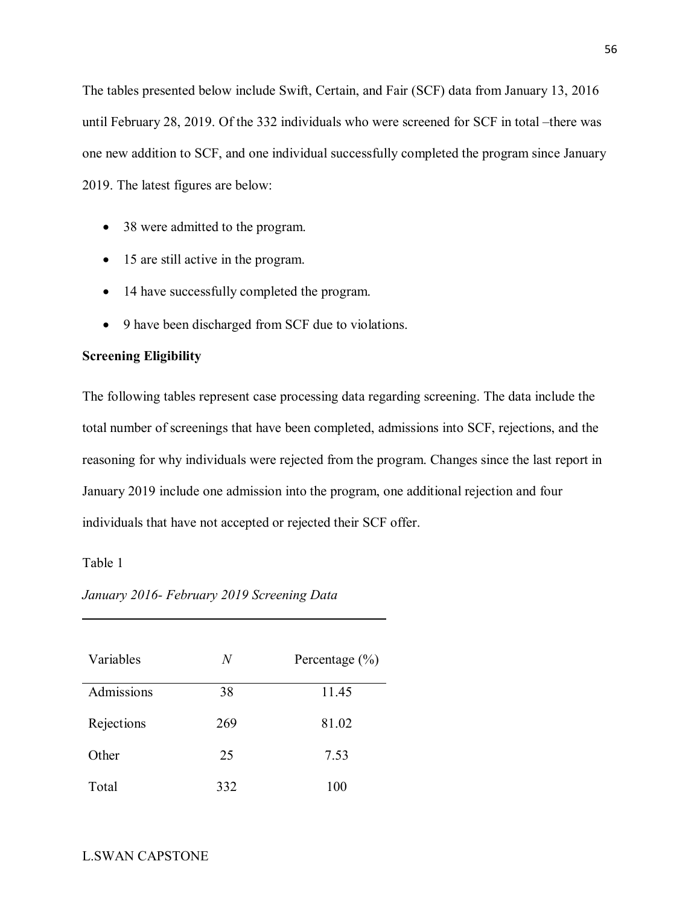The tables presented below include Swift, Certain, and Fair (SCF) data from January 13, 2016 until February 28, 2019. Of the 332 individuals who were screened for SCF in total –there was one new addition to SCF, and one individual successfully completed the program since January 2019. The latest figures are below:

- 38 were admitted to the program.
- 15 are still active in the program.
- 14 have successfully completed the program.
- 9 have been discharged from SCF due to violations.

## **Screening Eligibility**

The following tables represent case processing data regarding screening. The data include the total number of screenings that have been completed, admissions into SCF, rejections, and the reasoning for why individuals were rejected from the program. Changes since the last report in January 2019 include one admission into the program, one additional rejection and four individuals that have not accepted or rejected their SCF offer.

## Table 1

| Variables  | N   | Percentage $(\% )$ |
|------------|-----|--------------------|
| Admissions | 38  | 11.45              |
| Rejections | 269 | 81.02              |
| Other      | 25  | 7.53               |
| Total      | 332 | 100                |

*January 2016- February 2019 Screening Data*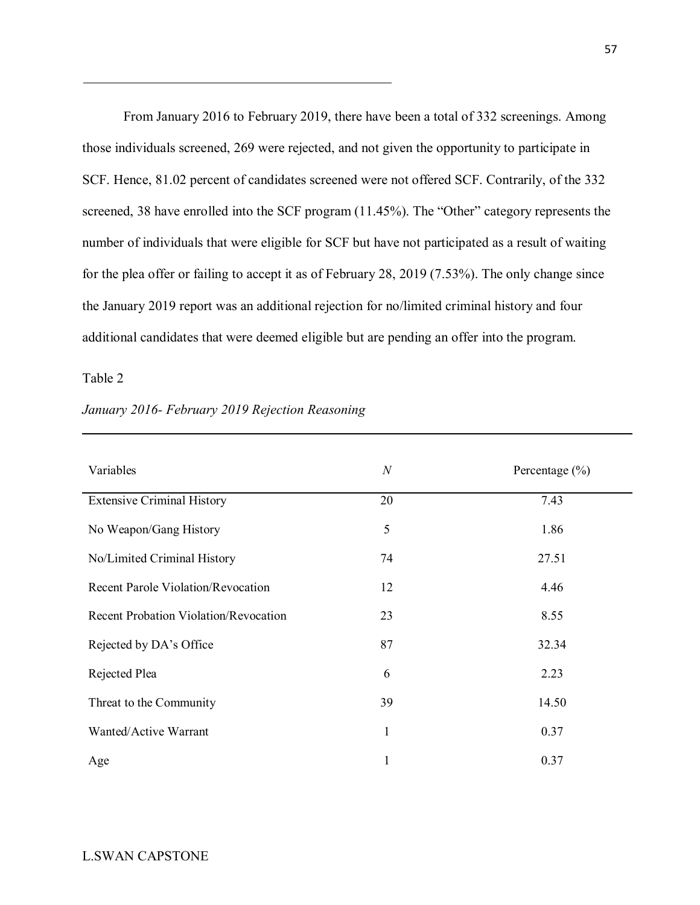From January 2016 to February 2019, there have been a total of 332 screenings. Among those individuals screened, 269 were rejected, and not given the opportunity to participate in SCF. Hence, 81.02 percent of candidates screened were not offered SCF. Contrarily, of the 332 screened, 38 have enrolled into the SCF program (11.45%). The "Other" category represents the number of individuals that were eligible for SCF but have not participated as a result of waiting for the plea offer or failing to accept it as of February 28, 2019 (7.53%). The only change since the January 2019 report was an additional rejection for no/limited criminal history and four additional candidates that were deemed eligible but are pending an offer into the program.

## Table 2

| Variables                                    | $\boldsymbol{N}$ | Percentage $(\% )$ |
|----------------------------------------------|------------------|--------------------|
| <b>Extensive Criminal History</b>            | 20               | 7.43               |
| No Weapon/Gang History                       | 5                | 1.86               |
| No/Limited Criminal History                  | 74               | 27.51              |
| <b>Recent Parole Violation/Revocation</b>    | 12               | 4.46               |
| <b>Recent Probation Violation/Revocation</b> | 23               | 8.55               |
| Rejected by DA's Office                      | 87               | 32.34              |
| Rejected Plea                                | 6                | 2.23               |
| Threat to the Community                      | 39               | 14.50              |
| Wanted/Active Warrant                        | 1                | 0.37               |
| Age                                          | 1                | 0.37               |

## *January 2016- February 2019 Rejection Reasoning*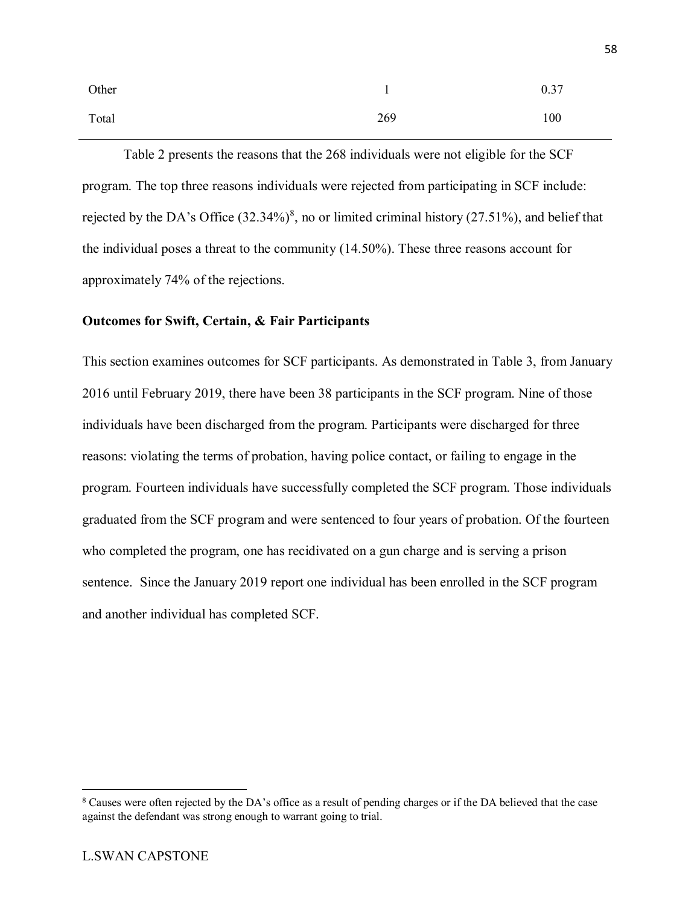| Other |     | 0.37 |
|-------|-----|------|
| Total | 269 | 100  |

Table 2 presents the reasons that the 268 individuals were not eligible for the SCF program. The top three reasons individuals were rejected from participating in SCF include: rejected by the DA's Office  $(32.34\%)^8$  $(32.34\%)^8$ , no or limited criminal history  $(27.51\%)$ , and belief that the individual poses a threat to the community (14.50%). These three reasons account for approximately 74% of the rejections.

### **Outcomes for Swift, Certain, & Fair Participants**

This section examines outcomes for SCF participants. As demonstrated in Table 3, from January 2016 until February 2019, there have been 38 participants in the SCF program. Nine of those individuals have been discharged from the program. Participants were discharged for three reasons: violating the terms of probation, having police contact, or failing to engage in the program. Fourteen individuals have successfully completed the SCF program. Those individuals graduated from the SCF program and were sentenced to four years of probation. Of the fourteen who completed the program, one has recidivated on a gun charge and is serving a prison sentence. Since the January 2019 report one individual has been enrolled in the SCF program and another individual has completed SCF.

<span id="page-59-0"></span> <sup>8</sup> Causes were often rejected by the DA's office as a result of pending charges or if the DA believed that the case against the defendant was strong enough to warrant going to trial.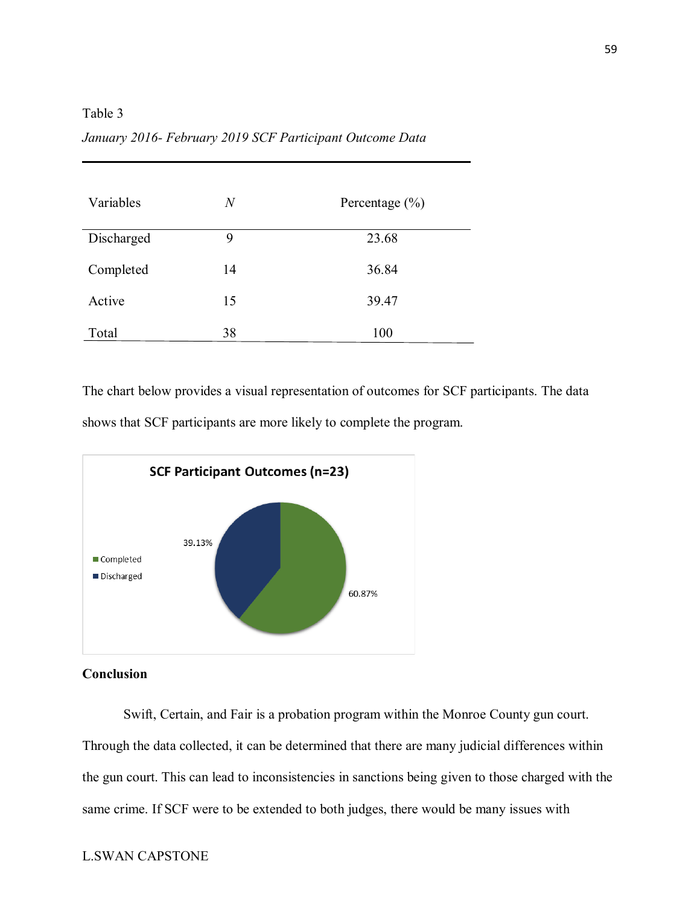Table 3

| Variables  | $\boldsymbol{N}$ | Percentage $(\% )$ |
|------------|------------------|--------------------|
| Discharged | 9                | 23.68              |
| Completed  | 14               | 36.84              |
| Active     | 15               | 39.47              |
| Total      | 38               | 100                |

*January 2016- February 2019 SCF Participant Outcome Data*

The chart below provides a visual representation of outcomes for SCF participants. The data shows that SCF participants are more likely to complete the program.



**Conclusion**

Swift, Certain, and Fair is a probation program within the Monroe County gun court. Through the data collected, it can be determined that there are many judicial differences within the gun court. This can lead to inconsistencies in sanctions being given to those charged with the same crime. If SCF were to be extended to both judges, there would be many issues with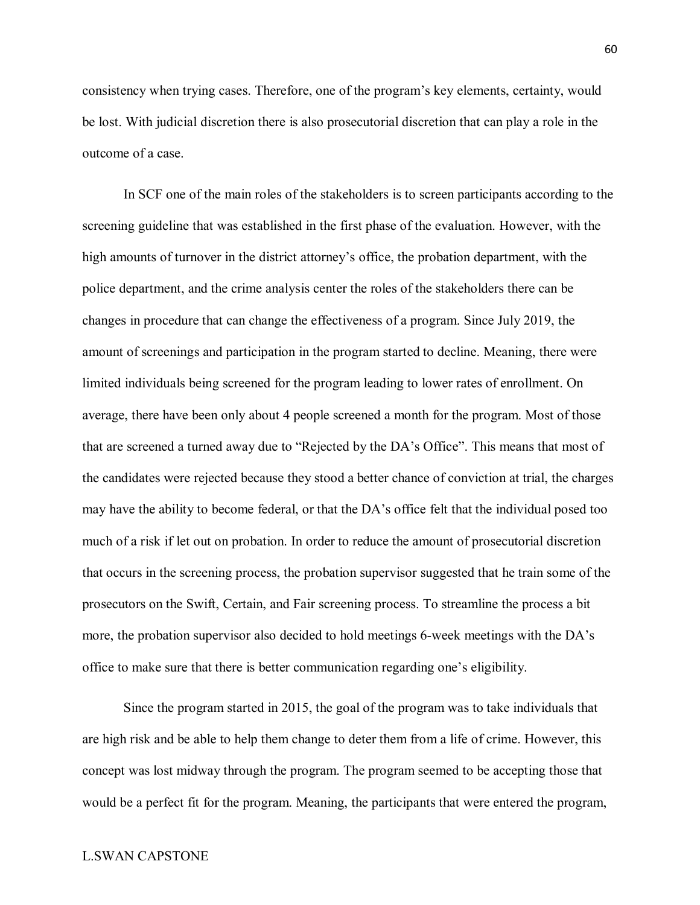consistency when trying cases. Therefore, one of the program's key elements, certainty, would be lost. With judicial discretion there is also prosecutorial discretion that can play a role in the outcome of a case.

In SCF one of the main roles of the stakeholders is to screen participants according to the screening guideline that was established in the first phase of the evaluation. However, with the high amounts of turnover in the district attorney's office, the probation department, with the police department, and the crime analysis center the roles of the stakeholders there can be changes in procedure that can change the effectiveness of a program. Since July 2019, the amount of screenings and participation in the program started to decline. Meaning, there were limited individuals being screened for the program leading to lower rates of enrollment. On average, there have been only about 4 people screened a month for the program. Most of those that are screened a turned away due to "Rejected by the DA's Office". This means that most of the candidates were rejected because they stood a better chance of conviction at trial, the charges may have the ability to become federal, or that the DA's office felt that the individual posed too much of a risk if let out on probation. In order to reduce the amount of prosecutorial discretion that occurs in the screening process, the probation supervisor suggested that he train some of the prosecutors on the Swift, Certain, and Fair screening process. To streamline the process a bit more, the probation supervisor also decided to hold meetings 6-week meetings with the DA's office to make sure that there is better communication regarding one's eligibility.

Since the program started in 2015, the goal of the program was to take individuals that are high risk and be able to help them change to deter them from a life of crime. However, this concept was lost midway through the program. The program seemed to be accepting those that would be a perfect fit for the program. Meaning, the participants that were entered the program,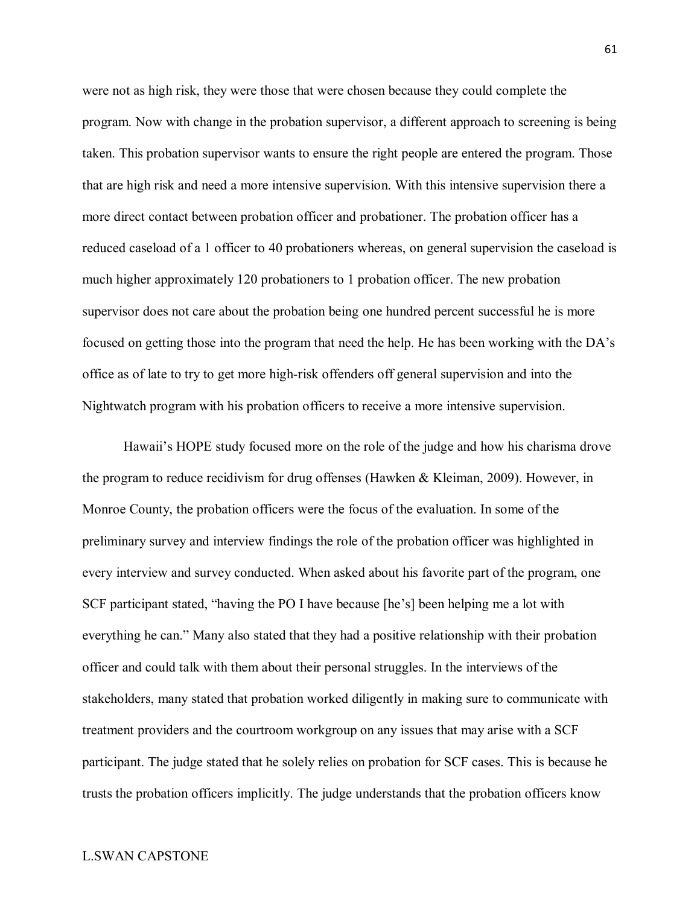were not as high risk, they were those that were chosen because they could complete the program. Now with change in the probation supervisor, a different approach to screening is being taken. This probation supervisor wants to ensure the right people are entered the program. Those that are high risk and need a more intensive supervision. With this intensive supervision there a more direct contact between probation officer and probationer. The probation officer has a reduced caseload of a 1 officer to 40 probationers whereas, on general supervision the caseload is much higher approximately 120 probationers to 1 probation officer. The new probation supervisor does not care about the probation being one hundred percent successful he is more focused on getting those into the program that need the help. He has been working with the DA's office as of late to try to get more high-risk offenders off general supervision and into the Nightwatch program with his probation officers to receive a more intensive supervision.

Hawaii's HOPE study focused more on the role of the judge and how his charisma drove the program to reduce recidivism for drug offenses (Hawken & Kleiman, 2009). However, in Monroe County, the probation officers were the focus of the evaluation. In some of the preliminary survey and interview findings the role of the probation officer was highlighted in every interview and survey conducted. When asked about his favorite part of the program, one SCF participant stated, "having the PO I have because [he's] been helping me a lot with everything he can." Many also stated that they had a positive relationship with their probation officer and could talk with them about their personal struggles. In the interviews of the stakeholders, many stated that probation worked diligently in making sure to communicate with treatment providers and the courtroom workgroup on any issues that may arise with a SCF participant. The judge stated that he solely relies on probation for SCF cases. This is because he trusts the probation officers implicitly. The judge understands that the probation officers know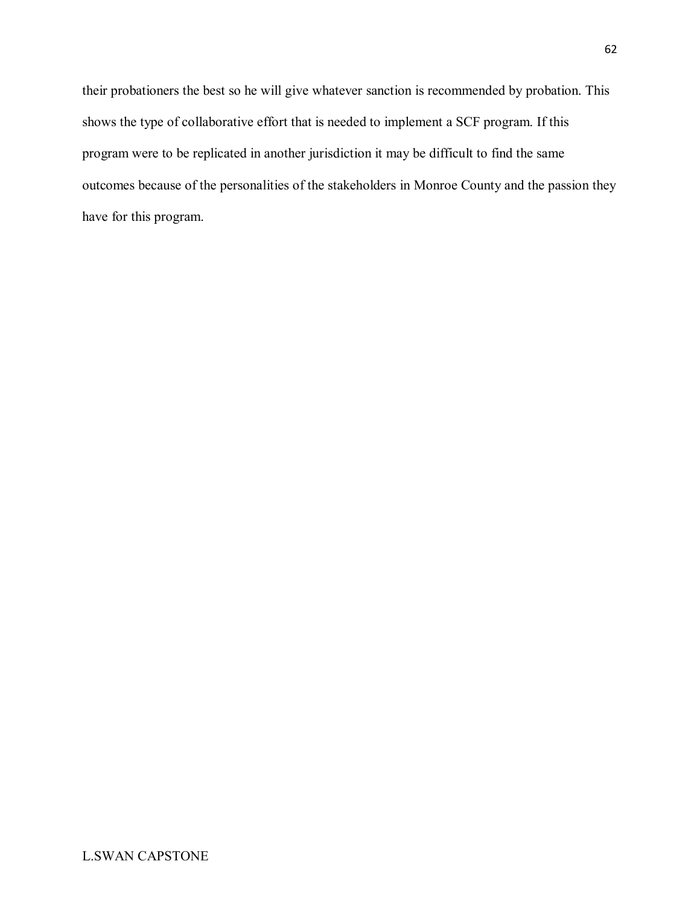their probationers the best so he will give whatever sanction is recommended by probation. This shows the type of collaborative effort that is needed to implement a SCF program. If this program were to be replicated in another jurisdiction it may be difficult to find the same outcomes because of the personalities of the stakeholders in Monroe County and the passion they have for this program.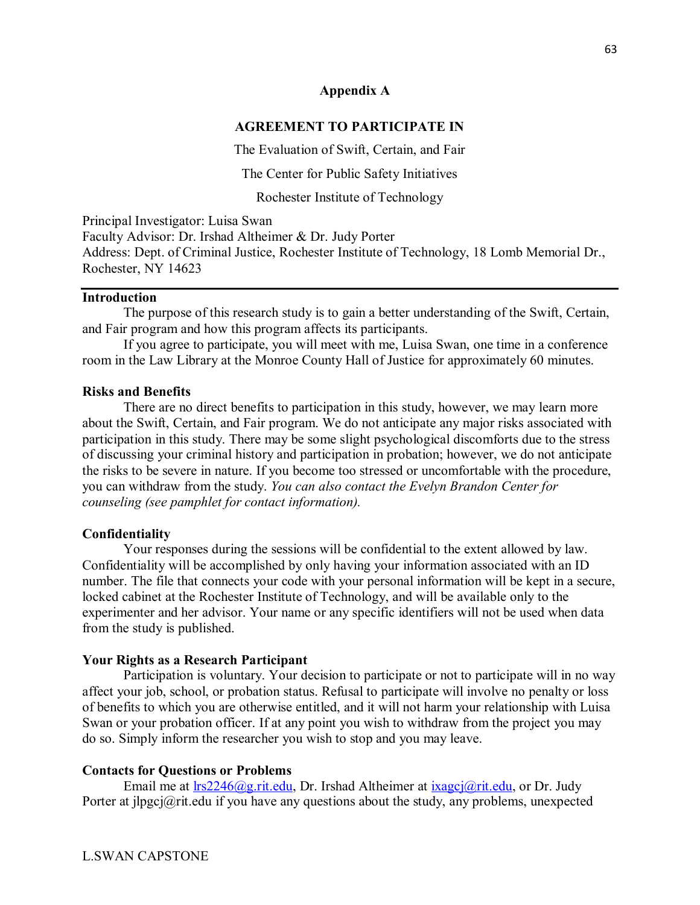## **Appendix A**

### **AGREEMENT TO PARTICIPATE IN**

The Evaluation of Swift, Certain, and Fair

The Center for Public Safety Initiatives

Rochester Institute of Technology

Principal Investigator: Luisa Swan Faculty Advisor: Dr. Irshad Altheimer & Dr. Judy Porter Address: Dept. of Criminal Justice, Rochester Institute of Technology, 18 Lomb Memorial Dr., Rochester, NY 14623

## **Introduction**

The purpose of this research study is to gain a better understanding of the Swift, Certain, and Fair program and how this program affects its participants.

If you agree to participate, you will meet with me, Luisa Swan, one time in a conference room in the Law Library at the Monroe County Hall of Justice for approximately 60 minutes.

#### **Risks and Benefits**

There are no direct benefits to participation in this study, however, we may learn more about the Swift, Certain, and Fair program. We do not anticipate any major risks associated with participation in this study. There may be some slight psychological discomforts due to the stress of discussing your criminal history and participation in probation; however, we do not anticipate the risks to be severe in nature. If you become too stressed or uncomfortable with the procedure, you can withdraw from the study. *You can also contact the Evelyn Brandon Center for counseling (see pamphlet for contact information).* 

#### **Confidentiality**

Your responses during the sessions will be confidential to the extent allowed by law. Confidentiality will be accomplished by only having your information associated with an ID number. The file that connects your code with your personal information will be kept in a secure, locked cabinet at the Rochester Institute of Technology, and will be available only to the experimenter and her advisor. Your name or any specific identifiers will not be used when data from the study is published.

#### **Your Rights as a Research Participant**

Participation is voluntary. Your decision to participate or not to participate will in no way affect your job, school, or probation status. Refusal to participate will involve no penalty or loss of benefits to which you are otherwise entitled, and it will not harm your relationship with Luisa Swan or your probation officer. If at any point you wish to withdraw from the project you may do so. Simply inform the researcher you wish to stop and you may leave.

## **Contacts for Questions or Problems**

Email me at  $\text{lrs2246}$  (@g.rit.edu, Dr. Irshad Altheimer at  $ix\text{agei}$  (@rit.edu, or Dr. Judy Porter at jlpgcj@rit.edu if you have any questions about the study, any problems, unexpected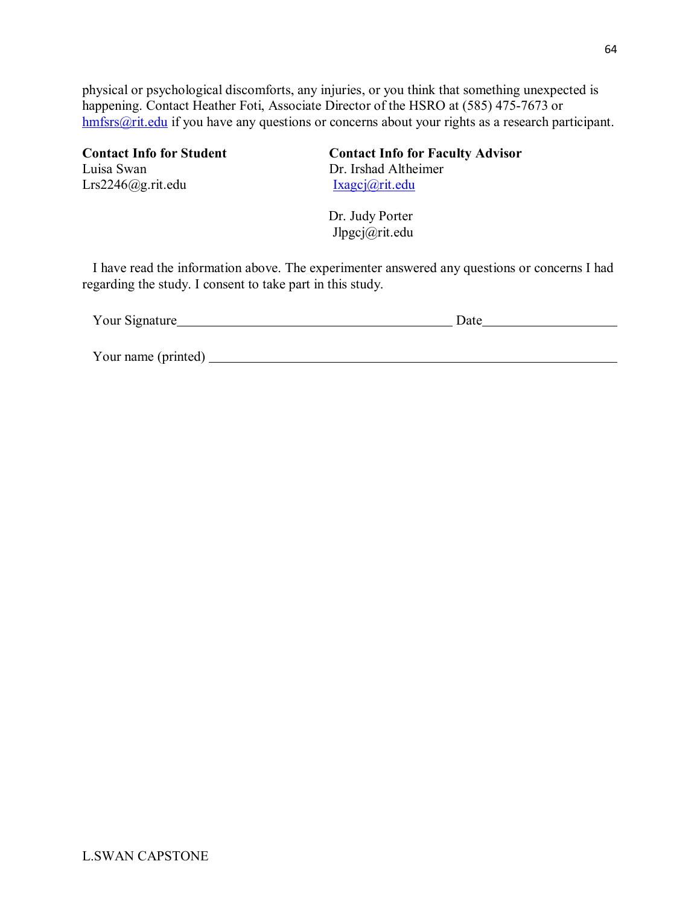physical or psychological discomforts, any injuries, or you think that something unexpected is happening. Contact Heather Foti, Associate Director of the HSRO at (585) 475-7673 or [hmfsrs@rit.edu](mailto:hmfsrs@rit.edu) if you have any questions or concerns about your rights as a research participant.

Lrs2246@g.rit.edu [Ixagcj@rit.edu](mailto:Ixagcj@rit.edu)

**Contact Info for Student**<br> **Contact Info for Faculty Advisor**<br>
Dr. Irshad Altheimer Dr. Irshad Altheimer

> Dr. Judy Porter Jlpgcj@rit.edu

I have read the information above. The experimenter answered any questions or concerns I had regarding the study. I consent to take part in this study.

| Your Signature      | Date |
|---------------------|------|
|                     |      |
|                     |      |
| Your name (printed) |      |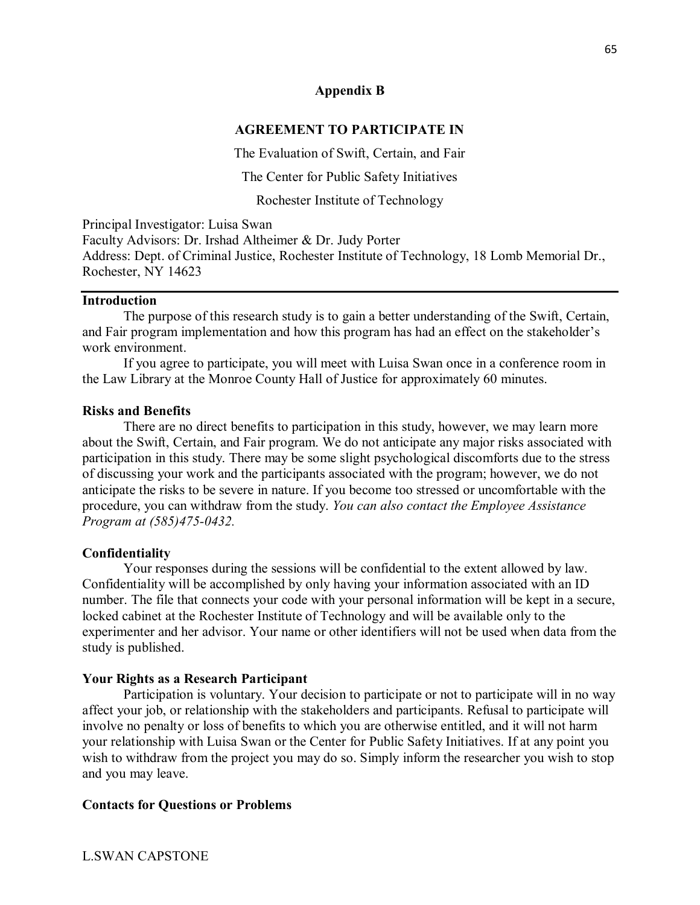## **Appendix B**

#### **AGREEMENT TO PARTICIPATE IN**

The Evaluation of Swift, Certain, and Fair

The Center for Public Safety Initiatives

Rochester Institute of Technology

Principal Investigator: Luisa Swan Faculty Advisors: Dr. Irshad Altheimer & Dr. Judy Porter Address: Dept. of Criminal Justice, Rochester Institute of Technology, 18 Lomb Memorial Dr., Rochester, NY 14623

#### **Introduction**

The purpose of this research study is to gain a better understanding of the Swift, Certain, and Fair program implementation and how this program has had an effect on the stakeholder's work environment.

If you agree to participate, you will meet with Luisa Swan once in a conference room in the Law Library at the Monroe County Hall of Justice for approximately 60 minutes.

#### **Risks and Benefits**

There are no direct benefits to participation in this study, however, we may learn more about the Swift, Certain, and Fair program. We do not anticipate any major risks associated with participation in this study. There may be some slight psychological discomforts due to the stress of discussing your work and the participants associated with the program; however, we do not anticipate the risks to be severe in nature. If you become too stressed or uncomfortable with the procedure, you can withdraw from the study. *You can also contact the Employee Assistance Program at (585)475-0432.* 

#### **Confidentiality**

Your responses during the sessions will be confidential to the extent allowed by law. Confidentiality will be accomplished by only having your information associated with an ID number. The file that connects your code with your personal information will be kept in a secure, locked cabinet at the Rochester Institute of Technology and will be available only to the experimenter and her advisor. Your name or other identifiers will not be used when data from the study is published.

#### **Your Rights as a Research Participant**

Participation is voluntary. Your decision to participate or not to participate will in no way affect your job, or relationship with the stakeholders and participants. Refusal to participate will involve no penalty or loss of benefits to which you are otherwise entitled, and it will not harm your relationship with Luisa Swan or the Center for Public Safety Initiatives. If at any point you wish to withdraw from the project you may do so. Simply inform the researcher you wish to stop and you may leave.

#### **Contacts for Questions or Problems**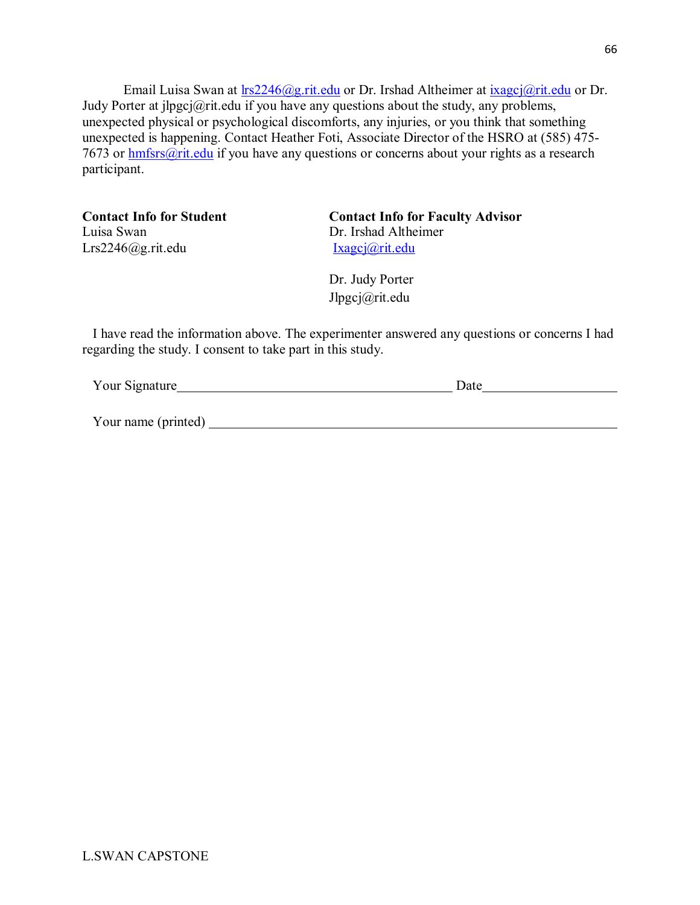Email Luisa Swan at  $\text{lrs2246}$ @g.rit.edu or Dr. Irshad Altheimer at [ixagcj@rit.edu](mailto:ixagcj@rit.edu) or Dr. Judy Porter at jlpgcj@rit.edu if you have any questions about the study, any problems, unexpected physical or psychological discomforts, any injuries, or you think that something unexpected is happening. Contact Heather Foti, Associate Director of the HSRO at (585) 475- 7673 or [hmfsrs@rit.edu](mailto:hmfsrs@rit.edu) if you have any questions or concerns about your rights as a research participant.

Luisa Swan Dr. Irshad Altheimer Lrs2246@g.rit.edu [Ixagcj@rit.edu](mailto:Ixagcj@rit.edu)

**Contact Info for Student Contact Info for Faculty Advisor**

Dr. Judy Porter Jlpgcj@rit.edu

I have read the information above. The experimenter answered any questions or concerns I had regarding the study. I consent to take part in this study.

| Your Signature | Jate |
|----------------|------|
|                |      |
|                |      |

Your name (printed)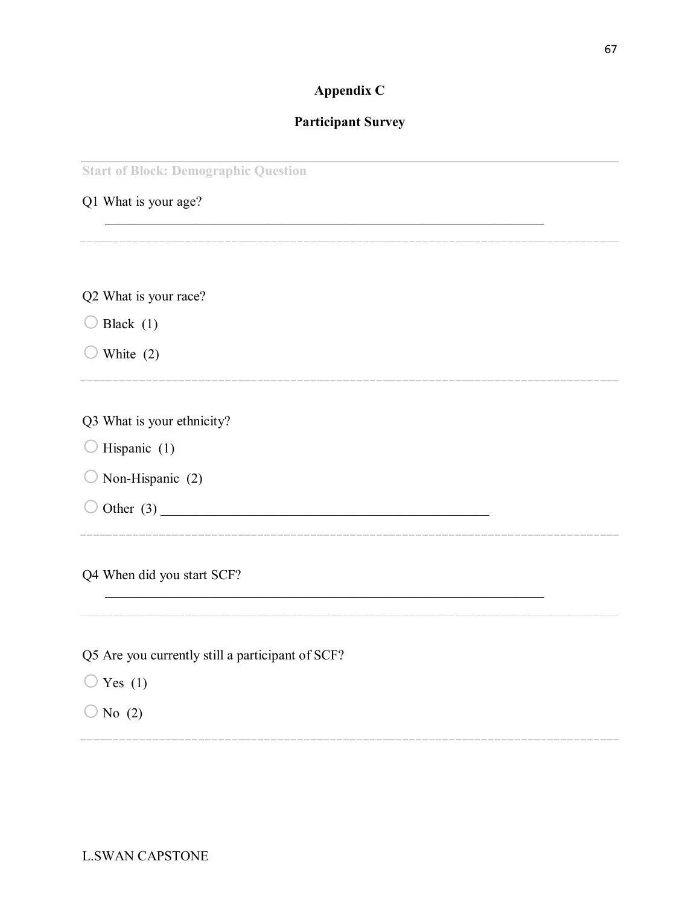# **Appendix C**

# **Participant Survey**

\_\_\_\_\_\_\_\_\_\_\_\_\_\_\_\_\_\_\_\_\_\_\_\_\_\_\_\_\_\_\_\_\_\_\_\_\_\_\_\_\_\_\_\_\_\_\_\_\_\_\_\_\_\_\_\_\_\_\_\_\_\_\_\_

**Start of Block: Demographic Question**

Q1 What is your age?

Q2 What is your race?  $\bigcirc$  Black (1)  $\bigcirc$  White (2) Q3 What is your ethnicity?  $\bigcirc$  Hispanic (1)  $\bigcirc$  Non-Hispanic (2) o Other (3) \_\_\_\_\_\_\_\_\_\_\_\_\_\_\_\_\_\_\_\_\_\_\_\_\_\_\_\_\_\_\_\_\_\_\_\_\_\_\_\_\_\_\_\_\_\_\_\_ Q4 When did you start SCF?

Q5 Are you currently still a participant of SCF?

 $\bigcirc$  Yes (1)

 $\bigcirc$  No (2)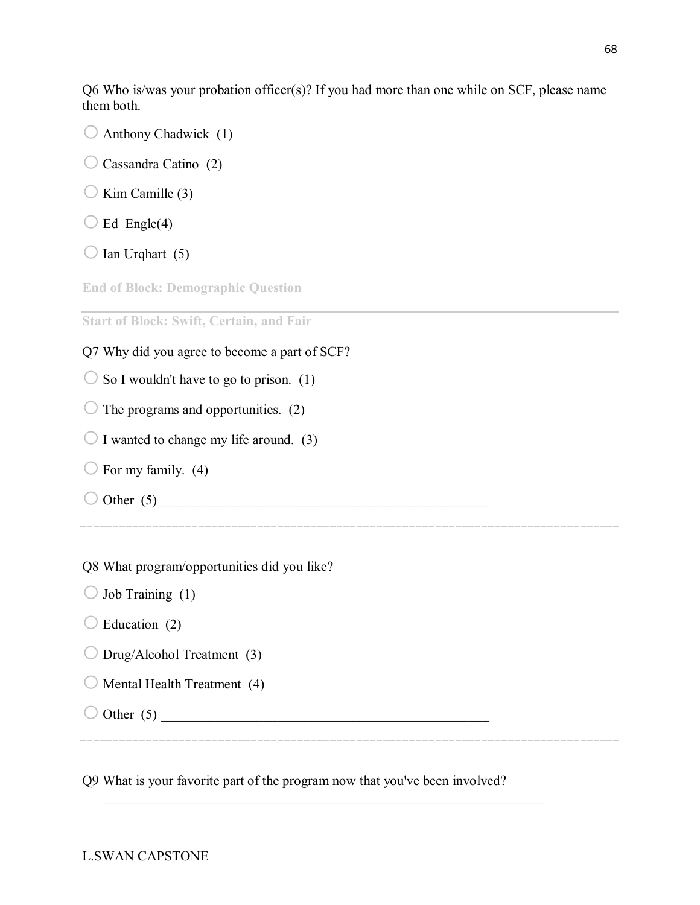Q6 Who is/was your probation officer(s)? If you had more than one while on SCF, please name them both.

- $\bigcirc$  Anthony Chadwick (1)
- $\bigcirc$  Cassandra Catino (2)
- $\bigcirc$  Kim Camille (3)
- $\bigcirc$  Ed Engle(4)
- $\bigcirc$  Ian Urqhart (5)

**End of Block: Demographic Question**

**Start of Block: Swift, Certain, and Fair**

- Q7 Why did you agree to become a part of SCF?
- $\circ$  So I wouldn't have to go to prison. (1)
- $\bigcirc$  The programs and opportunities. (2)
- $\bigcirc$  I wanted to change my life around. (3)

Q8 What program/opportunities did you like?

- $\bigcirc$  For my family. (4)
- $\bigcirc$  Other (5)

- $\bigcirc$  Job Training (1)
- $\bigcirc$  Education (2)
- $\bigcirc$  Drug/Alcohol Treatment (3)
- $\bigcirc$  Mental Health Treatment (4)
- $\bigcirc$  Other (5)

Q9 What is your favorite part of the program now that you've been involved?

\_\_\_\_\_\_\_\_\_\_\_\_\_\_\_\_\_\_\_\_\_\_\_\_\_\_\_\_\_\_\_\_\_\_\_\_\_\_\_\_\_\_\_\_\_\_\_\_\_\_\_\_\_\_\_\_\_\_\_\_\_\_\_\_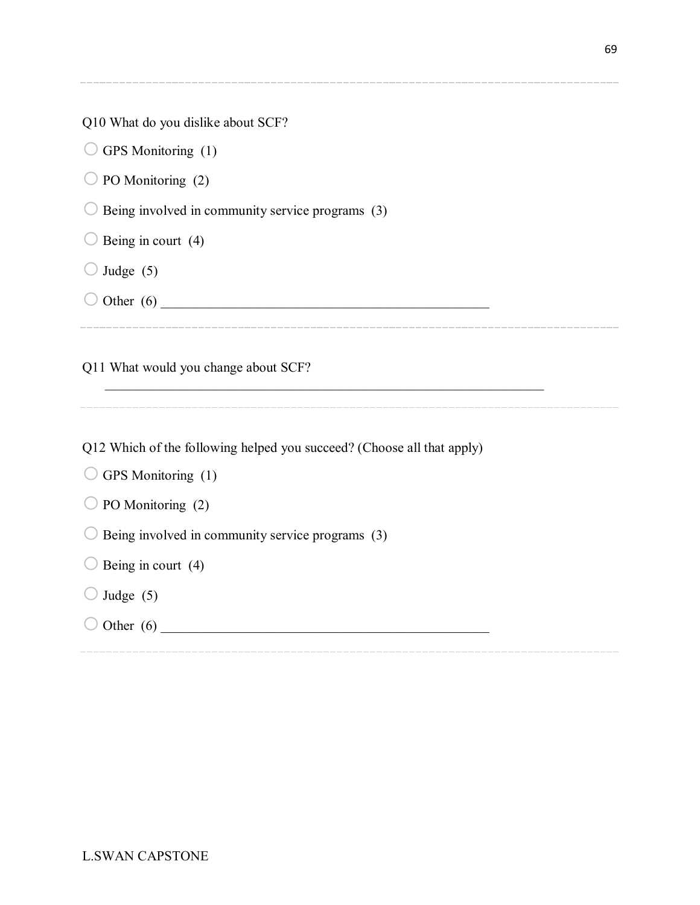|  |  |  |  | Q10 What do you dislike about SCF? |  |  |
|--|--|--|--|------------------------------------|--|--|
|--|--|--|--|------------------------------------|--|--|

 $\bigcirc$  GPS Monitoring (1)

 $\bigcirc$  PO Monitoring (2)

 $\bigcirc$  Being involved in community service programs (3)

 $\bigcirc$  Being in court (4)

 $\bigcirc$  Judge (5)

 $\bigcirc$  Other (6)

Q11 What would you change about SCF?

Q12 Which of the following helped you succeed? (Choose all that apply)

\_\_\_\_\_\_\_\_\_\_\_\_\_\_\_\_\_\_\_\_\_\_\_\_\_\_\_\_\_\_\_\_\_\_\_\_\_\_\_\_\_\_\_\_\_\_\_\_\_\_\_\_\_\_\_\_\_\_\_\_\_\_\_\_

 $\bigcirc$  GPS Monitoring (1)

 $\bigcirc$  PO Monitoring (2)

 $\bigcirc$  Being involved in community service programs (3)

 $\bigcirc$  Being in court (4)

 $\bigcirc$  Judge (5)

o Other (6) \_\_\_\_\_\_\_\_\_\_\_\_\_\_\_\_\_\_\_\_\_\_\_\_\_\_\_\_\_\_\_\_\_\_\_\_\_\_\_\_\_\_\_\_\_\_\_\_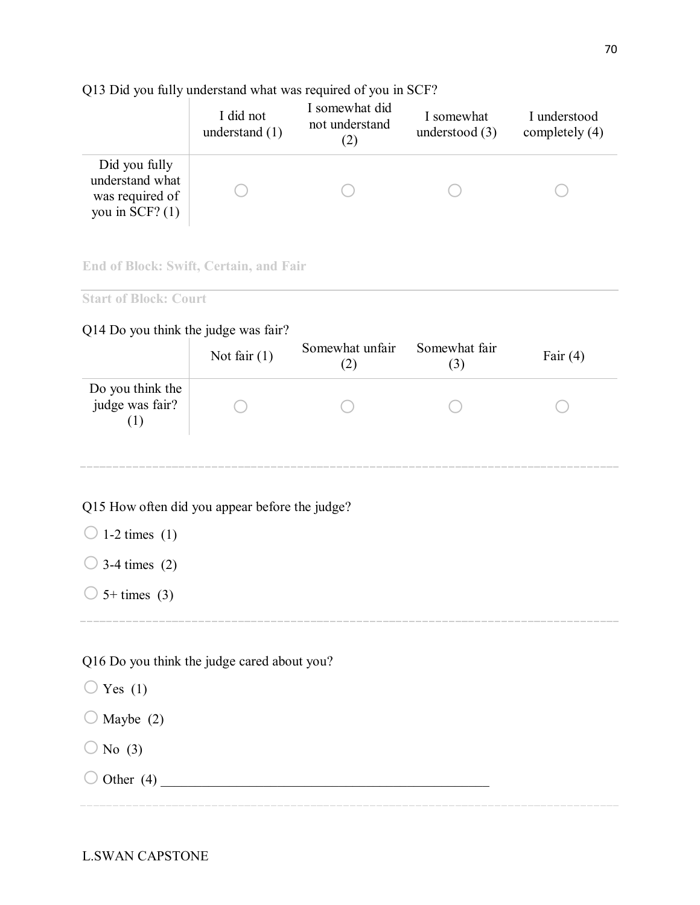# Q13 Did you fully understand what was required of you in SCF?

|                                                                          | I did not        | I somewhat did | I somewhat       | I understood     |
|--------------------------------------------------------------------------|------------------|----------------|------------------|------------------|
|                                                                          | understand $(1)$ | not understand | understood $(3)$ | completely $(4)$ |
| Did you fully<br>understand what<br>was required of<br>you in SCF? $(1)$ |                  |                |                  |                  |

## **End of Block: Swift, Certain, and Fair**

**Start of Block: Court**

# Q14 Do you think the judge was fair?

|                                     | Not fair $(1)$ | Somewhat unfair | Somewhat fair | Fair $(4)$ |
|-------------------------------------|----------------|-----------------|---------------|------------|
| Do you think the<br>judge was fair? |                |                 |               |            |

# Q15 How often did you appear before the judge?

 $\bigcirc$  1-2 times (1)

 $\bigcirc$  3-4 times (2)

 $\bigcirc$  5+ times (3)

# Q16 Do you think the judge cared about you?

 $\bigcirc$  Yes (1)

 $\bigcirc$  Maybe (2)

 $\bigcirc$  No (3)

o Other (4) \_\_\_\_\_\_\_\_\_\_\_\_\_\_\_\_\_\_\_\_\_\_\_\_\_\_\_\_\_\_\_\_\_\_\_\_\_\_\_\_\_\_\_\_\_\_\_\_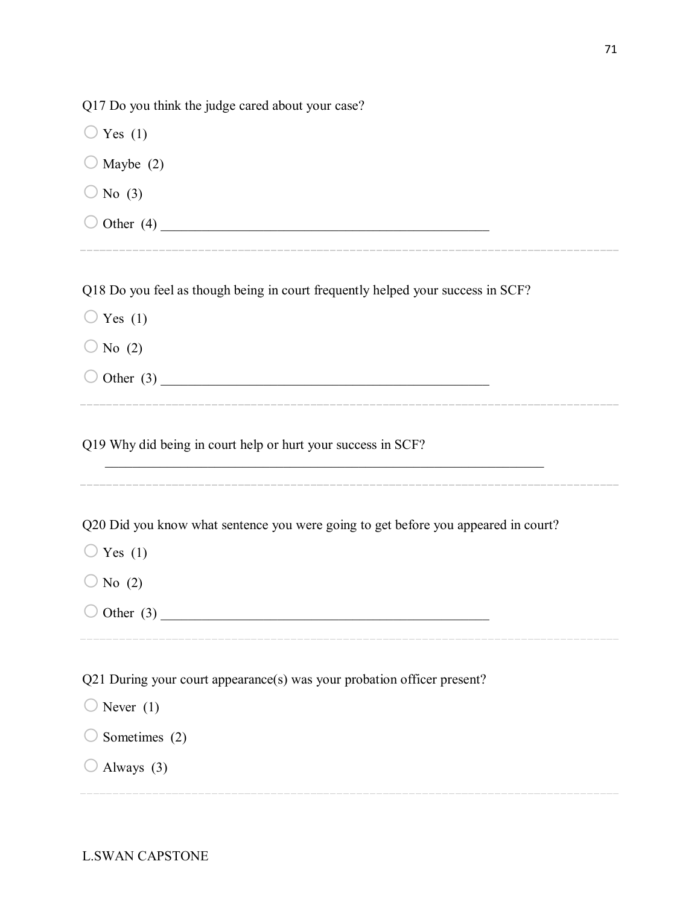Q17 Do you think the judge cared about your case?

 $\bigcirc$  Yes (1)  $\bigcirc$  Maybe (2)  $\bigcirc$  No (3) o Other (4) \_\_\_\_\_\_\_\_\_\_\_\_\_\_\_\_\_\_\_\_\_\_\_\_\_\_\_\_\_\_\_\_\_\_\_\_\_\_\_\_\_\_\_\_\_\_\_\_

Q18 Do you feel as though being in court frequently helped your success in SCF?

- $\bigcirc$  Yes (1)
- $\bigcirc$  No (2)
- o Other (3) \_\_\_\_\_\_\_\_\_\_\_\_\_\_\_\_\_\_\_\_\_\_\_\_\_\_\_\_\_\_\_\_\_\_\_\_\_\_\_\_\_\_\_\_\_\_\_\_

Q19 Why did being in court help or hurt your success in SCF?

Q20 Did you know what sentence you were going to get before you appeared in court?

- $\bigcirc$  Yes (1)
- $\bigcirc$  No (2)
- o Other (3) \_\_\_\_\_\_\_\_\_\_\_\_\_\_\_\_\_\_\_\_\_\_\_\_\_\_\_\_\_\_\_\_\_\_\_\_\_\_\_\_\_\_\_\_\_\_\_\_

Q21 During your court appearance(s) was your probation officer present?

- $\bigcirc$  Never (1)
- $\bigcirc$  Sometimes (2)
- $\bigcirc$  Always (3)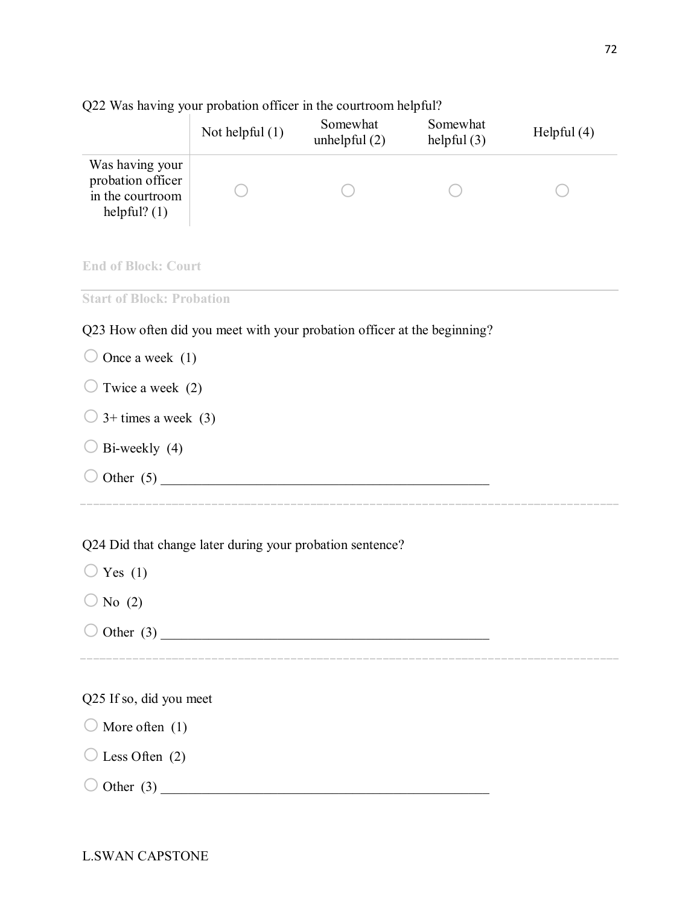|                                                                            | Not helpful $(1)$ | Somewhat<br>unhelpful $(2)$ | Somewhat<br>helpful $(3)$ | Helpful $(4)$ |
|----------------------------------------------------------------------------|-------------------|-----------------------------|---------------------------|---------------|
| Was having your<br>probation officer<br>in the courtroom<br>helpful? $(1)$ |                   |                             |                           |               |
| <b>End of Block: Court</b>                                                 |                   |                             |                           |               |
| <b>Start of Block: Probation</b>                                           |                   |                             |                           |               |
| Q23 How often did you meet with your probation officer at the beginning?   |                   |                             |                           |               |
| Once a week $(1)$                                                          |                   |                             |                           |               |
| Twice a week (2)                                                           |                   |                             |                           |               |
| $3+$ times a week $(3)$                                                    |                   |                             |                           |               |
| Bi-weekly (4)                                                              |                   |                             |                           |               |
|                                                                            | Other $(5)$       |                             |                           |               |
| Q24 Did that change later during your probation sentence?                  |                   |                             |                           |               |
| Yes $(1)$                                                                  |                   |                             |                           |               |
| No $(2)$                                                                   |                   |                             |                           |               |
| $\bigcirc$ Other (3)                                                       |                   |                             |                           |               |
|                                                                            |                   |                             |                           |               |
| Q25 If so, did you meet                                                    |                   |                             |                           |               |
| More often $(1)$                                                           |                   |                             |                           |               |

Q22 Was having your probation officer in the courtroom helpful?

L.SWAN CAPSTONE

o Other (3) \_\_\_\_\_\_\_\_\_\_\_\_\_\_\_\_\_\_\_\_\_\_\_\_\_\_\_\_\_\_\_\_\_\_\_\_\_\_\_\_\_\_\_\_\_\_\_\_

 $\bigcirc$  Less Often (2)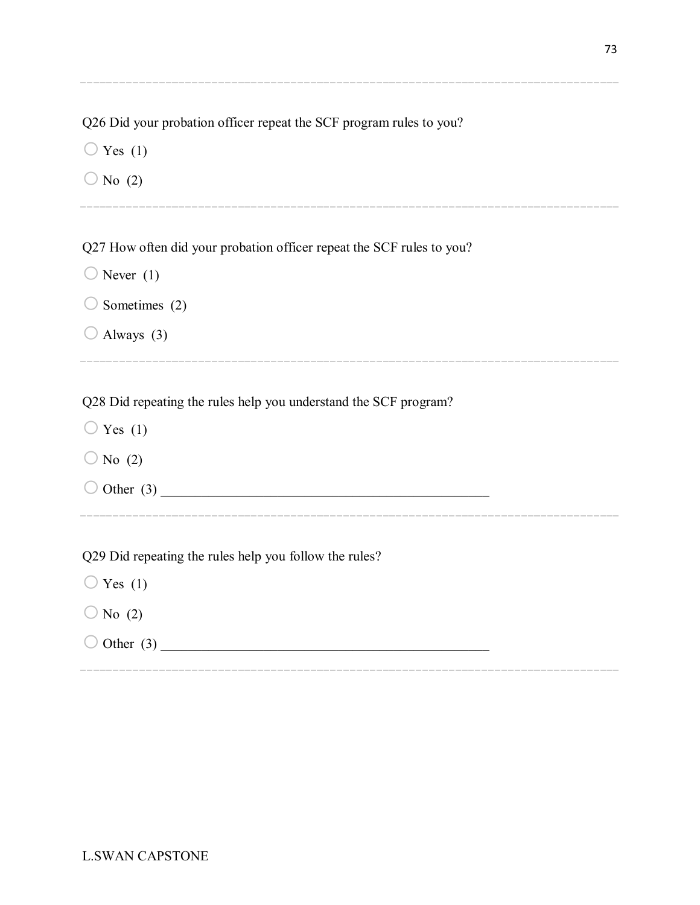Q26 Did your probation officer repeat the SCF program rules to you?

 $\bigcirc$  Yes (1)

 $\bigcirc$  No (2)

Q27 How often did your probation officer repeat the SCF rules to you?

- $\bigcirc$  Never (1)
- $\bigcirc$  Sometimes (2)
- $\bigcirc$  Always (3)

Q28 Did repeating the rules help you understand the SCF program?

- $\bigcirc$  Yes (1)
- $\bigcirc$  No (2)

 $\bigcirc$  Other (3)

Q29 Did repeating the rules help you follow the rules?

- $\bigcirc$  Yes (1)
- $\bigcirc$  No (2)
- $\bigcirc$  Other (3)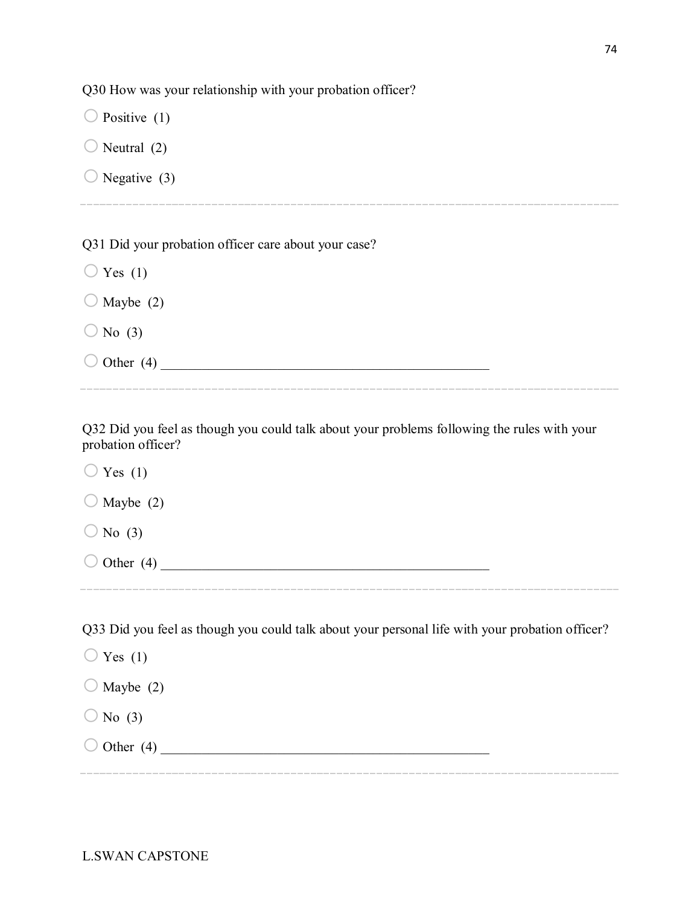Q30 How was your relationship with your probation officer?

 $\bigcirc$  Positive (1)  $\bigcirc$  Neutral (2)

 $\bigcirc$  Negative (3)

Q31 Did your probation officer care about your case?

 $\bigcirc$  Yes (1)

 $\bigcirc$  Maybe (2)

 $\bigcirc$  No (3)

o Other (4) \_\_\_\_\_\_\_\_\_\_\_\_\_\_\_\_\_\_\_\_\_\_\_\_\_\_\_\_\_\_\_\_\_\_\_\_\_\_\_\_\_\_\_\_\_\_\_\_

Q32 Did you feel as though you could talk about your problems following the rules with your probation officer?

 $\bigcirc$  Yes (1)  $\bigcirc$  Maybe (2)  $\bigcirc$  No (3) o Other (4) \_\_\_\_\_\_\_\_\_\_\_\_\_\_\_\_\_\_\_\_\_\_\_\_\_\_\_\_\_\_\_\_\_\_\_\_\_\_\_\_\_\_\_\_\_\_\_\_

Q33 Did you feel as though you could talk about your personal life with your probation officer?

 $\bigcirc$  Yes (1)  $\bigcirc$  Maybe (2)  $\bigcirc$  No (3)  $\bigcirc$  Other (4)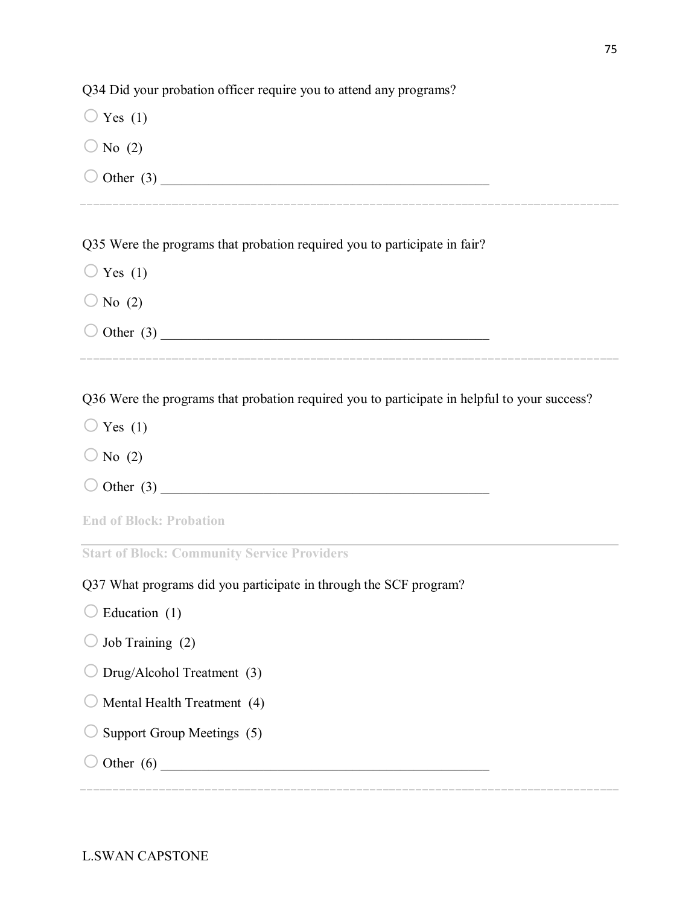Q34 Did your probation officer require you to attend any programs?

- $\bigcirc$  Yes (1)
- $\bigcirc$  No (2)
- o Other (3) \_\_\_\_\_\_\_\_\_\_\_\_\_\_\_\_\_\_\_\_\_\_\_\_\_\_\_\_\_\_\_\_\_\_\_\_\_\_\_\_\_\_\_\_\_\_\_\_

Q35 Were the programs that probation required you to participate in fair?

- $\bigcirc$  Yes (1)
- $\bigcirc$  No (2)
- $\bigcirc$  Other (3)

Q36 Were the programs that probation required you to participate in helpful to your success?

- $\bigcirc$  Yes (1)
- $\bigcirc$  No (2)
- $\bigcirc$  Other (3)

**End of Block: Probation**

**Start of Block: Community Service Providers**

Q37 What programs did you participate in through the SCF program?

- $\bigcirc$  Education (1)
- $\bigcirc$  Job Training (2)
- $\bigcirc$  Drug/Alcohol Treatment (3)
- $\bigcirc$  Mental Health Treatment (4)
- $\bigcirc$  Support Group Meetings (5)
- o Other (6) \_\_\_\_\_\_\_\_\_\_\_\_\_\_\_\_\_\_\_\_\_\_\_\_\_\_\_\_\_\_\_\_\_\_\_\_\_\_\_\_\_\_\_\_\_\_\_\_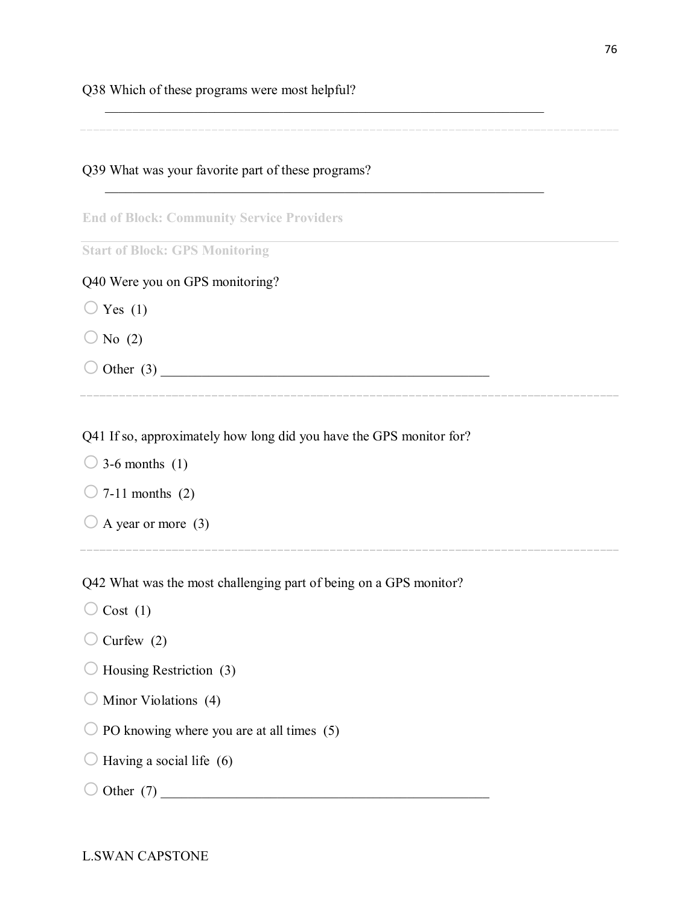Q38 Which of these programs were most helpful?

Q39 What was your favorite part of these programs?

**End of Block: Community Service Providers**

**Start of Block: GPS Monitoring**

Q40 Were you on GPS monitoring?

 $\bigcirc$  Yes (1)

 $\bigcirc$  No (2)

o Other (3) \_\_\_\_\_\_\_\_\_\_\_\_\_\_\_\_\_\_\_\_\_\_\_\_\_\_\_\_\_\_\_\_\_\_\_\_\_\_\_\_\_\_\_\_\_\_\_\_

\_\_\_\_\_\_\_\_\_\_\_\_\_\_\_\_\_\_\_\_\_\_\_\_\_\_\_\_\_\_\_\_\_\_\_\_\_\_\_\_\_\_\_\_\_\_\_\_\_\_\_\_\_\_\_\_\_\_\_\_\_\_\_\_

Q41 If so, approximately how long did you have the GPS monitor for?

 $\bigcirc$  3-6 months (1)

 $\bigcirc$  7-11 months (2)

 $\bigcirc$  A year or more (3)

Q42 What was the most challenging part of being on a GPS monitor?

 $\bigcirc$  Cost (1)

 $\bigcirc$  Curfew (2)

 $\bigcirc$  Housing Restriction (3)

 $\bigcirc$  Minor Violations (4)

 $\bigcirc$  PO knowing where you are at all times (5)

 $\bigcirc$  Having a social life (6)

 $\bigcirc$  Other (7)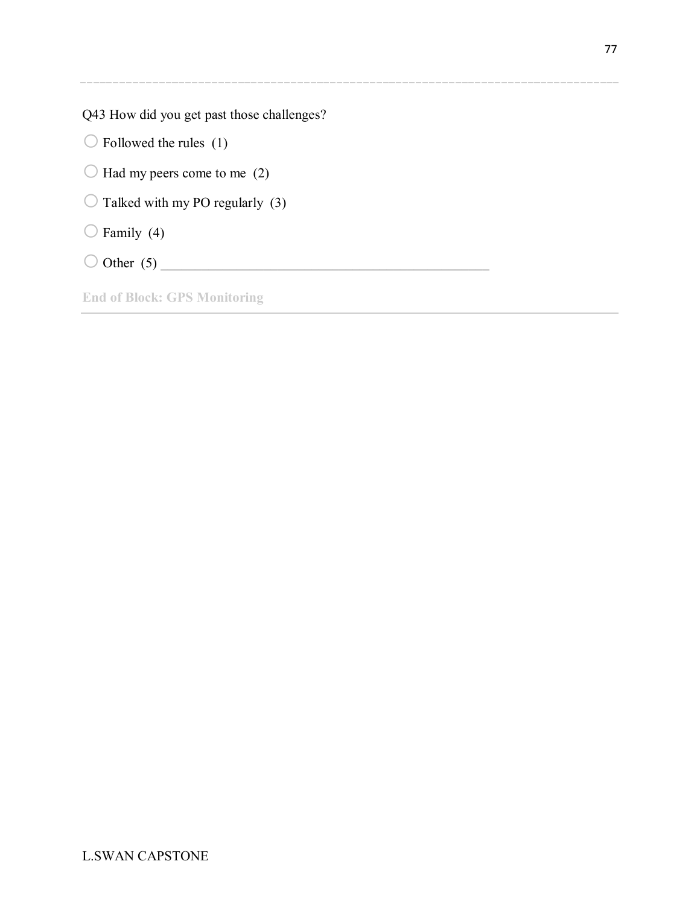Q43 How did you get past those challenges?

 $\bigcirc$  Followed the rules (1)

 $\bigcirc$  Had my peers come to me (2)

 $\bigcirc$  Talked with my PO regularly (3)

 $\bigcirc$  Family (4)

o Other (5) \_\_\_\_\_\_\_\_\_\_\_\_\_\_\_\_\_\_\_\_\_\_\_\_\_\_\_\_\_\_\_\_\_\_\_\_\_\_\_\_\_\_\_\_\_\_\_\_

**End of Block: GPS Monitoring**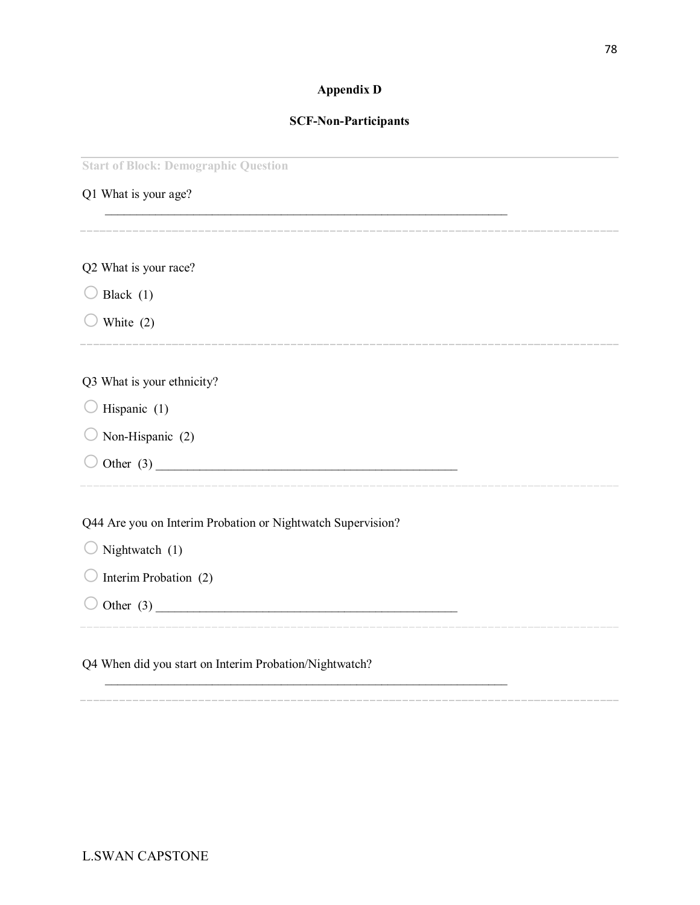### **Appendix D**

#### **SCF-Non-Participants**

 $\mathcal{L}_\text{max}$  , and the contract of the contract of the contract of the contract of the contract of the contract of

**Start of Block: Demographic Question**

| Q1 What is your age? |  |  |
|----------------------|--|--|
|                      |  |  |
|                      |  |  |

| Q2 What is your race? |  |  |
|-----------------------|--|--|
|                       |  |  |

 $\bigcirc$  Black (1)

 $\bigcirc$  White (2)

#### Q3 What is your ethnicity?

- $\bigcirc$  Hispanic (1)
- $\bigcirc$  Non-Hispanic (2)
- o Other (3) \_\_\_\_\_\_\_\_\_\_\_\_\_\_\_\_\_\_\_\_\_\_\_\_\_\_\_\_\_\_\_\_\_\_\_\_\_\_\_\_\_\_\_\_\_\_\_\_

Q44 Are you on Interim Probation or Nightwatch Supervision?

| $\bigcirc$ Nightwatch (1) |  |
|---------------------------|--|
|---------------------------|--|

- $\bigcirc$  Interim Probation (2)
- o Other (3) \_\_\_\_\_\_\_\_\_\_\_\_\_\_\_\_\_\_\_\_\_\_\_\_\_\_\_\_\_\_\_\_\_\_\_\_\_\_\_\_\_\_\_\_\_\_\_\_

Q4 When did you start on Interim Probation/Nightwatch?

 $\mathcal{L}_\text{max} = \mathcal{L}_\text{max} = \mathcal{L}_\text{max} = \mathcal{L}_\text{max} = \mathcal{L}_\text{max} = \mathcal{L}_\text{max} = \mathcal{L}_\text{max} = \mathcal{L}_\text{max} = \mathcal{L}_\text{max} = \mathcal{L}_\text{max} = \mathcal{L}_\text{max} = \mathcal{L}_\text{max} = \mathcal{L}_\text{max} = \mathcal{L}_\text{max} = \mathcal{L}_\text{max} = \mathcal{L}_\text{max} = \mathcal{L}_\text{max} = \mathcal{L}_\text{max} = \mathcal{$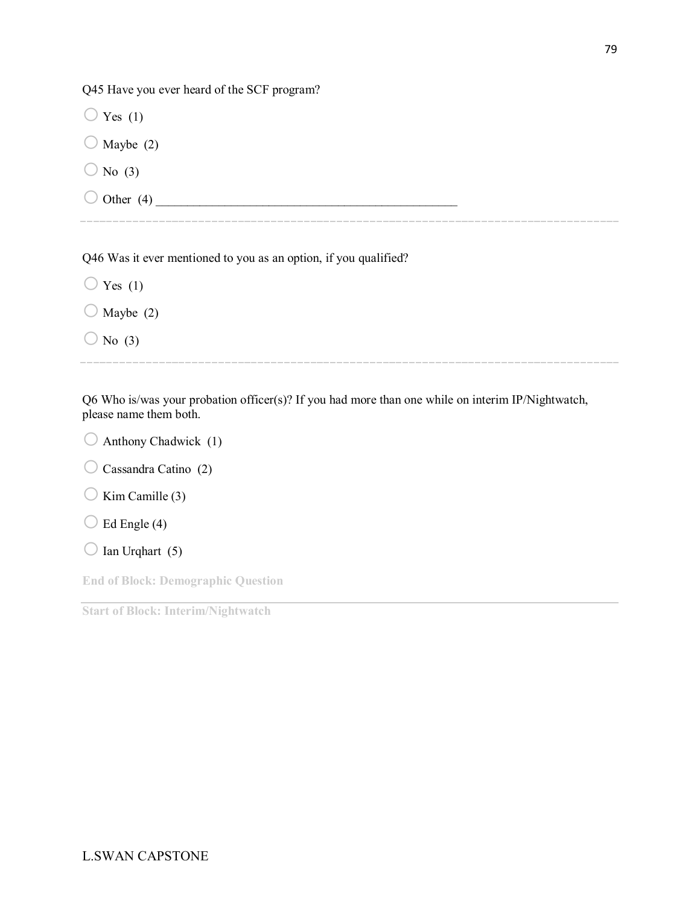Q45 Have you ever heard of the SCF program?

 $\bigcirc$  Yes (1)  $\bigcirc$  Maybe (2)

 $\bigcirc$  No (3)

 $\bigcirc$  Other (4)

Q46 Was it ever mentioned to you as an option, if you qualified?

 $\bigcirc$  Yes (1)  $\bigcirc$  Maybe (2)  $\bigcirc$  No (3)

Q6 Who is/was your probation officer(s)? If you had more than one while on interim IP/Nightwatch, please name them both.

- $\bigcirc$  Anthony Chadwick (1)
- $\bigcirc$  Cassandra Catino (2)
- $\bigcirc$  Kim Camille (3)

 $\bigcirc$  Ed Engle (4)

 $\bigcirc$  Ian Urqhart (5)

**End of Block: Demographic Question**

**Start of Block: Interim/Nightwatch**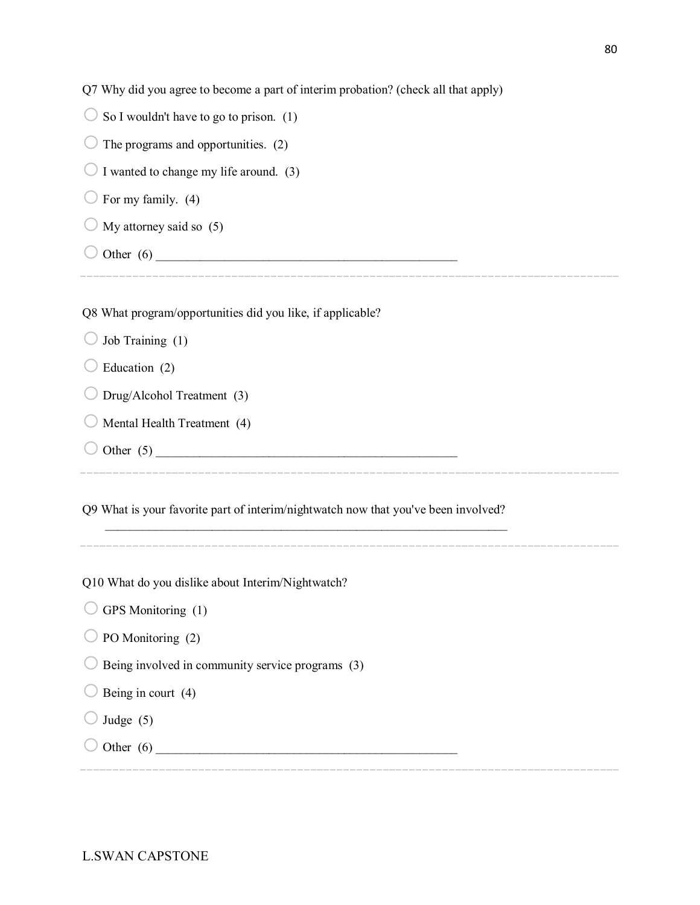| Q7 Why did you agree to become a part of interim probation? (check all that apply) |
|------------------------------------------------------------------------------------|
|------------------------------------------------------------------------------------|

| So I wouldn't have to go to prison. (1)                    |
|------------------------------------------------------------|
| The programs and opportunities. (2)                        |
| $\bigcirc$ I wanted to change my life around. (3)          |
| For my family. (4)                                         |
| My attorney said so (5)                                    |
| Other $(6)$                                                |
|                                                            |
| Q8 What program/opportunities did you like, if applicable? |

| $\bigcirc$ Job Training (1) |  |
|-----------------------------|--|
|-----------------------------|--|

| $\bigcup$ Education (2) |  |
|-------------------------|--|
|-------------------------|--|

| $\bigcirc$ Drug/Alcohol Treatment (3) |  |
|---------------------------------------|--|
|---------------------------------------|--|

- $\bigcirc$  Mental Health Treatment (4)
- o Other (5) \_\_\_\_\_\_\_\_\_\_\_\_\_\_\_\_\_\_\_\_\_\_\_\_\_\_\_\_\_\_\_\_\_\_\_\_\_\_\_\_\_\_\_\_\_\_\_\_

Q9 What is your favorite part of interim/nightwatch now that you've been involved?

 $\mathcal{L}_\text{max}$  , and the contribution of the contribution of the contribution of the contribution of the contribution of the contribution of the contribution of the contribution of the contribution of the contribution of t

Q10 What do you dislike about Interim/Nightwatch?

 $\bigcirc$  GPS Monitoring (1)

 $\bigcirc$  PO Monitoring (2)

 $\bigcirc$  Being involved in community service programs (3)

| $\bigcirc$ Being in court (4) |  |
|-------------------------------|--|
|-------------------------------|--|

- $\bigcirc$  Judge (5)
- o Other (6) \_\_\_\_\_\_\_\_\_\_\_\_\_\_\_\_\_\_\_\_\_\_\_\_\_\_\_\_\_\_\_\_\_\_\_\_\_\_\_\_\_\_\_\_\_\_\_\_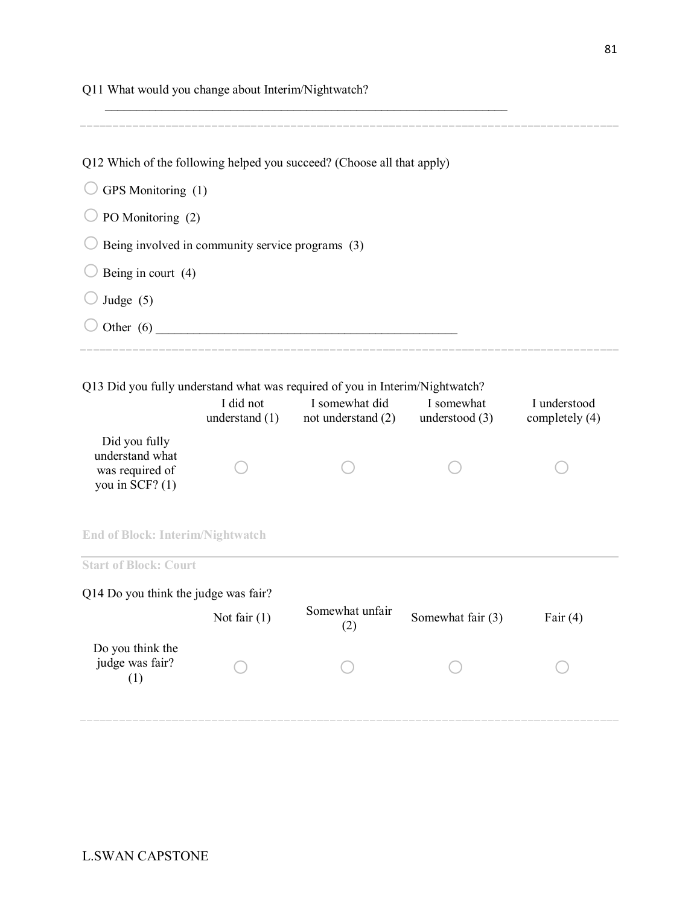| Q11 What would you change about Interim/Nightwatch?                      |                                                  |                                                                                                                        |                              |                                |
|--------------------------------------------------------------------------|--------------------------------------------------|------------------------------------------------------------------------------------------------------------------------|------------------------------|--------------------------------|
|                                                                          |                                                  | Q12 Which of the following helped you succeed? (Choose all that apply)                                                 |                              |                                |
| GPS Monitoring (1)                                                       |                                                  |                                                                                                                        |                              |                                |
| PO Monitoring (2)                                                        |                                                  |                                                                                                                        |                              |                                |
|                                                                          | Being involved in community service programs (3) |                                                                                                                        |                              |                                |
| Being in court (4)                                                       |                                                  |                                                                                                                        |                              |                                |
| Judge $(5)$                                                              |                                                  |                                                                                                                        |                              |                                |
|                                                                          |                                                  |                                                                                                                        |                              |                                |
| Did you fully<br>understand what<br>was required of<br>you in SCF? $(1)$ | I did not<br>understand $(1)$                    | Q13 Did you fully understand what was required of you in Interim/Nightwatch?<br>I somewhat did<br>not understand $(2)$ | I somewhat<br>understood (3) | I understood<br>completely (4) |
| <b>End of Block: Interim/Nightwatch</b>                                  |                                                  |                                                                                                                        |                              |                                |
| <b>Start of Block: Court</b>                                             |                                                  |                                                                                                                        |                              |                                |
| Q14 Do you think the judge was fair?                                     |                                                  |                                                                                                                        |                              |                                |
|                                                                          | Not fair $(1)$                                   | Somewhat unfair<br>(2)                                                                                                 | Somewhat fair (3)            | Fair $(4)$                     |
| Do you think the<br>judge was fair?<br>(1)                               |                                                  |                                                                                                                        |                              |                                |
|                                                                          |                                                  |                                                                                                                        |                              |                                |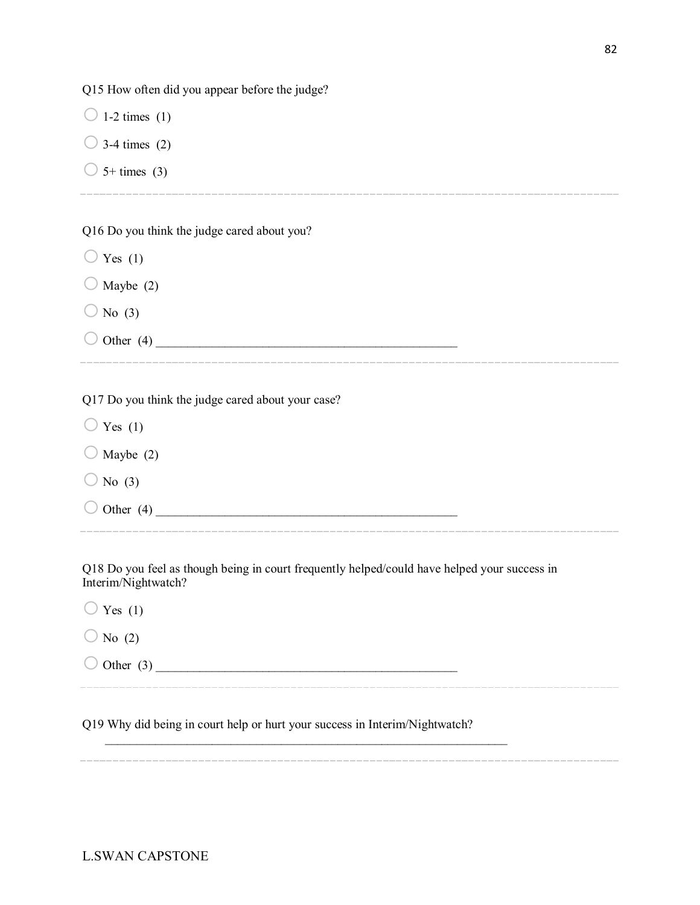Q15 How often did you appear before the judge?

 $\bigcirc$  1-2 times (1)  $\bigcirc$  3-4 times (2)

 $\bigcirc$  5+ times (3)

Q16 Do you think the judge cared about you?

 $\bigcirc$  Yes (1)

 $\bigcirc$  Maybe (2)

 $\bigcirc$  No (3)

o Other (4) \_\_\_\_\_\_\_\_\_\_\_\_\_\_\_\_\_\_\_\_\_\_\_\_\_\_\_\_\_\_\_\_\_\_\_\_\_\_\_\_\_\_\_\_\_\_\_\_

Q17 Do you think the judge cared about your case?

 $\bigcirc$  Yes (1)  $\bigcirc$  Maybe (2)

 $\bigcirc$  No (3)

o Other (4) \_\_\_\_\_\_\_\_\_\_\_\_\_\_\_\_\_\_\_\_\_\_\_\_\_\_\_\_\_\_\_\_\_\_\_\_\_\_\_\_\_\_\_\_\_\_\_\_

Q18 Do you feel as though being in court frequently helped/could have helped your success in Interim/Nightwatch?

 $\bigcirc$  Yes (1)

 $\bigcirc$  No (2)

o Other (3) \_\_\_\_\_\_\_\_\_\_\_\_\_\_\_\_\_\_\_\_\_\_\_\_\_\_\_\_\_\_\_\_\_\_\_\_\_\_\_\_\_\_\_\_\_\_\_\_

Q19 Why did being in court help or hurt your success in Interim/Nightwatch?

 $\mathcal{L}_\text{max} = \mathcal{L}_\text{max} = \mathcal{L}_\text{max} = \mathcal{L}_\text{max} = \mathcal{L}_\text{max} = \mathcal{L}_\text{max} = \mathcal{L}_\text{max} = \mathcal{L}_\text{max} = \mathcal{L}_\text{max} = \mathcal{L}_\text{max} = \mathcal{L}_\text{max} = \mathcal{L}_\text{max} = \mathcal{L}_\text{max} = \mathcal{L}_\text{max} = \mathcal{L}_\text{max} = \mathcal{L}_\text{max} = \mathcal{L}_\text{max} = \mathcal{L}_\text{max} = \mathcal{$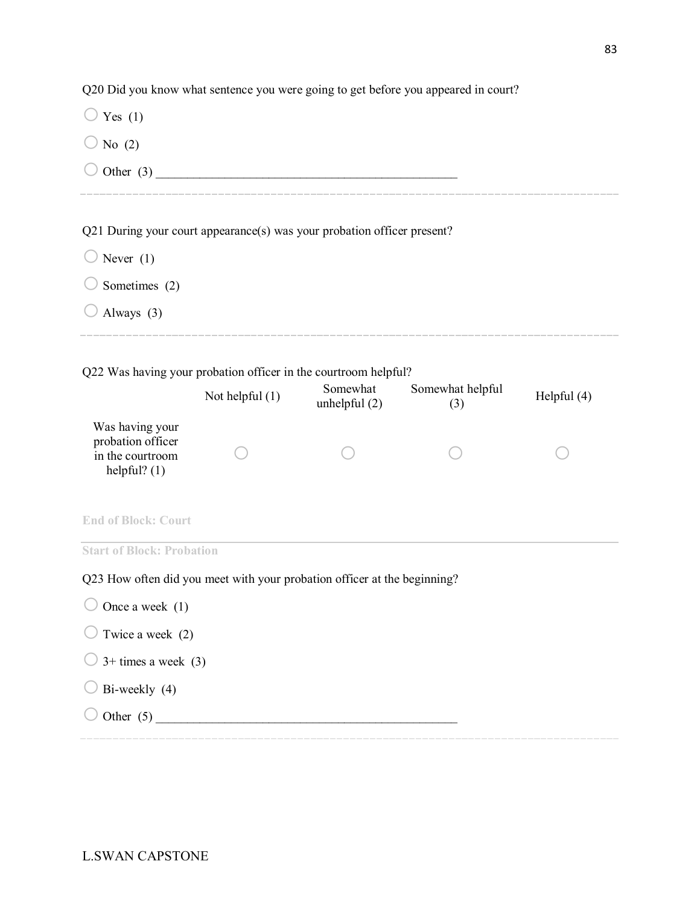Q20 Did you know what sentence you were going to get before you appeared in court?

| Yes $(1)$                                                                  |                 |                             |                         |               |
|----------------------------------------------------------------------------|-----------------|-----------------------------|-------------------------|---------------|
| No $(2)$                                                                   |                 |                             |                         |               |
|                                                                            |                 |                             |                         |               |
|                                                                            |                 |                             |                         |               |
| Q21 During your court appearance(s) was your probation officer present?    |                 |                             |                         |               |
| Never $(1)$                                                                |                 |                             |                         |               |
| Sometimes (2)                                                              |                 |                             |                         |               |
| Always (3)                                                                 |                 |                             |                         |               |
|                                                                            |                 |                             |                         |               |
| Q22 Was having your probation officer in the courtroom helpful?            |                 |                             |                         |               |
|                                                                            | Not helpful (1) | Somewhat<br>unhelpful $(2)$ | Somewhat helpful<br>(3) | Helpful $(4)$ |
| Was having your<br>probation officer<br>in the courtroom<br>helpful? $(1)$ |                 |                             |                         |               |
| <b>End of Block: Court</b>                                                 |                 |                             |                         |               |
| <b>Start of Block: Probation</b>                                           |                 |                             |                         |               |
| Q23 How often did you meet with your probation officer at the beginning?   |                 |                             |                         |               |
| Once a week $(1)$                                                          |                 |                             |                         |               |
| Twice a week (2)                                                           |                 |                             |                         |               |
| $3+$ times a week $(3)$                                                    |                 |                             |                         |               |
| Bi-weekly (4)                                                              |                 |                             |                         |               |
|                                                                            |                 |                             |                         |               |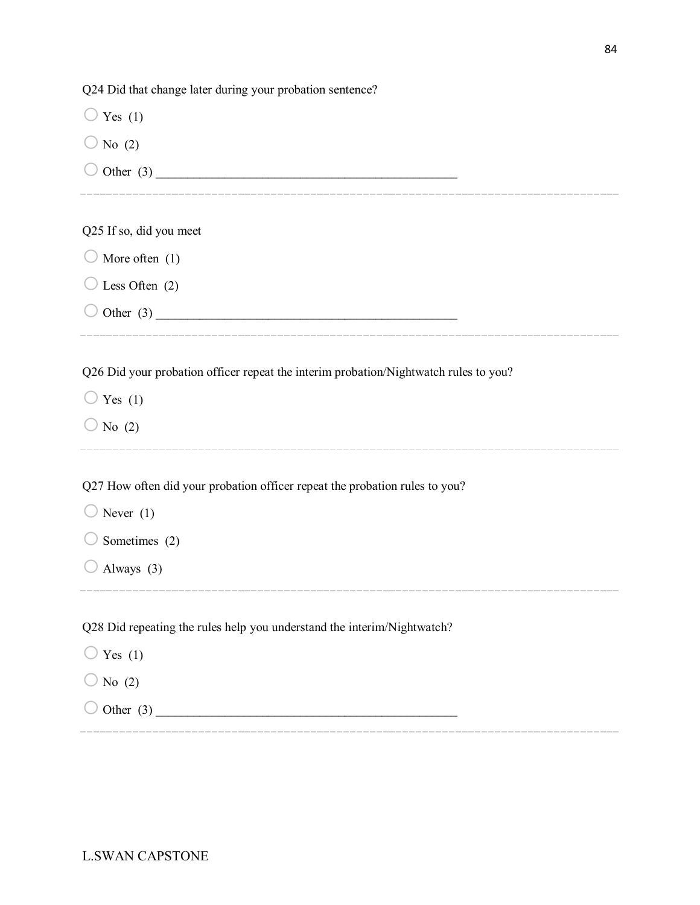Q24 Did that change later during your probation sentence?  $\bigcirc$  Yes (1)  $\bigcirc$  No (2) o Other (3) \_\_\_\_\_\_\_\_\_\_\_\_\_\_\_\_\_\_\_\_\_\_\_\_\_\_\_\_\_\_\_\_\_\_\_\_\_\_\_\_\_\_\_\_\_\_\_\_ Q25 If so, did you meet  $\bigcirc$  More often (1)  $\bigcirc$  Less Often (2)  $\bigcirc$  Other (3) Q26 Did your probation officer repeat the interim probation/Nightwatch rules to you?  $\bigcirc$  Yes (1)  $\bigcirc$  No (2) Q27 How often did your probation officer repeat the probation rules to you?  $\bigcirc$  Never (1)  $\bigcirc$  Sometimes (2)  $\bigcirc$  Always (3) Q28 Did repeating the rules help you understand the interim/Nightwatch?  $\bigcirc$  Yes (1)  $\bigcirc$  No (2)  $\bigcirc$  Other (3)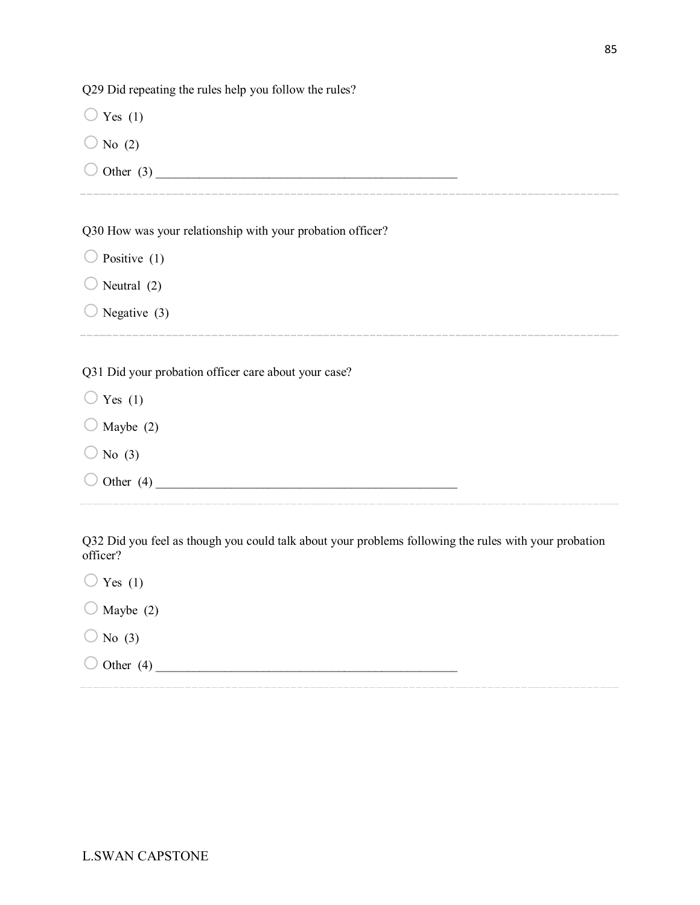Q29 Did repeating the rules help you follow the rules?

 $\bigcirc$  Yes (1)

- $\bigcirc$  No (2)
- o Other (3) \_\_\_\_\_\_\_\_\_\_\_\_\_\_\_\_\_\_\_\_\_\_\_\_\_\_\_\_\_\_\_\_\_\_\_\_\_\_\_\_\_\_\_\_\_\_\_\_

Q30 How was your relationship with your probation officer?

 $\bigcirc$  Positive (1)  $\bigcirc$  Neutral (2)

 $\bigcirc$  Negative (3)

Q31 Did your probation officer care about your case?

 $\bigcirc$  Yes (1)

 $\bigcirc$  Maybe (2)

 $\bigcirc$  No (3)

 $\bigcirc$  Other (4)

Q32 Did you feel as though you could talk about your problems following the rules with your probation officer?

 $\bigcirc$  Yes (1)  $\bigcirc$  Maybe (2)  $\bigcirc$  No (3) o Other (4) \_\_\_\_\_\_\_\_\_\_\_\_\_\_\_\_\_\_\_\_\_\_\_\_\_\_\_\_\_\_\_\_\_\_\_\_\_\_\_\_\_\_\_\_\_\_\_\_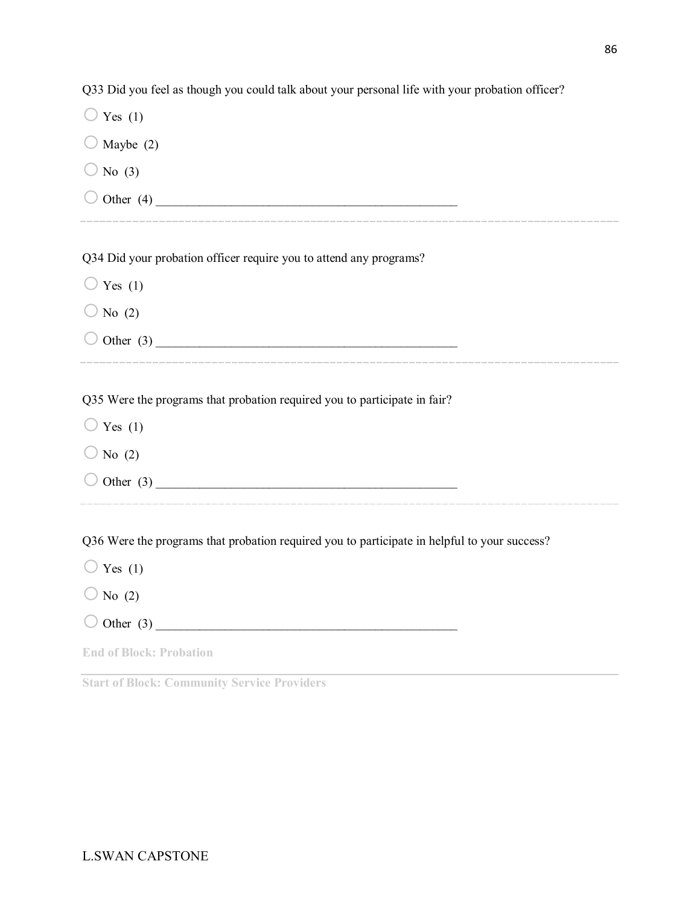| Q33 Did you feel as though you could talk about your personal life with your probation officer? |
|-------------------------------------------------------------------------------------------------|
| $\bigcirc$ Yes (1)                                                                              |
| Maybe (2)                                                                                       |
| $\bigcirc$ No (3)                                                                               |
| $\bigcirc$ Other (4)                                                                            |
|                                                                                                 |
| Q34 Did your probation officer require you to attend any programs?                              |
| $\bigcirc$ Yes (1)                                                                              |
| $\bigcirc$ No (2)                                                                               |
| $\bigcirc$ Other (3)                                                                            |
|                                                                                                 |
| Q35 Were the programs that probation required you to participate in fair?                       |
| $\bigcirc$ Yes (1)                                                                              |
| $\bigcirc$ No (2)                                                                               |
| $\bigcirc$ Other (3)                                                                            |
|                                                                                                 |
| Q36 Were the programs that probation required you to participate in helpful to your success?    |
| $\bigcirc$ Yes (1)                                                                              |
| $\bigcirc$ No (2)                                                                               |
| Other $(3)$                                                                                     |
| <b>End of Block: Probation</b>                                                                  |
|                                                                                                 |

**Start of Block: Community Service Providers**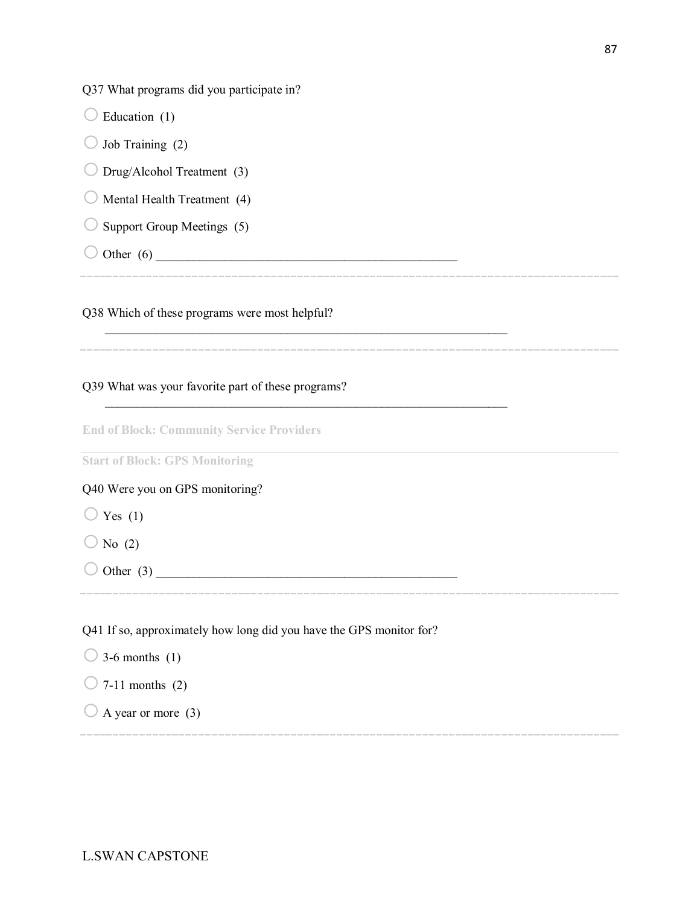Q37 What programs did you participate in?

| Education (1)                                                       |
|---------------------------------------------------------------------|
| Job Training (2)                                                    |
| Drug/Alcohol Treatment (3)                                          |
| Mental Health Treatment (4)                                         |
| Support Group Meetings (5)                                          |
|                                                                     |
|                                                                     |
| Q38 Which of these programs were most helpful?                      |
|                                                                     |
| Q39 What was your favorite part of these programs?                  |
|                                                                     |
| <b>End of Block: Community Service Providers</b>                    |
| <b>Start of Block: GPS Monitoring</b>                               |
| Q40 Were you on GPS monitoring?                                     |
| $\bigcirc$ Yes (1)                                                  |
| $\bigcirc$ No (2)                                                   |
|                                                                     |
|                                                                     |
| Q41 If so, approximately how long did you have the GPS monitor for? |

- $\bigcirc$  7-11 months (2)
- $\bigcirc$  A year or more (3)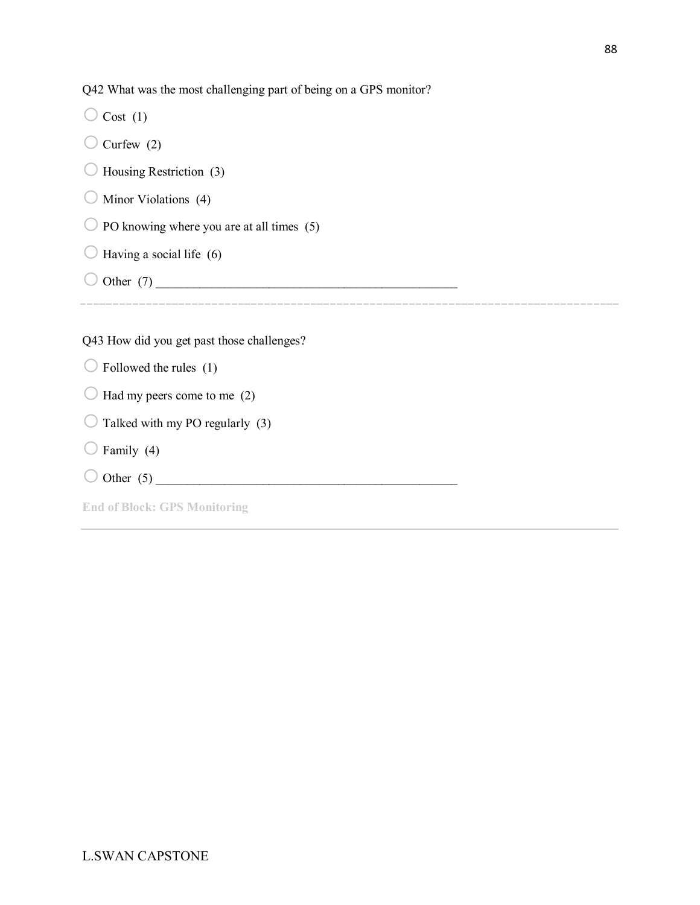Q42 What was the most challenging part of being on a GPS monitor?

|                                           |                                            | $\circ$ $\circ$ 1 | O |  |  |
|-------------------------------------------|--------------------------------------------|-------------------|---|--|--|
|                                           | Cost(1)                                    |                   |   |  |  |
|                                           | Curfew $(2)$                               |                   |   |  |  |
|                                           | Housing Restriction (3)                    |                   |   |  |  |
|                                           | Minor Violations (4)                       |                   |   |  |  |
| PO knowing where you are at all times (5) |                                            |                   |   |  |  |
|                                           | Having a social life (6)                   |                   |   |  |  |
|                                           | Other $(7)$                                |                   |   |  |  |
|                                           |                                            |                   |   |  |  |
|                                           | Q43 How did you get past those challenges? |                   |   |  |  |
|                                           |                                            |                   |   |  |  |

 $\bigcirc$  Followed the rules (1)

- $\bigcirc$  Had my peers come to me (2)
- $\bigcirc$  Talked with my PO regularly (3)
- $\bigcirc$  Family (4)
- o Other (5) \_\_\_\_\_\_\_\_\_\_\_\_\_\_\_\_\_\_\_\_\_\_\_\_\_\_\_\_\_\_\_\_\_\_\_\_\_\_\_\_\_\_\_\_\_\_\_\_

**End of Block: GPS Monitoring**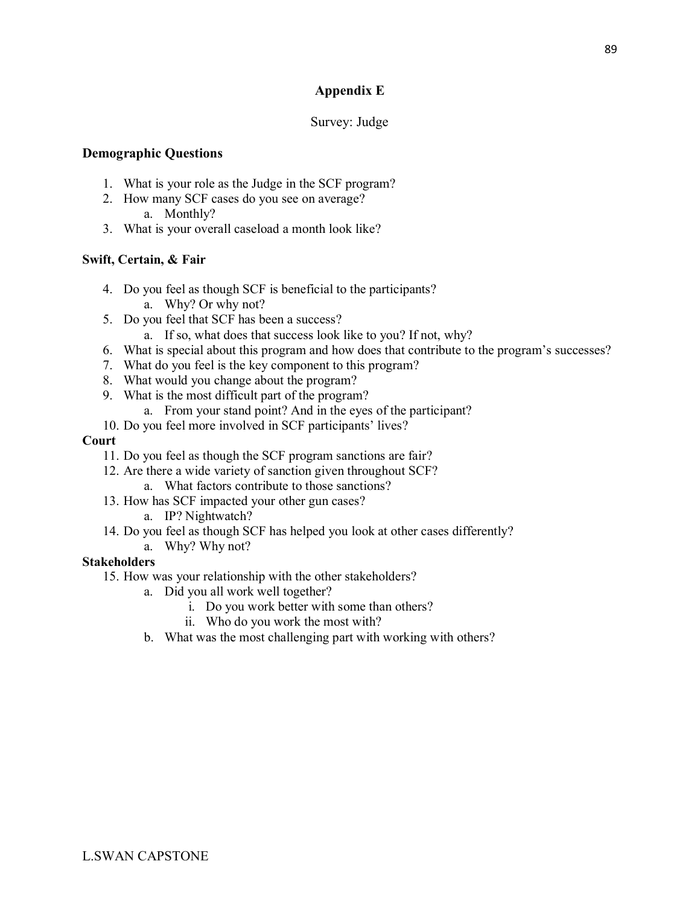# **Appendix E**

## Survey: Judge

### **Demographic Questions**

- 1. What is your role as the Judge in the SCF program?
- 2. How many SCF cases do you see on average?
	- a. Monthly?
- 3. What is your overall caseload a month look like?

### **Swift, Certain, & Fair**

- 4. Do you feel as though SCF is beneficial to the participants? a. Why? Or why not?
- 5. Do you feel that SCF has been a success?
	- a. If so, what does that success look like to you? If not, why?
- 6. What is special about this program and how does that contribute to the program's successes?
- 7. What do you feel is the key component to this program?
- 8. What would you change about the program?
- 9. What is the most difficult part of the program?
	- a. From your stand point? And in the eyes of the participant?
- 10. Do you feel more involved in SCF participants' lives?

### **Court**

- 11. Do you feel as though the SCF program sanctions are fair?
- 12. Are there a wide variety of sanction given throughout SCF?
	- a. What factors contribute to those sanctions?
- 13. How has SCF impacted your other gun cases?
	- a. IP? Nightwatch?
- 14. Do you feel as though SCF has helped you look at other cases differently? a. Why? Why not?

- 15. How was your relationship with the other stakeholders?
	- a. Did you all work well together?
		- i. Do you work better with some than others?
		- ii. Who do you work the most with?
	- b. What was the most challenging part with working with others?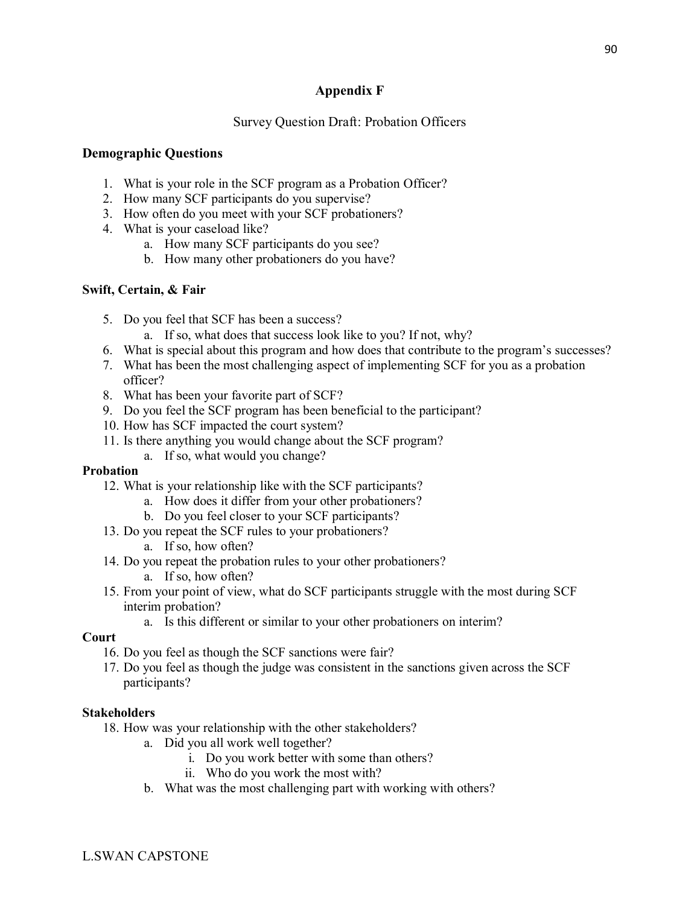# **Appendix F**

### Survey Question Draft: Probation Officers

#### **Demographic Questions**

- 1. What is your role in the SCF program as a Probation Officer?
- 2. How many SCF participants do you supervise?
- 3. How often do you meet with your SCF probationers?
- 4. What is your caseload like?
	- a. How many SCF participants do you see?
	- b. How many other probationers do you have?

### **Swift, Certain, & Fair**

- 5. Do you feel that SCF has been a success?
	- a. If so, what does that success look like to you? If not, why?
- 6. What is special about this program and how does that contribute to the program's successes?
- 7. What has been the most challenging aspect of implementing SCF for you as a probation officer?
- 8. What has been your favorite part of SCF?
- 9. Do you feel the SCF program has been beneficial to the participant?
- 10. How has SCF impacted the court system?
- 11. Is there anything you would change about the SCF program?
	- a. If so, what would you change?

### **Probation**

- 12. What is your relationship like with the SCF participants?
	- a. How does it differ from your other probationers?
	- b. Do you feel closer to your SCF participants?
- 13. Do you repeat the SCF rules to your probationers?
	- a. If so, how often?
- 14. Do you repeat the probation rules to your other probationers?
	- a. If so, how often?
- 15. From your point of view, what do SCF participants struggle with the most during SCF interim probation?
	- a. Is this different or similar to your other probationers on interim?

#### **Court**

- 16. Do you feel as though the SCF sanctions were fair?
- 17. Do you feel as though the judge was consistent in the sanctions given across the SCF participants?

- 18. How was your relationship with the other stakeholders?
	- a. Did you all work well together?
		- i. Do you work better with some than others?
		- ii. Who do you work the most with?
	- b. What was the most challenging part with working with others?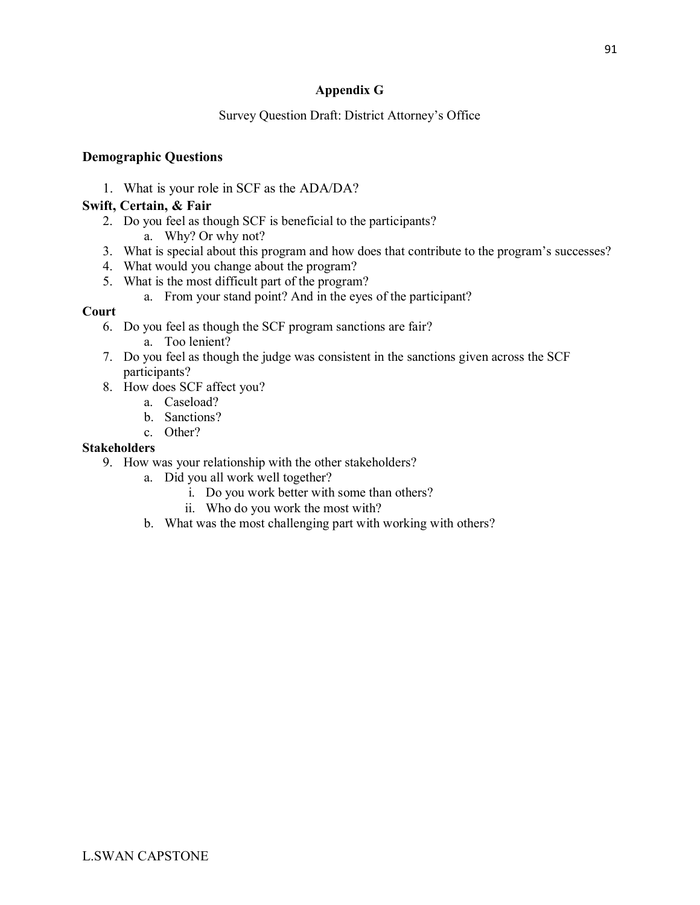# **Appendix G**

## Survey Question Draft: District Attorney's Office

## **Demographic Questions**

1. What is your role in SCF as the ADA/DA?

## **Swift, Certain, & Fair**

- 2. Do you feel as though SCF is beneficial to the participants?
	- a. Why? Or why not?
- 3. What is special about this program and how does that contribute to the program's successes?
- 4. What would you change about the program?
- 5. What is the most difficult part of the program?
	- a. From your stand point? And in the eyes of the participant?

## **Court**

- 6. Do you feel as though the SCF program sanctions are fair?
	- a. Too lenient?
- 7. Do you feel as though the judge was consistent in the sanctions given across the SCF participants?
- 8. How does SCF affect you?
	- a. Caseload?
	- b. Sanctions?
	- c. Other?

- 9. How was your relationship with the other stakeholders?
	- a. Did you all work well together?
		- i. Do you work better with some than others?
		- ii. Who do you work the most with?
	- b. What was the most challenging part with working with others?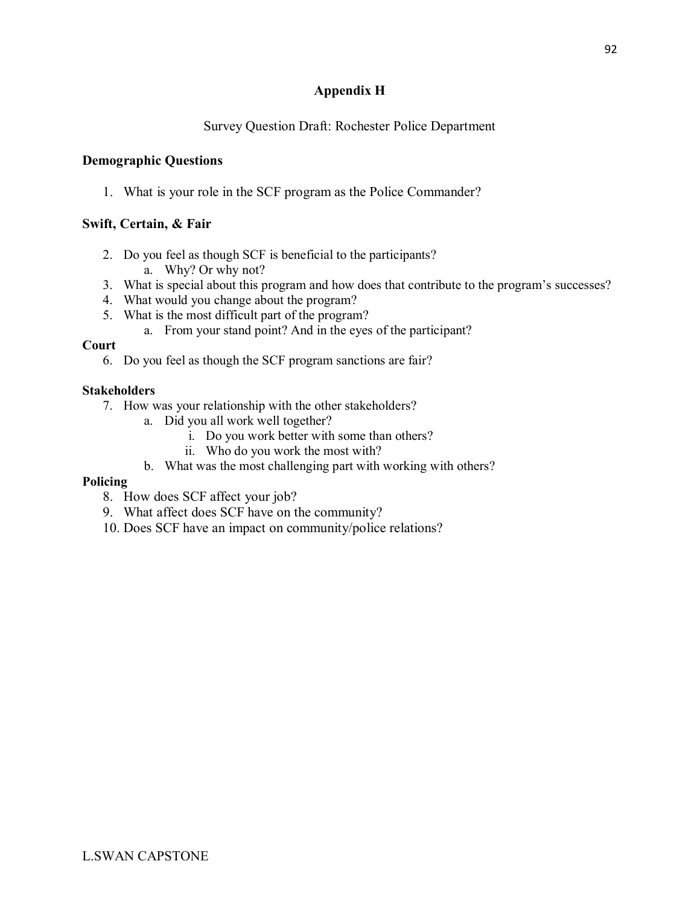# **Appendix H**

# Survey Question Draft: Rochester Police Department

# **Demographic Questions**

1. What is your role in the SCF program as the Police Commander?

# **Swift, Certain, & Fair**

- 2. Do you feel as though SCF is beneficial to the participants?
	- a. Why? Or why not?
- 3. What is special about this program and how does that contribute to the program's successes?
- 4. What would you change about the program?
- 5. What is the most difficult part of the program?
	- a. From your stand point? And in the eyes of the participant?

## **Court**

6. Do you feel as though the SCF program sanctions are fair?

## **Stakeholders**

- 7. How was your relationship with the other stakeholders?
	- a. Did you all work well together?
		- i. Do you work better with some than others?
		- ii. Who do you work the most with?
	- b. What was the most challenging part with working with others?

## **Policing**

- 8. How does SCF affect your job?
- 9. What affect does SCF have on the community?
- 10. Does SCF have an impact on community/police relations?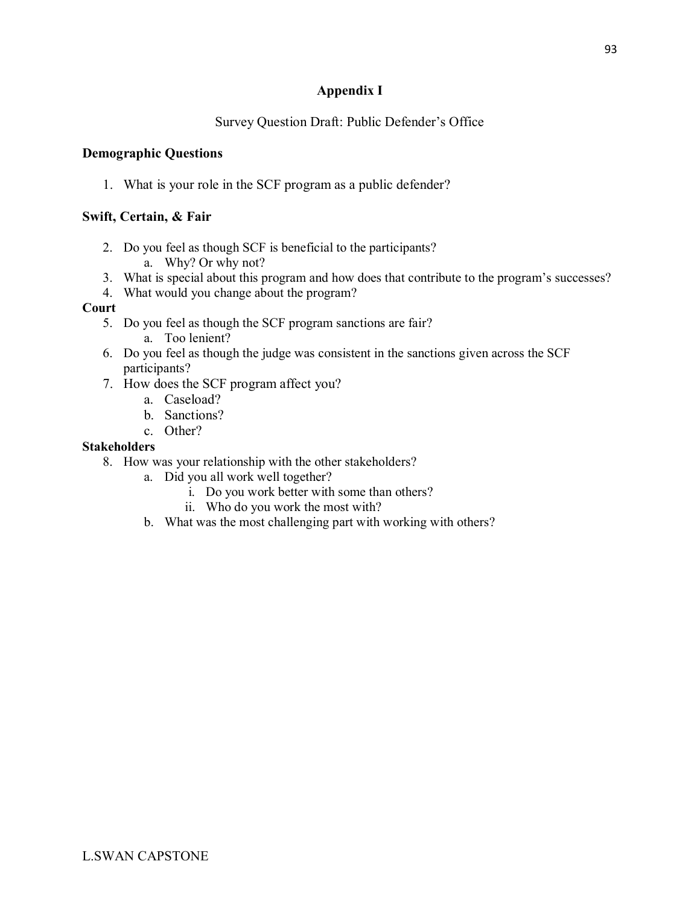# **Appendix I**

# Survey Question Draft: Public Defender's Office

# **Demographic Questions**

1. What is your role in the SCF program as a public defender?

# **Swift, Certain, & Fair**

- 2. Do you feel as though SCF is beneficial to the participants? a. Why? Or why not?
- 3. What is special about this program and how does that contribute to the program's successes?
- 4. What would you change about the program?

## **Court**

- 5. Do you feel as though the SCF program sanctions are fair? a. Too lenient?
- 6. Do you feel as though the judge was consistent in the sanctions given across the SCF participants?
- 7. How does the SCF program affect you?
	- a. Caseload?
	- b. Sanctions?
	- c. Other?

- 8. How was your relationship with the other stakeholders?
	- a. Did you all work well together?
		- i. Do you work better with some than others?
		- ii. Who do you work the most with?
	- b. What was the most challenging part with working with others?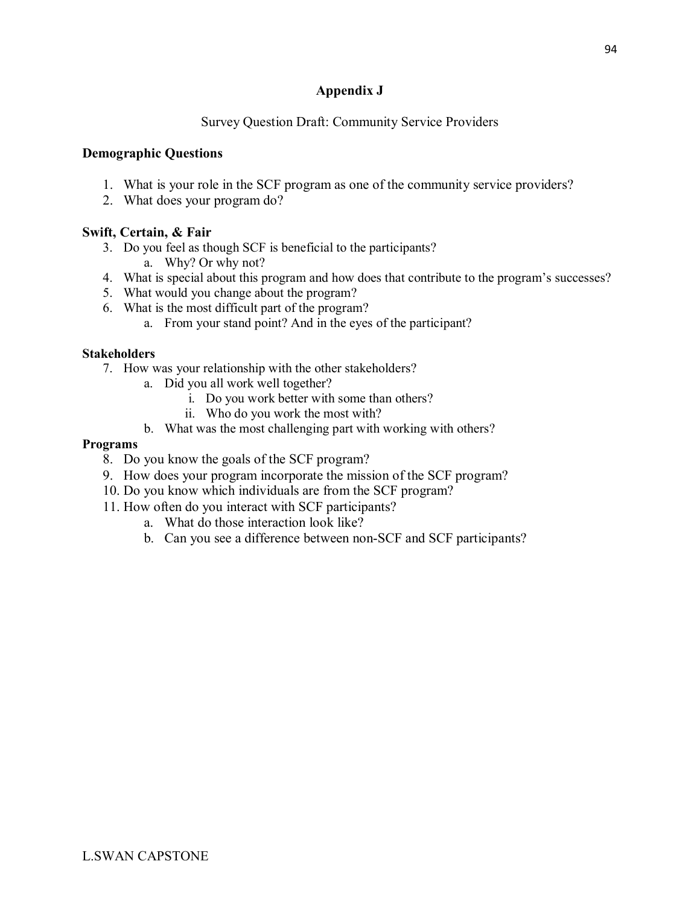# **Appendix J**

# Survey Question Draft: Community Service Providers

# **Demographic Questions**

- 1. What is your role in the SCF program as one of the community service providers?
- 2. What does your program do?

# **Swift, Certain, & Fair**

- 3. Do you feel as though SCF is beneficial to the participants? a. Why? Or why not?
- 4. What is special about this program and how does that contribute to the program's successes?
- 5. What would you change about the program?
- 6. What is the most difficult part of the program?
	- a. From your stand point? And in the eyes of the participant?

## **Stakeholders**

- 7. How was your relationship with the other stakeholders?
	- a. Did you all work well together?
		- i. Do you work better with some than others?
		- ii. Who do you work the most with?
	- b. What was the most challenging part with working with others?

#### **Programs**

- 8. Do you know the goals of the SCF program?
- 9. How does your program incorporate the mission of the SCF program?
- 10. Do you know which individuals are from the SCF program?
- 11. How often do you interact with SCF participants?
	- a. What do those interaction look like?
	- b. Can you see a difference between non-SCF and SCF participants?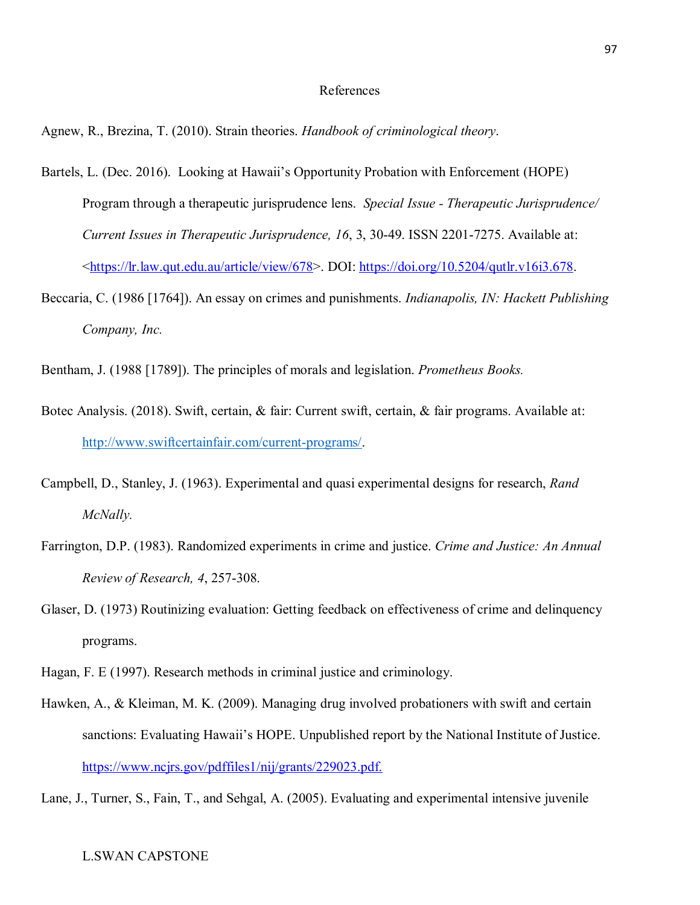#### References

Agnew, R., Brezina, T. (2010). Strain theories. *Handbook of criminological theory*.

- Bartels, L. (Dec. 2016). Looking at Hawaii's Opportunity Probation with Enforcement (HOPE) Program through a therapeutic jurisprudence lens. *Special Issue - Therapeutic Jurisprudence/ Current Issues in Therapeutic Jurisprudence, 16*, 3, 30-49. ISSN 2201-7275. Available at: [<https://lr.law.qut.edu.au/article/view/678>](https://lr.law.qut.edu.au/article/view/678). DOI: [https://doi.org/10.5204/qutlr.v16i3.678.](https://doi.org/10.5204/qutlr.v16i3.678)
- Beccaria, C. (1986 [1764]). An essay on crimes and punishments. *Indianapolis, IN: Hackett Publishing Company, Inc.*
- Bentham, J. (1988 [1789]). The principles of morals and legislation. *Prometheus Books.*
- Botec Analysis. (2018). Swift, certain, & fair: Current swift, certain, & fair programs. Available at: [http://www.swiftcertainfair.com/current-programs/.](http://www.swiftcertainfair.com/current-programs/)
- Campbell, D., Stanley, J. (1963). Experimental and quasi experimental designs for research, *Rand McNally.*
- Farrington, D.P. (1983). Randomized experiments in crime and justice. *Crime and Justice: An Annual Review of Research, 4*, 257-308.
- Glaser, D. (1973) Routinizing evaluation: Getting feedback on effectiveness of crime and delinquency programs.
- Hagan, F. E (1997). Research methods in criminal justice and criminology.
- Hawken, A., & Kleiman, M. K. (2009). Managing drug involved probationers with swift and certain sanctions: Evaluating Hawaii's HOPE. Unpublished report by the National Institute of Justice. [https://www.ncjrs.gov/pdffiles1/nij/grants/229023.pdf.](https://www.ncjrs.gov/pdffiles1/nij/grants/229023.pdf)
- Lane, J., Turner, S., Fain, T., and Sehgal, A. (2005). Evaluating and experimental intensive juvenile